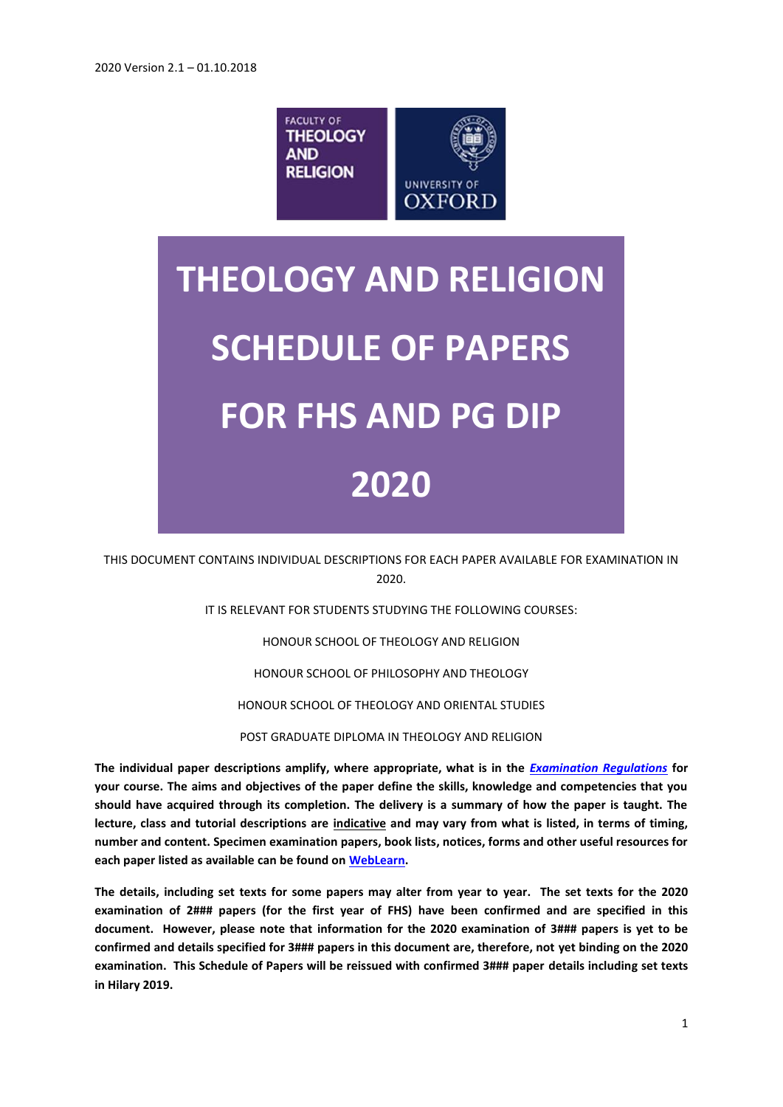

# **THEOLOGY AND RELIGION SCHEDULE OF PAPERS FOR FHS AND PG DIP 2020**

THIS DOCUMENT CONTAINS INDIVIDUAL DESCRIPTIONS FOR EACH PAPER AVAILABLE FOR EXAMINATION IN 2020.

IT IS RELEVANT FOR STUDENTS STUDYING THE FOLLOWING COURSES:

HONOUR SCHOOL OF THEOLOGY AND RELIGION

HONOUR SCHOOL OF PHILOSOPHY AND THEOLOGY

HONOUR SCHOOL OF THEOLOGY AND ORIENTAL STUDIES

POST GRADUATE DIPLOMA IN THEOLOGY AND RELIGION

**The individual paper descriptions amplify, where appropriate, what is in the** *[Examination Regulations](http://www.admin.ox.ac.uk/examregs/)* **for your course. The aims and objectives of the paper define the skills, knowledge and competencies that you should have acquired through its completion. The delivery is a summary of how the paper is taught. The lecture, class and tutorial descriptions are indicative and may vary from what is listed, in terms of timing, number and content. Specimen examination papers, book lists, notices, forms and other useful resources for each paper listed as available can be found o[n WebLearn.](https://weblearn.ox.ac.uk/portal/site/:humdiv:theology:theo_ug/tool/d8683465-591a-433b-af37-ccad9f349f70)**

**The details, including set texts for some papers may alter from year to year. The set texts for the 2020 examination of 2### papers (for the first year of FHS) have been confirmed and are specified in this document. However, please note that information for the 2020 examination of 3### papers is yet to be confirmed and details specified for 3### papers in this document are, therefore, not yet binding on the 2020 examination. This Schedule of Papers will be reissued with confirmed 3### paper details including set texts in Hilary 2019.**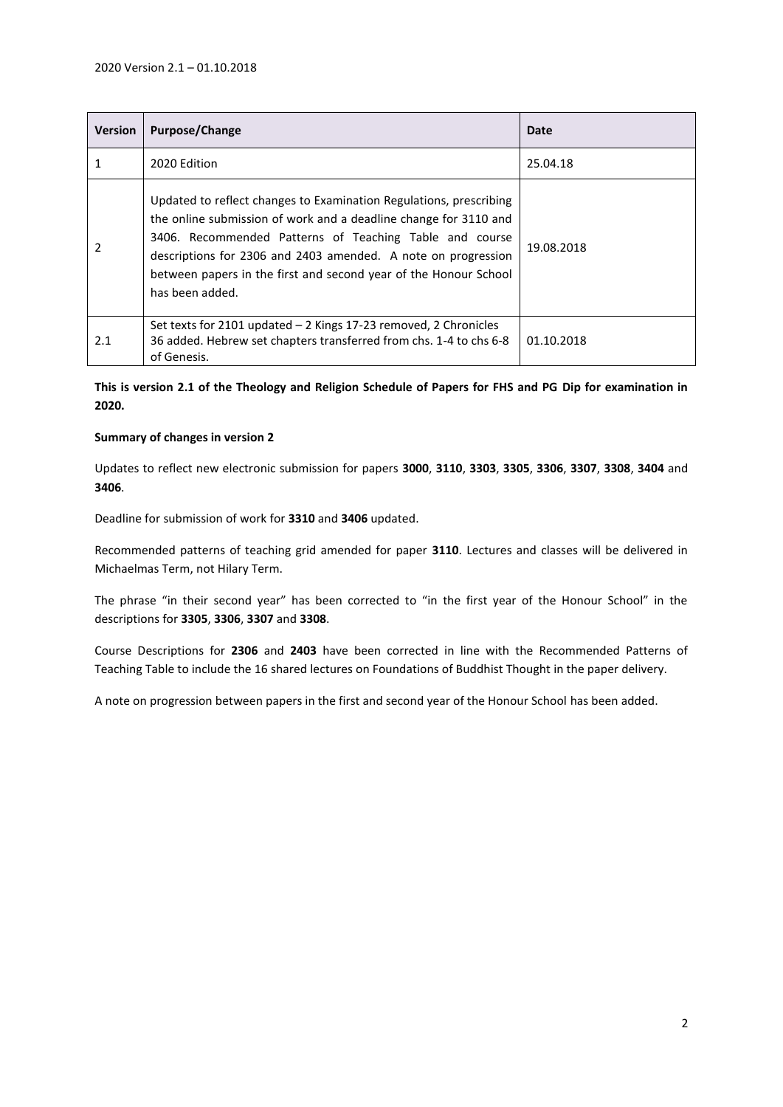| <b>Version</b> | <b>Purpose/Change</b>                                                                                                                                                                                                                                                                                                                                     | Date       |
|----------------|-----------------------------------------------------------------------------------------------------------------------------------------------------------------------------------------------------------------------------------------------------------------------------------------------------------------------------------------------------------|------------|
| 1              | 2020 Edition                                                                                                                                                                                                                                                                                                                                              | 25.04.18   |
| $\mathcal{P}$  | Updated to reflect changes to Examination Regulations, prescribing<br>the online submission of work and a deadline change for 3110 and<br>3406. Recommended Patterns of Teaching Table and course<br>descriptions for 2306 and 2403 amended. A note on progression<br>between papers in the first and second year of the Honour School<br>has been added. | 19.08.2018 |
| 2.1            | Set texts for 2101 updated - 2 Kings 17-23 removed, 2 Chronicles<br>36 added. Hebrew set chapters transferred from chs. 1-4 to chs 6-8<br>of Genesis.                                                                                                                                                                                                     | 01.10.2018 |

**This is version 2.1 of the Theology and Religion Schedule of Papers for FHS and PG Dip for examination in 2020.**

# **Summary of changes in version 2**

Updates to reflect new electronic submission for papers **3000**, **3110**, **3303**, **3305**, **3306**, **3307**, **3308**, **3404** and **3406**.

Deadline for submission of work for **3310** and **3406** updated.

Recommended patterns of teaching grid amended for paper **3110**. Lectures and classes will be delivered in Michaelmas Term, not Hilary Term.

The phrase "in their second year" has been corrected to "in the first year of the Honour School" in the descriptions for **3305**, **3306**, **3307** and **3308**.

Course Descriptions for **2306** and **2403** have been corrected in line with the Recommended Patterns of Teaching Table to include the 16 shared lectures on Foundations of Buddhist Thought in the paper delivery.

A note on progression between papers in the first and second year of the Honour School has been added.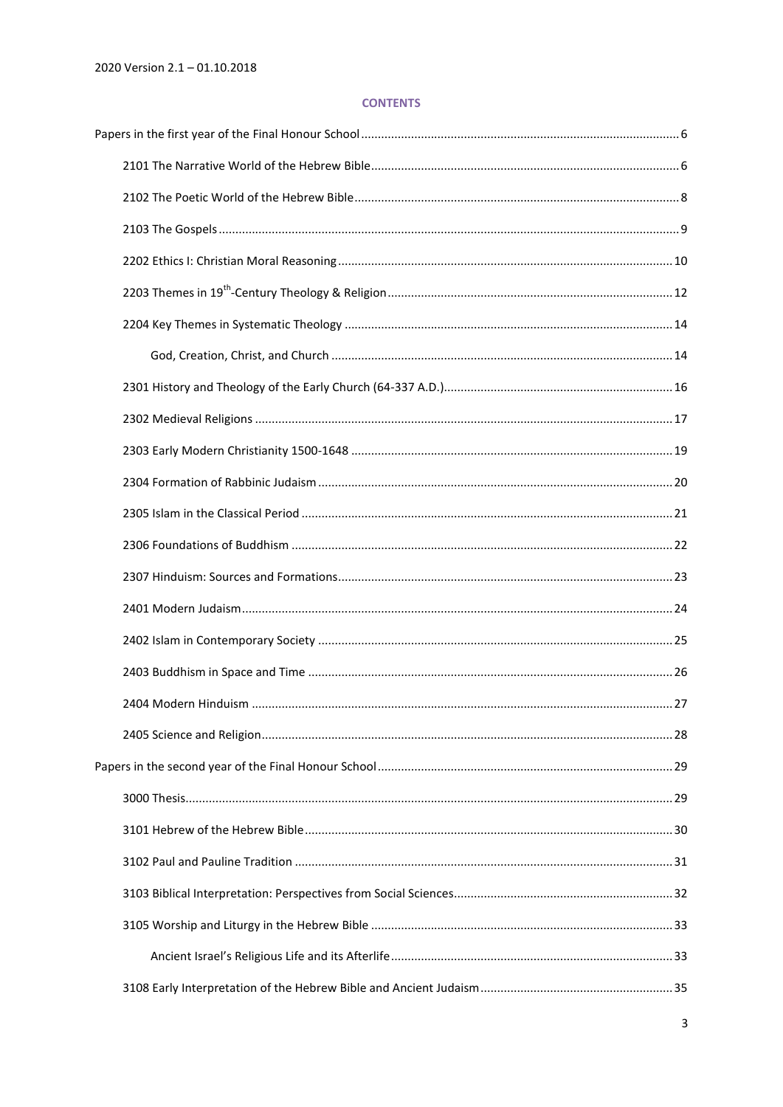# **CONTENTS**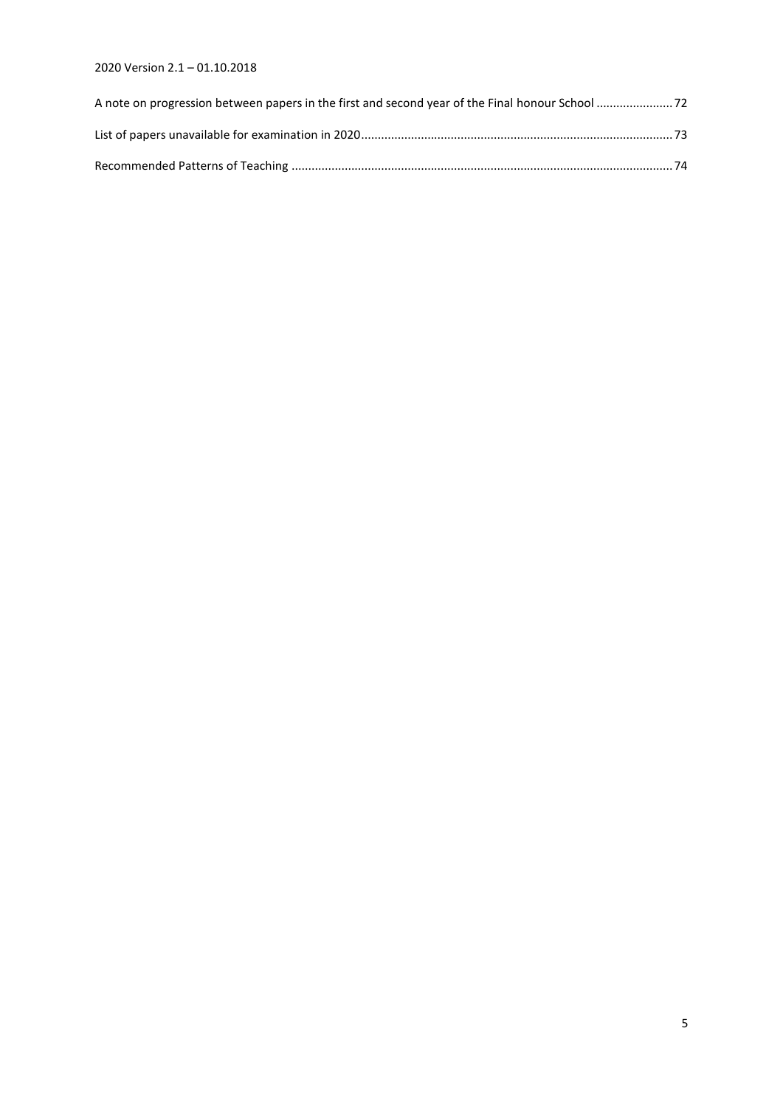# 2020 Version 2.1 – 01.10.2018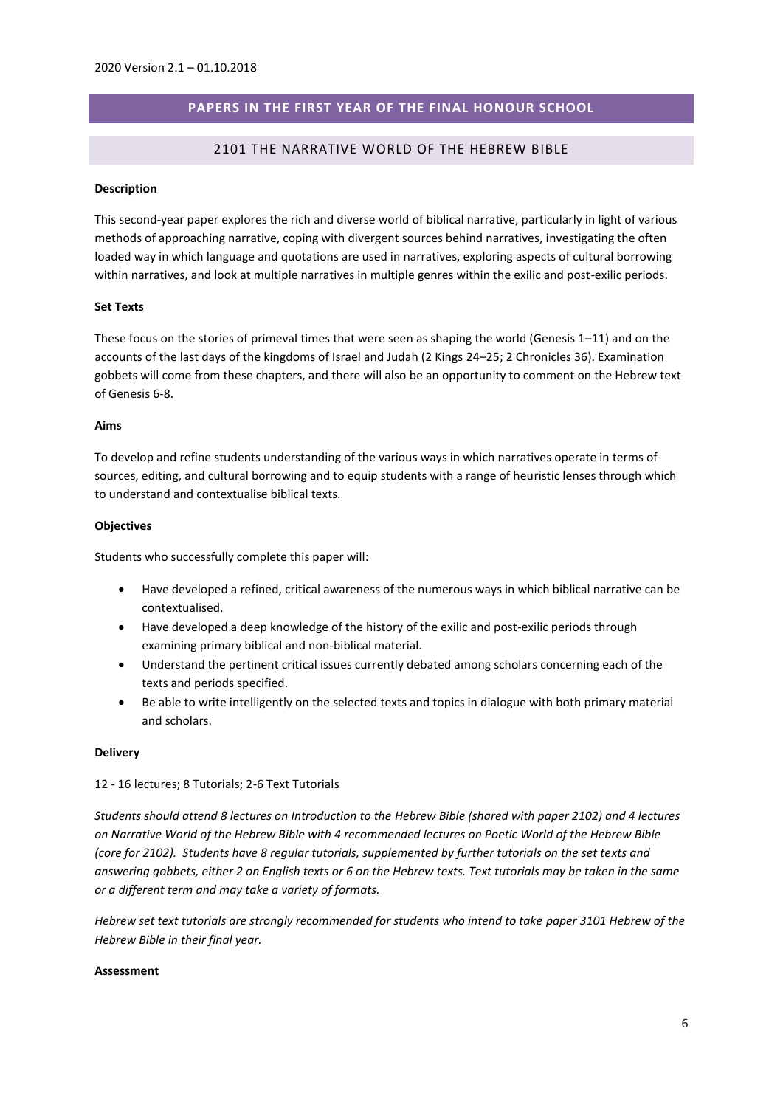# **PAPERS IN THE FIRST YEAR OF THE FINAL HONOUR SCHOOL**

## 2101 THE NARRATIVE WORLD OF THE HEBREW BIBLE

#### <span id="page-5-1"></span><span id="page-5-0"></span>**Description**

This second-year paper explores the rich and diverse world of biblical narrative, particularly in light of various methods of approaching narrative, coping with divergent sources behind narratives, investigating the often loaded way in which language and quotations are used in narratives, exploring aspects of cultural borrowing within narratives, and look at multiple narratives in multiple genres within the exilic and post-exilic periods.

#### **Set Texts**

These focus on the stories of primeval times that were seen as shaping the world (Genesis 1–11) and on the accounts of the last days of the kingdoms of Israel and Judah (2 Kings 24–25; 2 Chronicles 36). Examination gobbets will come from these chapters, and there will also be an opportunity to comment on the Hebrew text of Genesis 6-8.

## **Aims**

To develop and refine students understanding of the various ways in which narratives operate in terms of sources, editing, and cultural borrowing and to equip students with a range of heuristic lenses through which to understand and contextualise biblical texts.

#### **Objectives**

Students who successfully complete this paper will:

- Have developed a refined, critical awareness of the numerous ways in which biblical narrative can be contextualised.
- Have developed a deep knowledge of the history of the exilic and post-exilic periods through examining primary biblical and non-biblical material.
- Understand the pertinent critical issues currently debated among scholars concerning each of the texts and periods specified.
- Be able to write intelligently on the selected texts and topics in dialogue with both primary material and scholars.

#### **Delivery**

#### 12 - 16 lectures; 8 Tutorials; 2-6 Text Tutorials

*Students should attend 8 lectures on Introduction to the Hebrew Bible (shared with paper 2102) and 4 lectures on Narrative World of the Hebrew Bible with 4 recommended lectures on Poetic World of the Hebrew Bible (core for 2102). Students have 8 regular tutorials, supplemented by further tutorials on the set texts and answering gobbets, either 2 on English texts or 6 on the Hebrew texts. Text tutorials may be taken in the same or a different term and may take a variety of formats.*

*Hebrew set text tutorials are strongly recommended for students who intend to take paper 3101 Hebrew of the Hebrew Bible in their final year.*

#### **Assessment**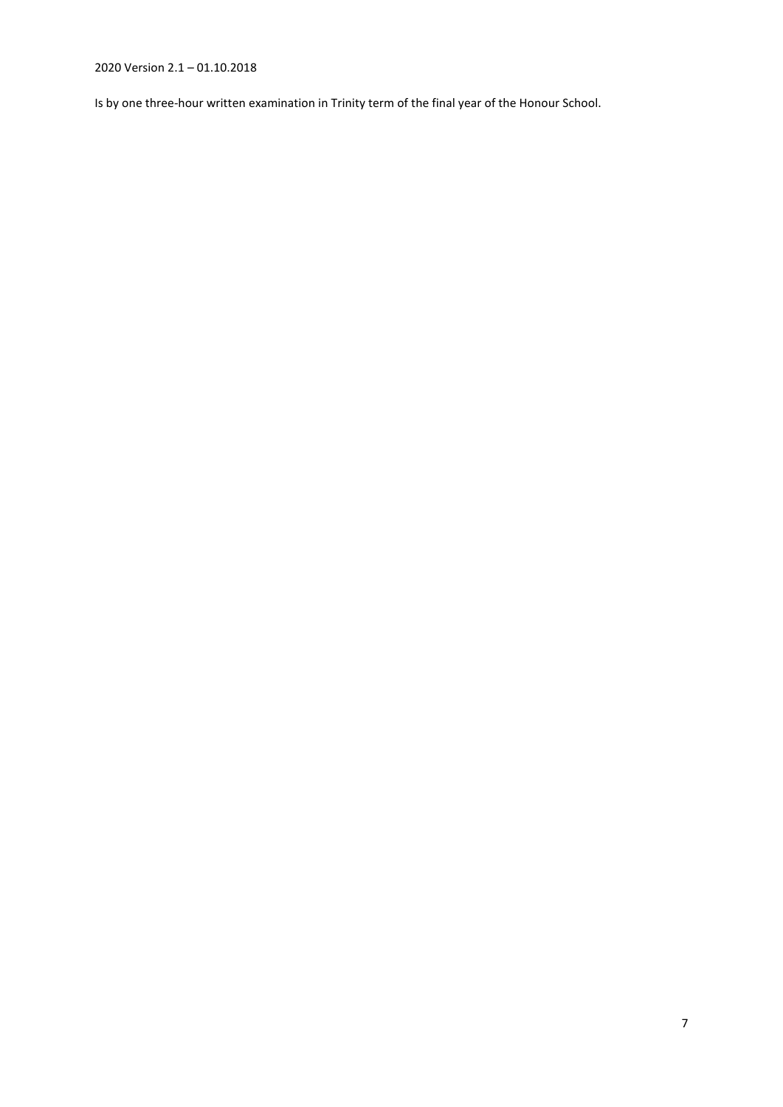2020 Version 2.1 – 01.10.2018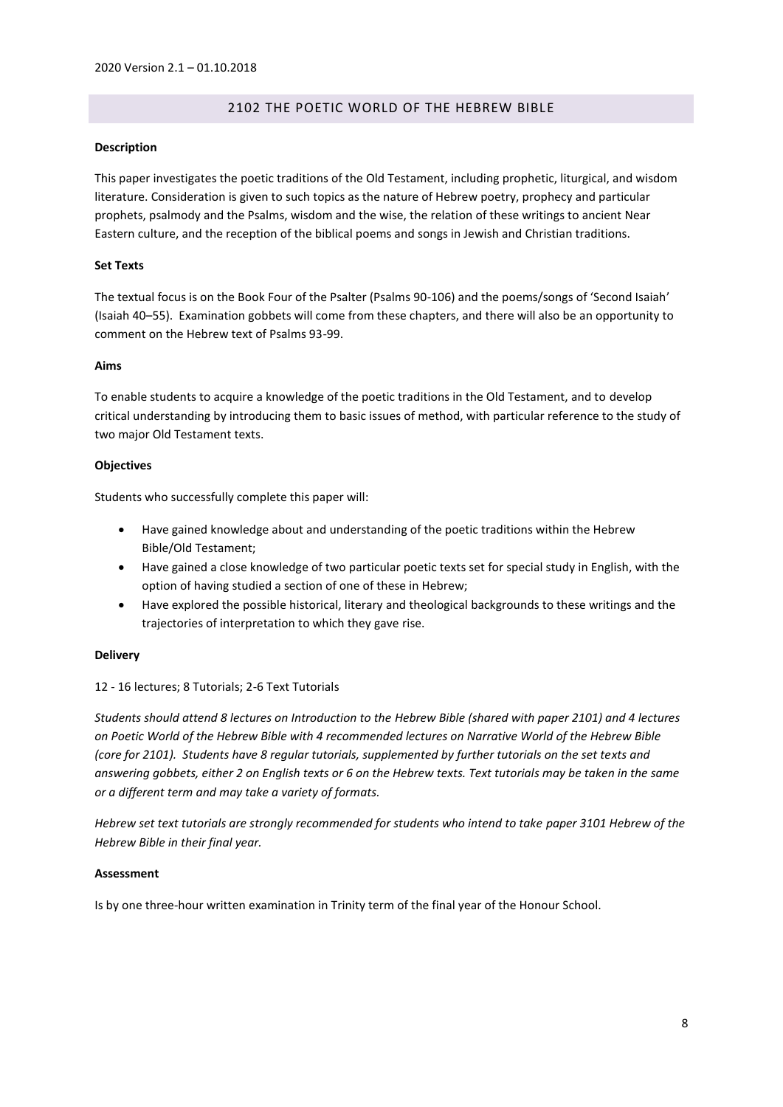# 2102 THE POETIC WORLD OF THE HEBREW BIBLE

## <span id="page-7-0"></span>**Description**

This paper investigates the poetic traditions of the Old Testament, including prophetic, liturgical, and wisdom literature. Consideration is given to such topics as the nature of Hebrew poetry, prophecy and particular prophets, psalmody and the Psalms, wisdom and the wise, the relation of these writings to ancient Near Eastern culture, and the reception of the biblical poems and songs in Jewish and Christian traditions.

# **Set Texts**

The textual focus is on the Book Four of the Psalter (Psalms 90-106) and the poems/songs of 'Second Isaiah' (Isaiah 40–55). Examination gobbets will come from these chapters, and there will also be an opportunity to comment on the Hebrew text of Psalms 93-99.

## **Aims**

To enable students to acquire a knowledge of the poetic traditions in the Old Testament, and to develop critical understanding by introducing them to basic issues of method, with particular reference to the study of two major Old Testament texts.

## **Objectives**

Students who successfully complete this paper will:

- Have gained knowledge about and understanding of the poetic traditions within the Hebrew Bible/Old Testament;
- Have gained a close knowledge of two particular poetic texts set for special study in English, with the option of having studied a section of one of these in Hebrew;
- Have explored the possible historical, literary and theological backgrounds to these writings and the trajectories of interpretation to which they gave rise.

# **Delivery**

# 12 - 16 lectures; 8 Tutorials; 2-6 Text Tutorials

*Students should attend 8 lectures on Introduction to the Hebrew Bible (shared with paper 2101) and 4 lectures on Poetic World of the Hebrew Bible with 4 recommended lectures on Narrative World of the Hebrew Bible (core for 2101). Students have 8 regular tutorials, supplemented by further tutorials on the set texts and answering gobbets, either 2 on English texts or 6 on the Hebrew texts. Text tutorials may be taken in the same or a different term and may take a variety of formats.*

*Hebrew set text tutorials are strongly recommended for students who intend to take paper 3101 Hebrew of the Hebrew Bible in their final year.*

# **Assessment**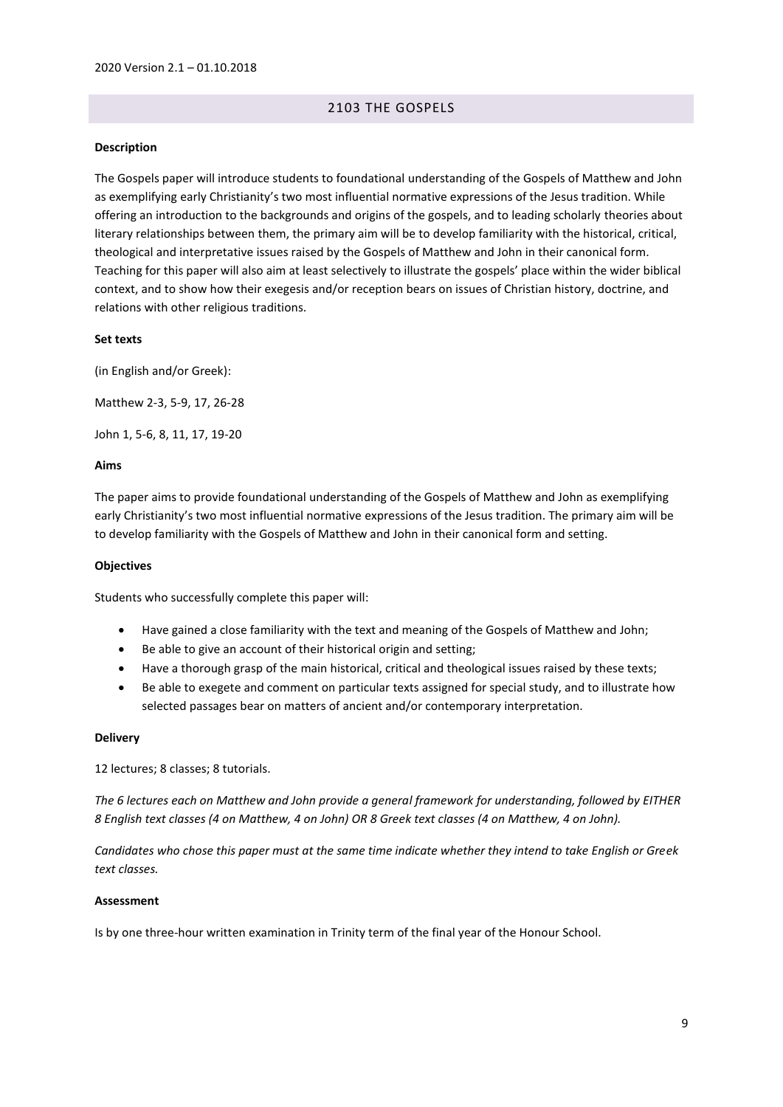# 2103 THE GOSPELS

#### <span id="page-8-0"></span>**Description**

The Gospels paper will introduce students to foundational understanding of the Gospels of Matthew and John as exemplifying early Christianity's two most influential normative expressions of the Jesus tradition. While offering an introduction to the backgrounds and origins of the gospels, and to leading scholarly theories about literary relationships between them, the primary aim will be to develop familiarity with the historical, critical, theological and interpretative issues raised by the Gospels of Matthew and John in their canonical form. Teaching for this paper will also aim at least selectively to illustrate the gospels' place within the wider biblical context, and to show how their exegesis and/or reception bears on issues of Christian history, doctrine, and relations with other religious traditions.

#### **Set texts**

(in English and/or Greek):

Matthew 2-3, 5-9, 17, 26-28

John 1, 5-6, 8, 11, 17, 19-20

#### **Aims**

The paper aims to provide foundational understanding of the Gospels of Matthew and John as exemplifying early Christianity's two most influential normative expressions of the Jesus tradition. The primary aim will be to develop familiarity with the Gospels of Matthew and John in their canonical form and setting.

#### **Objectives**

Students who successfully complete this paper will:

- Have gained a close familiarity with the text and meaning of the Gospels of Matthew and John;
- Be able to give an account of their historical origin and setting;
- Have a thorough grasp of the main historical, critical and theological issues raised by these texts;
- Be able to exegete and comment on particular texts assigned for special study, and to illustrate how selected passages bear on matters of ancient and/or contemporary interpretation.

#### **Delivery**

12 lectures; 8 classes; 8 tutorials.

*The 6 lectures each on Matthew and John provide a general framework for understanding, followed by EITHER 8 English text classes (4 on Matthew, 4 on John) OR 8 Greek text classes (4 on Matthew, 4 on John).* 

*Candidates who chose this paper must at the same time indicate whether they intend to take English or Greek text classes.*

#### **Assessment**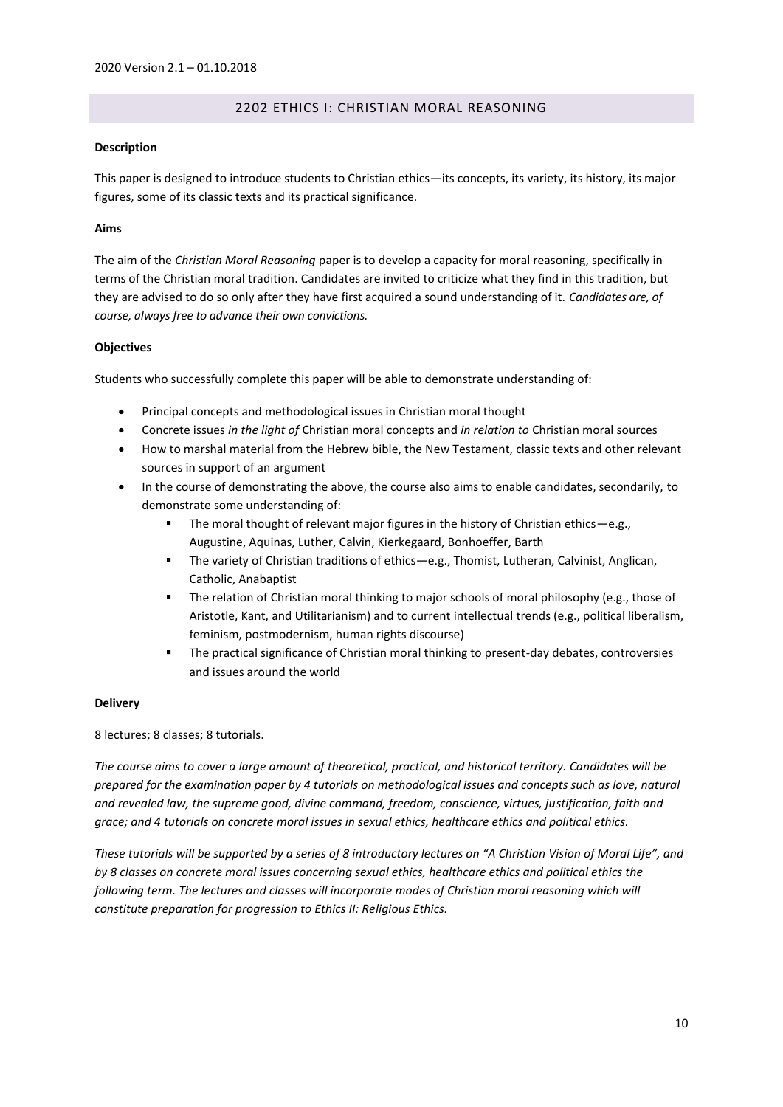# 2202 ETHICS I: CHRISTIAN MORAL REASONING

## <span id="page-9-0"></span>**Description**

This paper is designed to introduce students to Christian ethics—its concepts, its variety, its history, its major figures, some of its classic texts and its practical significance.

# **Aims**

The aim of the *Christian Moral Reasoning* paper is to develop a capacity for moral reasoning, specifically in terms of the Christian moral tradition. Candidates are invited to criticize what they find in this tradition, but they are advised to do so only after they have first acquired a sound understanding of it. *Candidates are, of course, always free to advance their own convictions.*

# **Objectives**

Students who successfully complete this paper will be able to demonstrate understanding of:

- Principal concepts and methodological issues in Christian moral thought
- Concrete issues *in the light of* Christian moral concepts and *in relation to* Christian moral sources
- How to marshal material from the Hebrew bible, the New Testament, classic texts and other relevant sources in support of an argument
- In the course of demonstrating the above, the course also aims to enable candidates, secondarily, to demonstrate some understanding of:
	- The moral thought of relevant major figures in the history of Christian ethics—e.g., Augustine, Aquinas, Luther, Calvin, Kierkegaard, Bonhoeffer, Barth
	- The variety of Christian traditions of ethics—e.g., Thomist, Lutheran, Calvinist, Anglican, Catholic, Anabaptist
	- The relation of Christian moral thinking to major schools of moral philosophy (e.g., those of Aristotle, Kant, and Utilitarianism) and to current intellectual trends (e.g., political liberalism, feminism, postmodernism, human rights discourse)
	- The practical significance of Christian moral thinking to present-day debates, controversies and issues around the world

# **Delivery**

8 lectures; 8 classes; 8 tutorials.

*The course aims to cover a large amount of theoretical, practical, and historical territory. Candidates will be prepared for the examination paper by 4 tutorials on methodological issues and concepts such as love, natural and revealed law, the supreme good, divine command, freedom, conscience, virtues, justification, faith and grace; and 4 tutorials on concrete moral issues in sexual ethics, healthcare ethics and political ethics.* 

*These tutorials will be supported by a series of 8 introductory lectures on "A Christian Vision of Moral Life", and by 8 classes on concrete moral issues concerning sexual ethics, healthcare ethics and political ethics the following term. The lectures and classes will incorporate modes of Christian moral reasoning which will constitute preparation for progression to Ethics II: Religious Ethics.*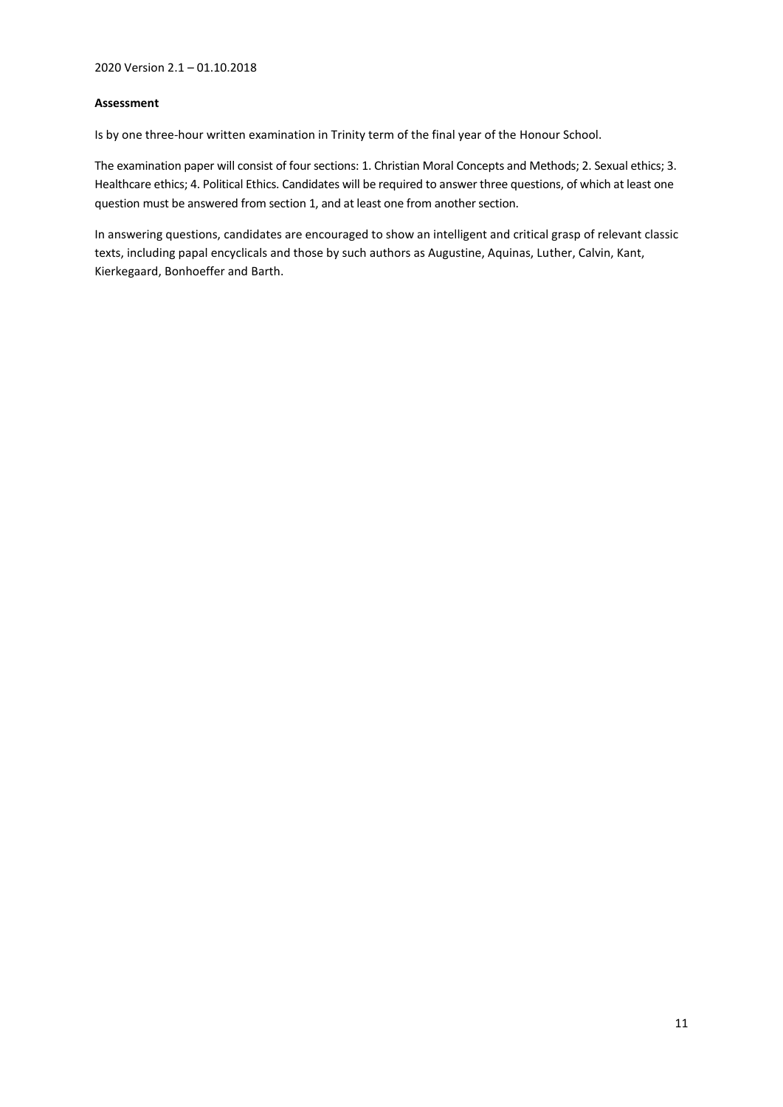# **Assessment**

Is by one three-hour written examination in Trinity term of the final year of the Honour School.

The examination paper will consist of four sections: 1. Christian Moral Concepts and Methods; 2. Sexual ethics; 3. Healthcare ethics; 4. Political Ethics. Candidates will be required to answer three questions, of which at least one question must be answered from section 1, and at least one from another section.

In answering questions, candidates are encouraged to show an intelligent and critical grasp of relevant classic texts, including papal encyclicals and those by such authors as Augustine, Aquinas, Luther, Calvin, Kant, Kierkegaard, Bonhoeffer and Barth.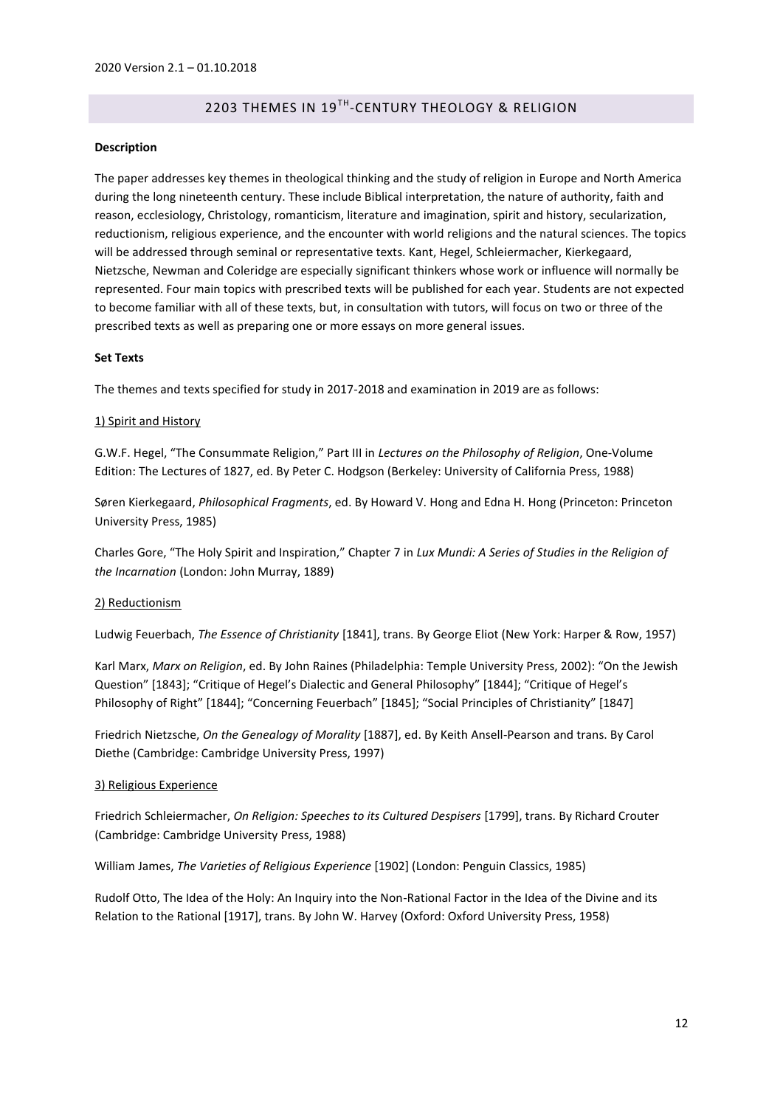# 2203 THEMES IN 19<sup>TH</sup>-CENTURY THEOLOGY & RELIGION

## <span id="page-11-0"></span>**Description**

The paper addresses key themes in theological thinking and the study of religion in Europe and North America during the long nineteenth century. These include Biblical interpretation, the nature of authority, faith and reason, ecclesiology, Christology, romanticism, literature and imagination, spirit and history, secularization, reductionism, religious experience, and the encounter with world religions and the natural sciences. The topics will be addressed through seminal or representative texts. Kant, Hegel, Schleiermacher, Kierkegaard, Nietzsche, Newman and Coleridge are especially significant thinkers whose work or influence will normally be represented. Four main topics with prescribed texts will be published for each year. Students are not expected to become familiar with all of these texts, but, in consultation with tutors, will focus on two or three of the prescribed texts as well as preparing one or more essays on more general issues.

#### **Set Texts**

The themes and texts specified for study in 2017-2018 and examination in 2019 are as follows:

#### 1) Spirit and History

G.W.F. Hegel, "The Consummate Religion," Part III in *Lectures on the Philosophy of Religion*, One-Volume Edition: The Lectures of 1827, ed. By Peter C. Hodgson (Berkeley: University of California Press, 1988)

Søren Kierkegaard, *Philosophical Fragments*, ed. By Howard V. Hong and Edna H. Hong (Princeton: Princeton University Press, 1985)

Charles Gore, "The Holy Spirit and Inspiration," Chapter 7 in *Lux Mundi: A Series of Studies in the Religion of the Incarnation* (London: John Murray, 1889)

#### 2) Reductionism

Ludwig Feuerbach, *The Essence of Christianity* [1841], trans. By George Eliot (New York: Harper & Row, 1957)

Karl Marx, *Marx on Religion*, ed. By John Raines (Philadelphia: Temple University Press, 2002): "On the Jewish Question" [1843]; "Critique of Hegel's Dialectic and General Philosophy" [1844]; "Critique of Hegel's Philosophy of Right" [1844]; "Concerning Feuerbach" [1845]; "Social Principles of Christianity" [1847]

Friedrich Nietzsche, *On the Genealogy of Morality* [1887], ed. By Keith Ansell-Pearson and trans. By Carol Diethe (Cambridge: Cambridge University Press, 1997)

#### 3) Religious Experience

Friedrich Schleiermacher, *On Religion: Speeches to its Cultured Despisers* [1799], trans. By Richard Crouter (Cambridge: Cambridge University Press, 1988)

William James, *The Varieties of Religious Experience* [1902] (London: Penguin Classics, 1985)

Rudolf Otto, The Idea of the Holy: An Inquiry into the Non-Rational Factor in the Idea of the Divine and its Relation to the Rational [1917], trans. By John W. Harvey (Oxford: Oxford University Press, 1958)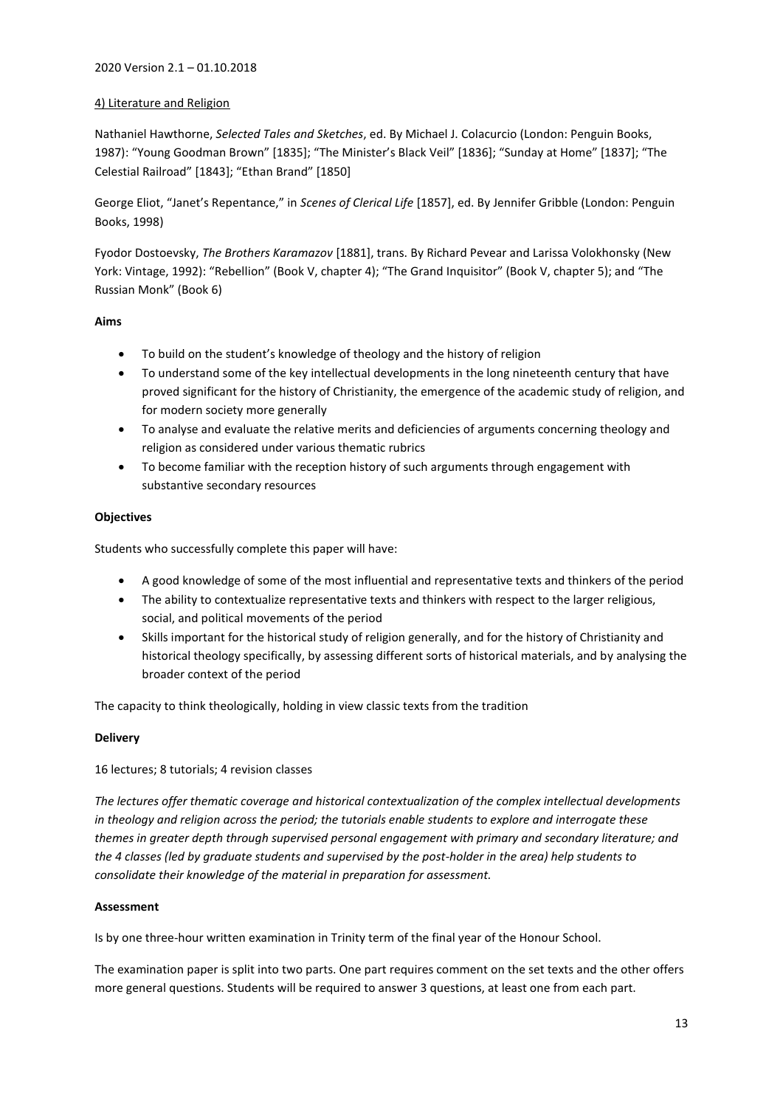# 2020 Version 2.1 – 01.10.2018

# 4) Literature and Religion

Nathaniel Hawthorne, *Selected Tales and Sketches*, ed. By Michael J. Colacurcio (London: Penguin Books, 1987): "Young Goodman Brown" [1835]; "The Minister's Black Veil" [1836]; "Sunday at Home" [1837]; "The Celestial Railroad" [1843]; "Ethan Brand" [1850]

George Eliot, "Janet's Repentance," in *Scenes of Clerical Life* [1857], ed. By Jennifer Gribble (London: Penguin Books, 1998)

Fyodor Dostoevsky, *The Brothers Karamazov* [1881], trans. By Richard Pevear and Larissa Volokhonsky (New York: Vintage, 1992): "Rebellion" (Book V, chapter 4); "The Grand Inquisitor" (Book V, chapter 5); and "The Russian Monk" (Book 6)

# **Aims**

- To build on the student's knowledge of theology and the history of religion
- To understand some of the key intellectual developments in the long nineteenth century that have proved significant for the history of Christianity, the emergence of the academic study of religion, and for modern society more generally
- To analyse and evaluate the relative merits and deficiencies of arguments concerning theology and religion as considered under various thematic rubrics
- To become familiar with the reception history of such arguments through engagement with substantive secondary resources

# **Objectives**

Students who successfully complete this paper will have:

- A good knowledge of some of the most influential and representative texts and thinkers of the period
- The ability to contextualize representative texts and thinkers with respect to the larger religious, social, and political movements of the period
- Skills important for the historical study of religion generally, and for the history of Christianity and historical theology specifically, by assessing different sorts of historical materials, and by analysing the broader context of the period

The capacity to think theologically, holding in view classic texts from the tradition

# **Delivery**

16 lectures; 8 tutorials; 4 revision classes

*The lectures offer thematic coverage and historical contextualization of the complex intellectual developments in theology and religion across the period; the tutorials enable students to explore and interrogate these themes in greater depth through supervised personal engagement with primary and secondary literature; and the 4 classes (led by graduate students and supervised by the post-holder in the area) help students to consolidate their knowledge of the material in preparation for assessment.*

# **Assessment**

Is by one three-hour written examination in Trinity term of the final year of the Honour School.

The examination paper is split into two parts. One part requires comment on the set texts and the other offers more general questions. Students will be required to answer 3 questions, at least one from each part.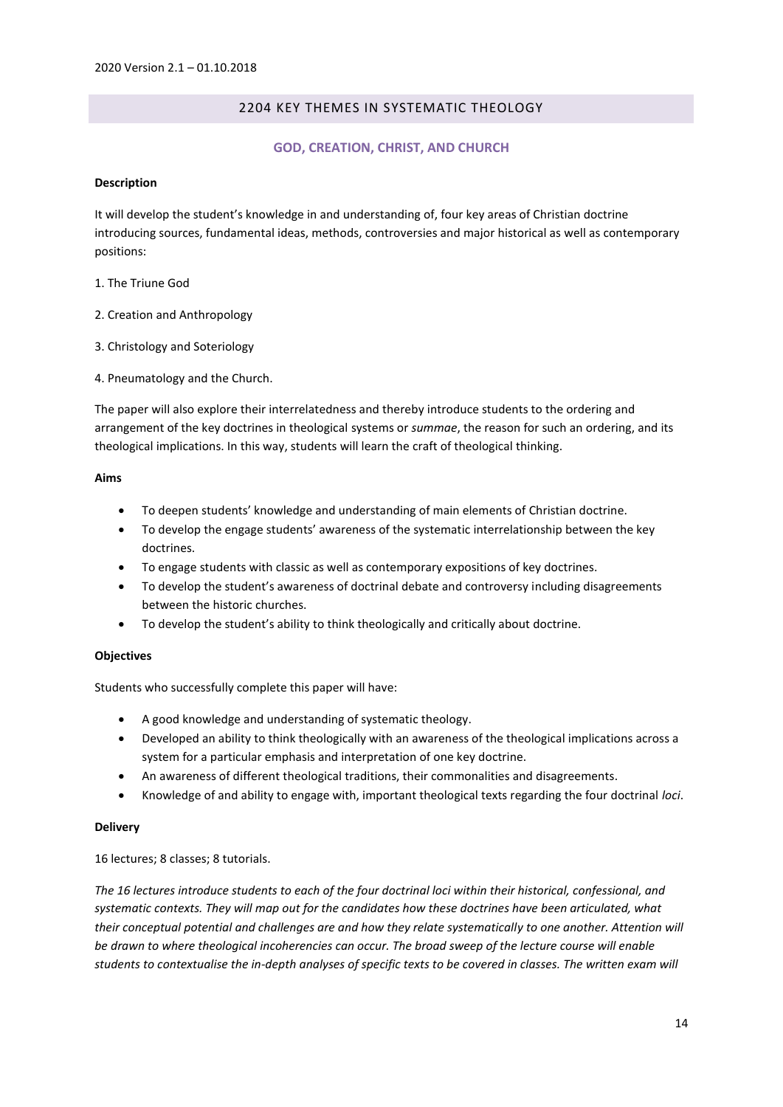# 2204 KEY THEMES IN SYSTEMATIC THEOLOGY

# **GOD, CREATION, CHRIST, AND CHURCH**

## <span id="page-13-1"></span><span id="page-13-0"></span>**Description**

It will develop the student's knowledge in and understanding of, four key areas of Christian doctrine introducing sources, fundamental ideas, methods, controversies and major historical as well as contemporary positions:

- 1. The Triune God
- 2. Creation and Anthropology
- 3. Christology and Soteriology
- 4. Pneumatology and the Church.

The paper will also explore their interrelatedness and thereby introduce students to the ordering and arrangement of the key doctrines in theological systems or *summae*, the reason for such an ordering, and its theological implications. In this way, students will learn the craft of theological thinking.

# **Aims**

- To deepen students' knowledge and understanding of main elements of Christian doctrine.
- To develop the engage students' awareness of the systematic interrelationship between the key doctrines.
- To engage students with classic as well as contemporary expositions of key doctrines.
- To develop the student's awareness of doctrinal debate and controversy including disagreements between the historic churches.
- To develop the student's ability to think theologically and critically about doctrine.

# **Objectives**

Students who successfully complete this paper will have:

- A good knowledge and understanding of systematic theology.
- Developed an ability to think theologically with an awareness of the theological implications across a system for a particular emphasis and interpretation of one key doctrine.
- An awareness of different theological traditions, their commonalities and disagreements.
- Knowledge of and ability to engage with, important theological texts regarding the four doctrinal *loci*.

# **Delivery**

# 16 lectures; 8 classes; 8 tutorials.

*The 16 lectures introduce students to each of the four doctrinal loci within their historical, confessional, and systematic contexts. They will map out for the candidates how these doctrines have been articulated, what their conceptual potential and challenges are and how they relate systematically to one another. Attention will be drawn to where theological incoherencies can occur. The broad sweep of the lecture course will enable students to contextualise the in-depth analyses of specific texts to be covered in classes. The written exam will*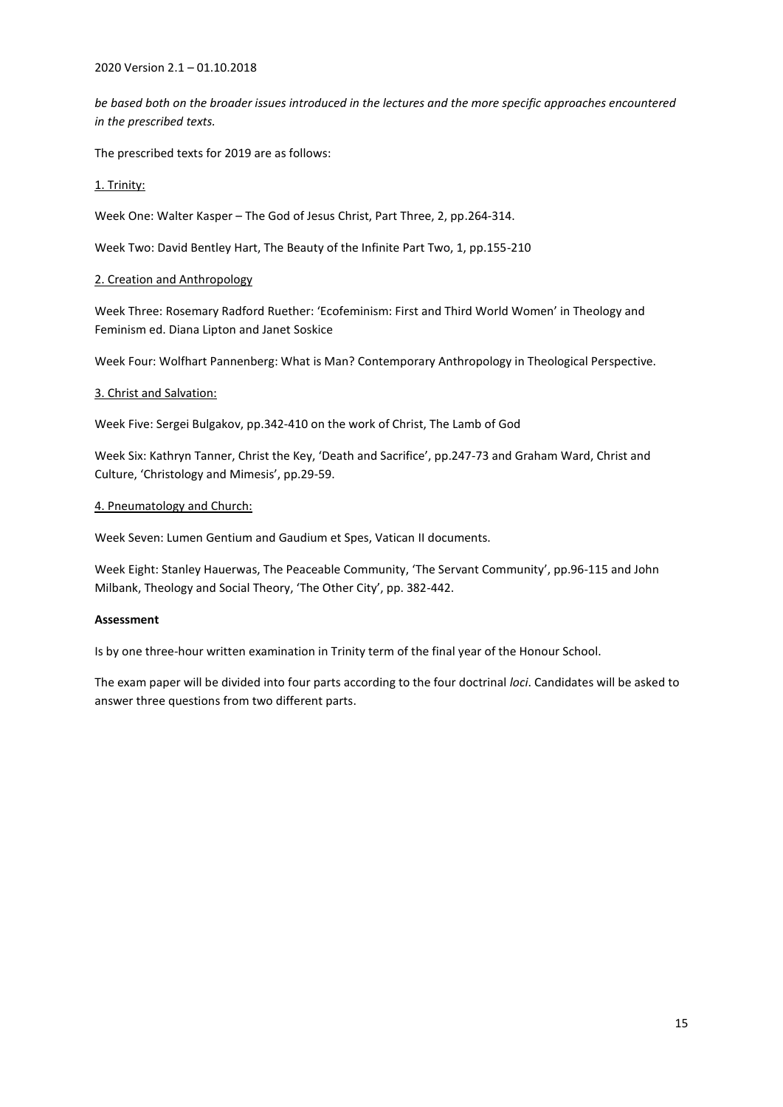2020 Version 2.1 – 01.10.2018

*be based both on the broader issues introduced in the lectures and the more specific approaches encountered in the prescribed texts.*

The prescribed texts for 2019 are as follows:

# 1. Trinity:

Week One: Walter Kasper – The God of Jesus Christ, Part Three, 2, pp.264-314.

Week Two: David Bentley Hart, The Beauty of the Infinite Part Two, 1, pp.155-210

# 2. Creation and Anthropology

Week Three: Rosemary Radford Ruether: 'Ecofeminism: First and Third World Women' in Theology and Feminism ed. Diana Lipton and Janet Soskice

Week Four: Wolfhart Pannenberg: What is Man? Contemporary Anthropology in Theological Perspective.

# 3. Christ and Salvation:

Week Five: Sergei Bulgakov, pp.342-410 on the work of Christ, The Lamb of God

Week Six: Kathryn Tanner, Christ the Key, 'Death and Sacrifice', pp.247-73 and Graham Ward, Christ and Culture, 'Christology and Mimesis', pp.29-59.

## 4. Pneumatology and Church:

Week Seven: Lumen Gentium and Gaudium et Spes, Vatican II documents.

Week Eight: Stanley Hauerwas, The Peaceable Community, 'The Servant Community', pp.96-115 and John Milbank, Theology and Social Theory, 'The Other City', pp. 382-442.

# **Assessment**

Is by one three-hour written examination in Trinity term of the final year of the Honour School.

The exam paper will be divided into four parts according to the four doctrinal *loci*. Candidates will be asked to answer three questions from two different parts.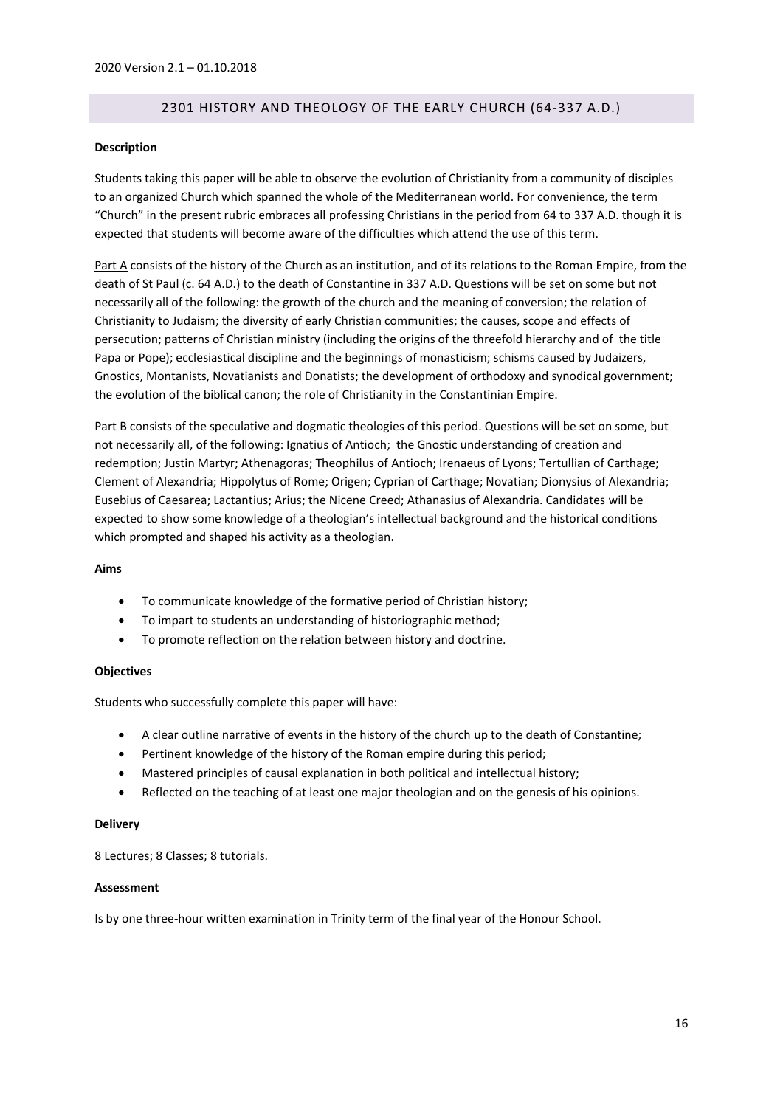# 2301 HISTORY AND THEOLOGY OF THE EARLY CHURCH (64-337 A.D.)

#### <span id="page-15-0"></span>**Description**

Students taking this paper will be able to observe the evolution of Christianity from a community of disciples to an organized Church which spanned the whole of the Mediterranean world. For convenience, the term "Church" in the present rubric embraces all professing Christians in the period from 64 to 337 A.D. though it is expected that students will become aware of the difficulties which attend the use of this term.

Part A consists of the history of the Church as an institution, and of its relations to the Roman Empire, from the death of St Paul (c. 64 A.D.) to the death of Constantine in 337 A.D. Questions will be set on some but not necessarily all of the following: the growth of the church and the meaning of conversion; the relation of Christianity to Judaism; the diversity of early Christian communities; the causes, scope and effects of persecution; patterns of Christian ministry (including the origins of the threefold hierarchy and of the title Papa or Pope); ecclesiastical discipline and the beginnings of monasticism; schisms caused by Judaizers, Gnostics, Montanists, Novatianists and Donatists; the development of orthodoxy and synodical government; the evolution of the biblical canon; the role of Christianity in the Constantinian Empire.

Part B consists of the speculative and dogmatic theologies of this period. Questions will be set on some, but not necessarily all, of the following: Ignatius of Antioch; the Gnostic understanding of creation and redemption; Justin Martyr; Athenagoras; Theophilus of Antioch; Irenaeus of Lyons; Tertullian of Carthage; Clement of Alexandria; Hippolytus of Rome; Origen; Cyprian of Carthage; Novatian; Dionysius of Alexandria; Eusebius of Caesarea; Lactantius; Arius; the Nicene Creed; Athanasius of Alexandria. Candidates will be expected to show some knowledge of a theologian's intellectual background and the historical conditions which prompted and shaped his activity as a theologian.

#### **Aims**

- To communicate knowledge of the formative period of Christian history;
- To impart to students an understanding of historiographic method;
- To promote reflection on the relation between history and doctrine.

#### **Objectives**

Students who successfully complete this paper will have:

- A clear outline narrative of events in the history of the church up to the death of Constantine;
- Pertinent knowledge of the history of the Roman empire during this period;
- Mastered principles of causal explanation in both political and intellectual history;
- Reflected on the teaching of at least one major theologian and on the genesis of his opinions.

#### **Delivery**

8 Lectures; 8 Classes; 8 tutorials.

## **Assessment**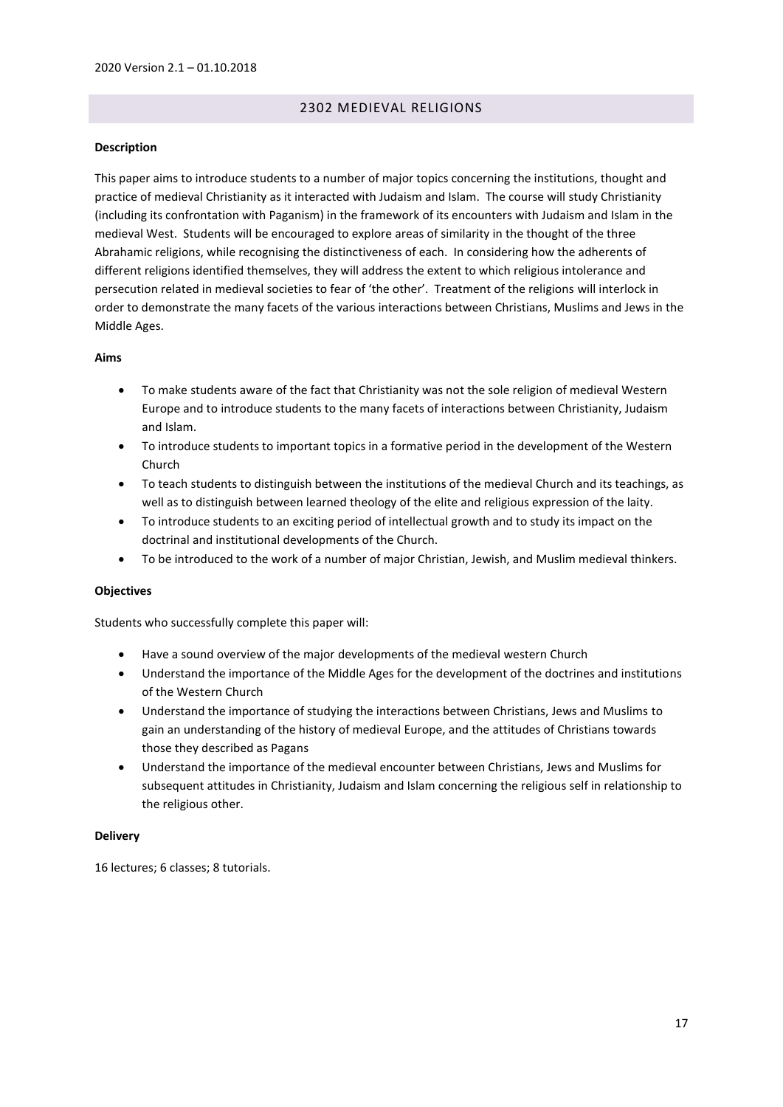# 2302 MEDIEVAL RELIGIONS

## <span id="page-16-0"></span>**Description**

This paper aims to introduce students to a number of major topics concerning the institutions, thought and practice of medieval Christianity as it interacted with Judaism and Islam. The course will study Christianity (including its confrontation with Paganism) in the framework of its encounters with Judaism and Islam in the medieval West. Students will be encouraged to explore areas of similarity in the thought of the three Abrahamic religions, while recognising the distinctiveness of each. In considering how the adherents of different religions identified themselves, they will address the extent to which religious intolerance and persecution related in medieval societies to fear of 'the other'. Treatment of the religions will interlock in order to demonstrate the many facets of the various interactions between Christians, Muslims and Jews in the Middle Ages.

## **Aims**

- To make students aware of the fact that Christianity was not the sole religion of medieval Western Europe and to introduce students to the many facets of interactions between Christianity, Judaism and Islam.
- To introduce students to important topics in a formative period in the development of the Western Church
- To teach students to distinguish between the institutions of the medieval Church and its teachings, as well as to distinguish between learned theology of the elite and religious expression of the laity.
- To introduce students to an exciting period of intellectual growth and to study its impact on the doctrinal and institutional developments of the Church.
- To be introduced to the work of a number of major Christian, Jewish, and Muslim medieval thinkers.

#### **Objectives**

Students who successfully complete this paper will:

- Have a sound overview of the major developments of the medieval western Church
- Understand the importance of the Middle Ages for the development of the doctrines and institutions of the Western Church
- Understand the importance of studying the interactions between Christians, Jews and Muslims to gain an understanding of the history of medieval Europe, and the attitudes of Christians towards those they described as Pagans
- Understand the importance of the medieval encounter between Christians, Jews and Muslims for subsequent attitudes in Christianity, Judaism and Islam concerning the religious self in relationship to the religious other.

#### **Delivery**

16 lectures; 6 classes; 8 tutorials.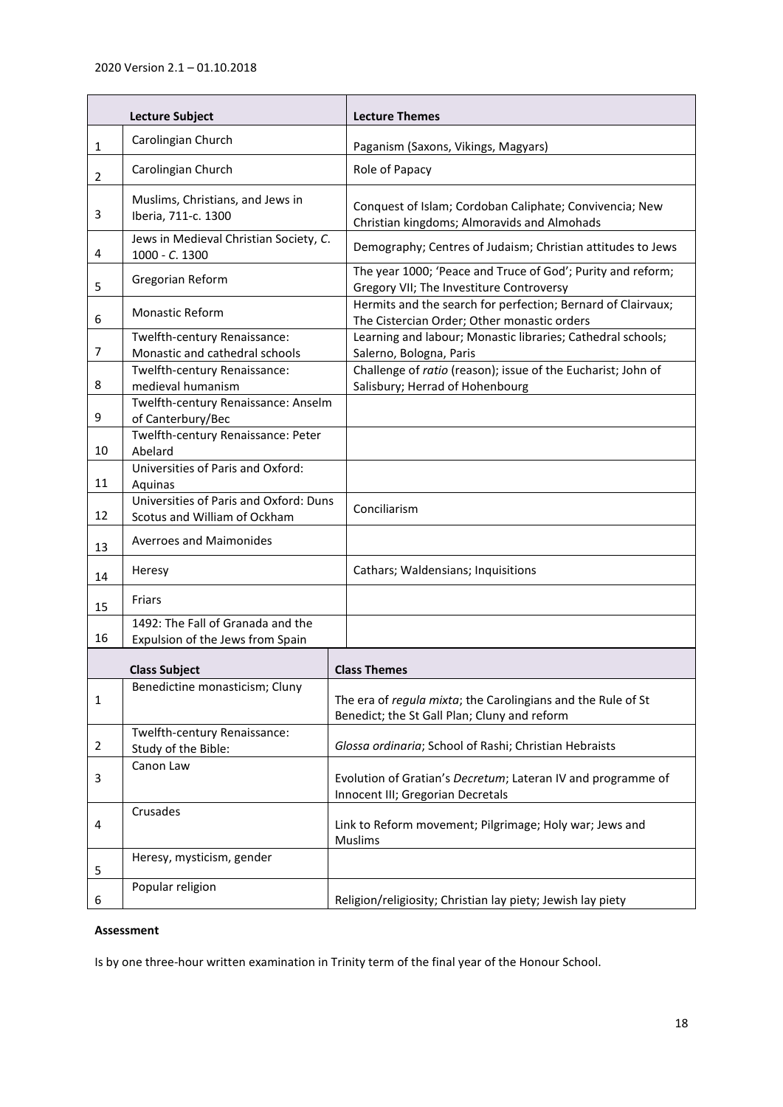| <b>Lecture Subject</b> |                                                                        | <b>Lecture Themes</b>                                                                                        |  |
|------------------------|------------------------------------------------------------------------|--------------------------------------------------------------------------------------------------------------|--|
| $\mathbf{1}$           | Carolingian Church                                                     | Paganism (Saxons, Vikings, Magyars)                                                                          |  |
| $\overline{2}$         | Carolingian Church                                                     | Role of Papacy                                                                                               |  |
| 3                      | Muslims, Christians, and Jews in<br>Iberia, 711-c. 1300                | Conquest of Islam; Cordoban Caliphate; Convivencia; New<br>Christian kingdoms; Almoravids and Almohads       |  |
| 4                      | Jews in Medieval Christian Society, C.<br>1000 - C. 1300               | Demography; Centres of Judaism; Christian attitudes to Jews                                                  |  |
| 5                      | Gregorian Reform                                                       | The year 1000; 'Peace and Truce of God'; Purity and reform;<br>Gregory VII; The Investiture Controversy      |  |
| 6                      | <b>Monastic Reform</b>                                                 | Hermits and the search for perfection; Bernard of Clairvaux;<br>The Cistercian Order; Other monastic orders  |  |
| 7                      | Twelfth-century Renaissance:<br>Monastic and cathedral schools         | Learning and labour; Monastic libraries; Cathedral schools;<br>Salerno, Bologna, Paris                       |  |
| 8                      | Twelfth-century Renaissance:<br>medieval humanism                      | Challenge of ratio (reason); issue of the Eucharist; John of<br>Salisbury; Herrad of Hohenbourg              |  |
| 9                      | Twelfth-century Renaissance: Anselm<br>of Canterbury/Bec               |                                                                                                              |  |
| 10                     | Twelfth-century Renaissance: Peter<br>Abelard                          |                                                                                                              |  |
| 11                     | Universities of Paris and Oxford:<br>Aquinas                           |                                                                                                              |  |
| 12                     | Universities of Paris and Oxford: Duns<br>Scotus and William of Ockham | Conciliarism                                                                                                 |  |
| 13                     | <b>Averroes and Maimonides</b>                                         |                                                                                                              |  |
| 14                     | Heresy                                                                 | Cathars; Waldensians; Inquisitions                                                                           |  |
| 15                     | Friars                                                                 |                                                                                                              |  |
| 16                     | 1492: The Fall of Granada and the<br>Expulsion of the Jews from Spain  |                                                                                                              |  |
|                        | <b>Class Subject</b>                                                   | <b>Class Themes</b>                                                                                          |  |
| 1                      | Benedictine monasticism; Cluny                                         | The era of regula mixta; the Carolingians and the Rule of St<br>Benedict; the St Gall Plan; Cluny and reform |  |
| 2                      | Twelfth-century Renaissance:<br>Study of the Bible:                    | Glossa ordinaria; School of Rashi; Christian Hebraists                                                       |  |
| 3                      | Canon Law                                                              | Evolution of Gratian's Decretum; Lateran IV and programme of<br>Innocent III; Gregorian Decretals            |  |
| 4                      | Crusades                                                               | Link to Reform movement; Pilgrimage; Holy war; Jews and<br><b>Muslims</b>                                    |  |
| 5                      | Heresy, mysticism, gender                                              |                                                                                                              |  |
| 6                      | Popular religion                                                       | Religion/religiosity; Christian lay piety; Jewish lay piety                                                  |  |

# **Assessment**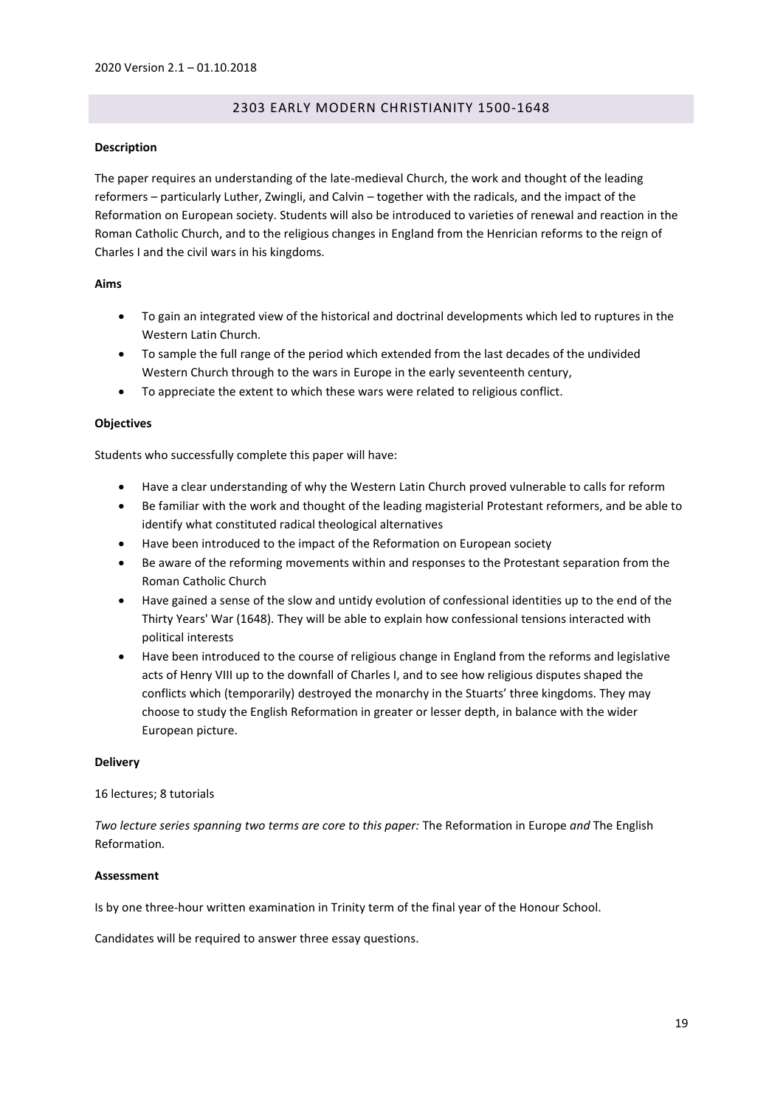# 2303 EARLY MODERN CHRISTIANITY 1500-1648

#### <span id="page-18-0"></span>**Description**

The paper requires an understanding of the late-medieval Church, the work and thought of the leading reformers – particularly Luther, Zwingli, and Calvin – together with the radicals, and the impact of the Reformation on European society. Students will also be introduced to varieties of renewal and reaction in the Roman Catholic Church, and to the religious changes in England from the Henrician reforms to the reign of Charles I and the civil wars in his kingdoms.

## **Aims**

- To gain an integrated view of the historical and doctrinal developments which led to ruptures in the Western Latin Church.
- To sample the full range of the period which extended from the last decades of the undivided Western Church through to the wars in Europe in the early seventeenth century,
- To appreciate the extent to which these wars were related to religious conflict.

## **Objectives**

Students who successfully complete this paper will have:

- Have a clear understanding of why the Western Latin Church proved vulnerable to calls for reform
- Be familiar with the work and thought of the leading magisterial Protestant reformers, and be able to identify what constituted radical theological alternatives
- Have been introduced to the impact of the Reformation on European society
- Be aware of the reforming movements within and responses to the Protestant separation from the Roman Catholic Church
- Have gained a sense of the slow and untidy evolution of confessional identities up to the end of the Thirty Years' War (1648). They will be able to explain how confessional tensions interacted with political interests
- Have been introduced to the course of religious change in England from the reforms and legislative acts of Henry VIII up to the downfall of Charles I, and to see how religious disputes shaped the conflicts which (temporarily) destroyed the monarchy in the Stuarts' three kingdoms. They may choose to study the English Reformation in greater or lesser depth, in balance with the wider European picture.

#### **Delivery**

#### 16 lectures; 8 tutorials

*Two lecture series spanning two terms are core to this paper:* The Reformation in Europe *and* The English Reformation*.*

#### **Assessment**

Is by one three-hour written examination in Trinity term of the final year of the Honour School.

Candidates will be required to answer three essay questions.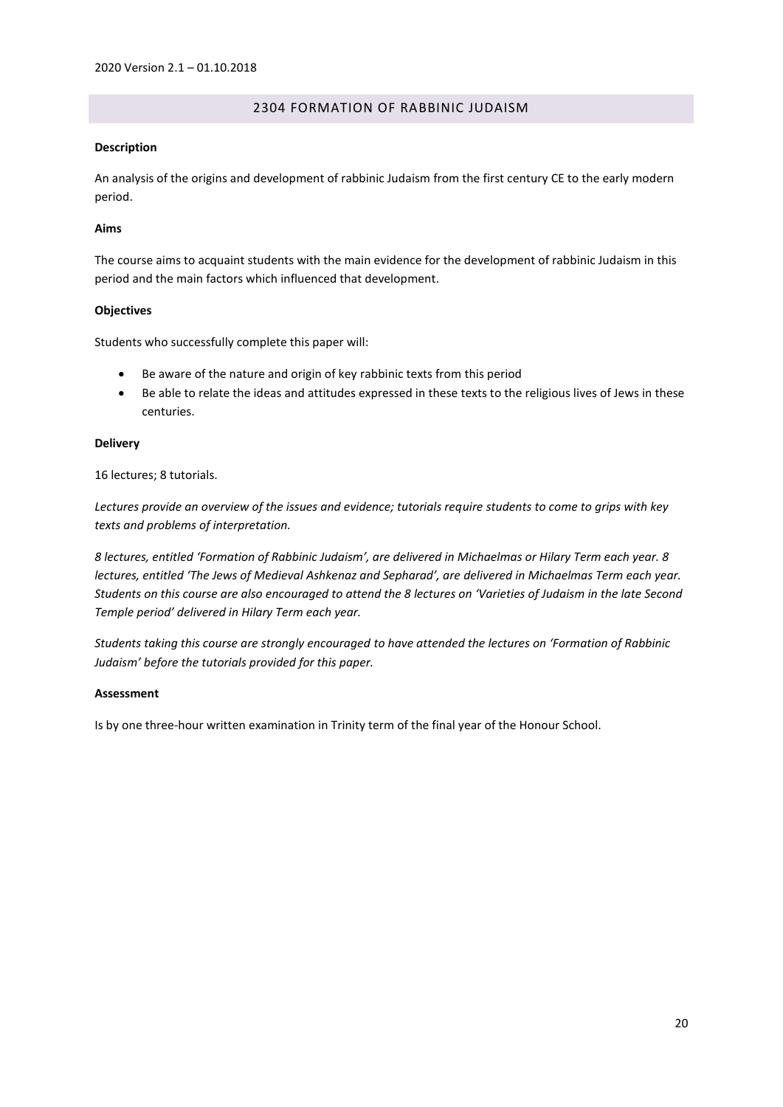# 2304 FORMATION OF RABBINIC JUDAISM

## <span id="page-19-0"></span>**Description**

An analysis of the origins and development of rabbinic Judaism from the first century CE to the early modern period.

## **Aims**

The course aims to acquaint students with the main evidence for the development of rabbinic Judaism in this period and the main factors which influenced that development.

## **Objectives**

Students who successfully complete this paper will:

- Be aware of the nature and origin of key rabbinic texts from this period
- Be able to relate the ideas and attitudes expressed in these texts to the religious lives of Jews in these centuries.

## **Delivery**

16 lectures; 8 tutorials.

*Lectures provide an overview of the issues and evidence; tutorials require students to come to grips with key texts and problems of interpretation.*

*8 lectures, entitled 'Formation of Rabbinic Judaism', are delivered in Michaelmas or Hilary Term each year. 8 lectures, entitled 'The Jews of Medieval Ashkenaz and Sepharad', are delivered in Michaelmas Term each year. Students on this course are also encouraged to attend the 8 lectures on 'Varieties of Judaism in the late Second Temple period' delivered in Hilary Term each year.*

*Students taking this course are strongly encouraged to have attended the lectures on 'Formation of Rabbinic Judaism' before the tutorials provided for this paper.*

#### **Assessment**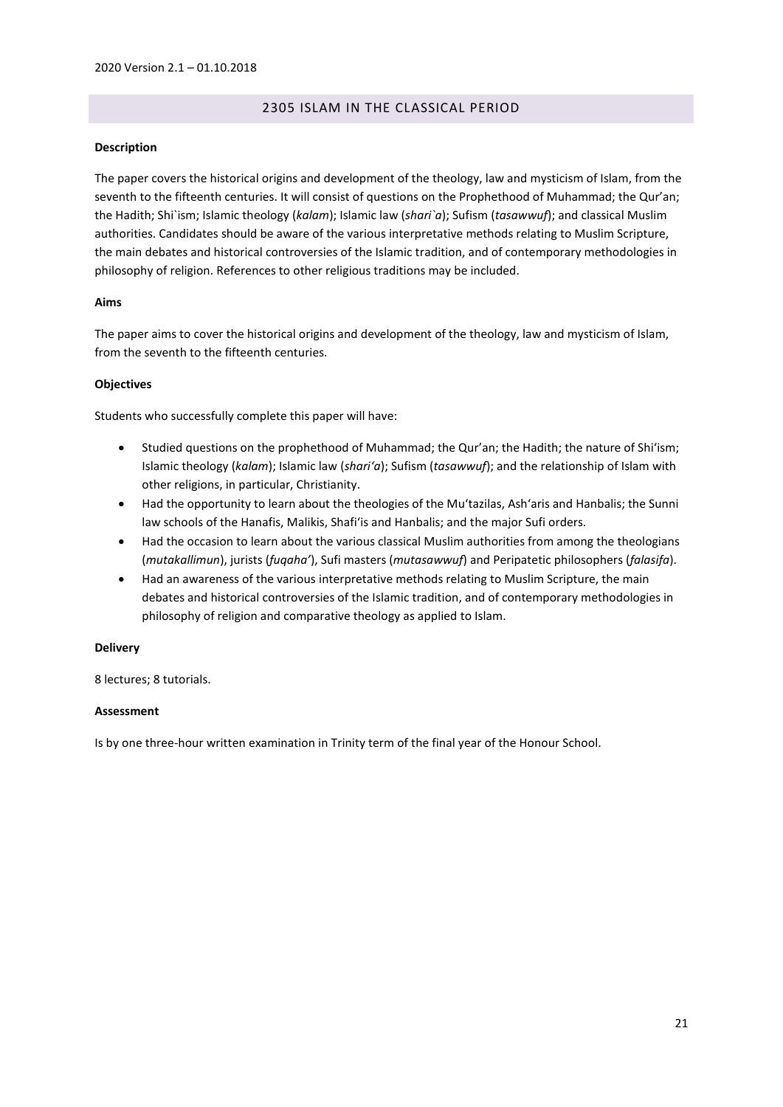# 2305 ISLAM IN THE CLASSICAL PERIOD

# <span id="page-20-0"></span>**Description**

The paper covers the historical origins and development of the theology, law and mysticism of Islam, from the seventh to the fifteenth centuries. It will consist of questions on the Prophethood of Muhammad; the Qur'an; the Hadith; Shi`ism; Islamic theology (*kalam*); Islamic law (*shari`a*); Sufism (*tasawwuf*); and classical Muslim authorities. Candidates should be aware of the various interpretative methods relating to Muslim Scripture, the main debates and historical controversies of the Islamic tradition, and of contemporary methodologies in philosophy of religion. References to other religious traditions may be included.

# **Aims**

The paper aims to cover the historical origins and development of the theology, law and mysticism of Islam, from the seventh to the fifteenth centuries.

## **Objectives**

Students who successfully complete this paper will have:

- Studied questions on the prophethood of Muhammad; the Qur'an; the Hadith; the nature of Shi'ism; Islamic theology (*kalam*); Islamic law (*shari'a*); Sufism (*tasawwuf*); and the relationship of Islam with other religions, in particular, Christianity.
- Had the opportunity to learn about the theologies of the Mu'tazilas, Ash'aris and Hanbalis; the Sunni law schools of the Hanafis, Malikis, Shafi'is and Hanbalis; and the major Sufi orders.
- Had the occasion to learn about the various classical Muslim authorities from among the theologians (*mutakallimun*), jurists (*fuqaha'*), Sufi masters (*mutasawwuf*) and Peripatetic philosophers (*falasifa*).
- Had an awareness of the various interpretative methods relating to Muslim Scripture, the main debates and historical controversies of the Islamic tradition, and of contemporary methodologies in philosophy of religion and comparative theology as applied to Islam.

#### **Delivery**

8 lectures; 8 tutorials.

# **Assessment**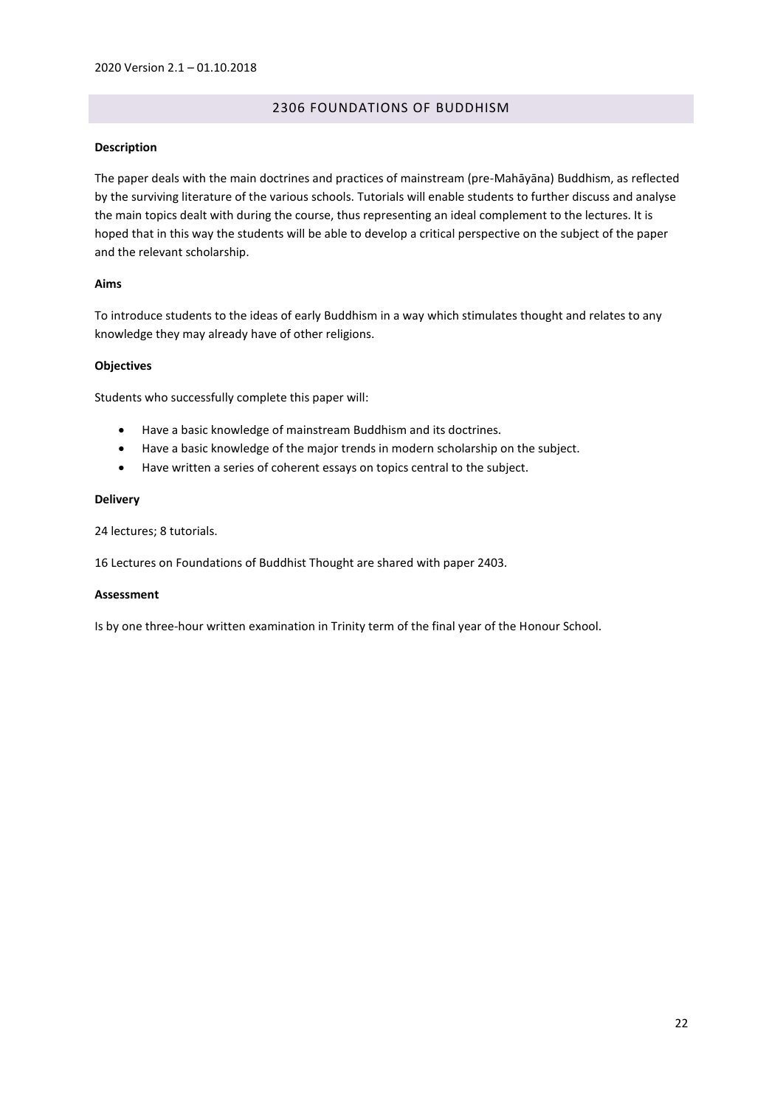# 2306 FOUNDATIONS OF BUDDHISM

## <span id="page-21-0"></span>**Description**

The paper deals with the main doctrines and practices of mainstream (pre-Mahāyāna) Buddhism, as reflected by the surviving literature of the various schools. Tutorials will enable students to further discuss and analyse the main topics dealt with during the course, thus representing an ideal complement to the lectures. It is hoped that in this way the students will be able to develop a critical perspective on the subject of the paper and the relevant scholarship.

## **Aims**

To introduce students to the ideas of early Buddhism in a way which stimulates thought and relates to any knowledge they may already have of other religions.

## **Objectives**

Students who successfully complete this paper will:

- Have a basic knowledge of mainstream Buddhism and its doctrines.
- Have a basic knowledge of the major trends in modern scholarship on the subject.
- Have written a series of coherent essays on topics central to the subject.

## **Delivery**

24 lectures; 8 tutorials.

16 Lectures on Foundations of Buddhist Thought are shared with paper 2403.

#### **Assessment**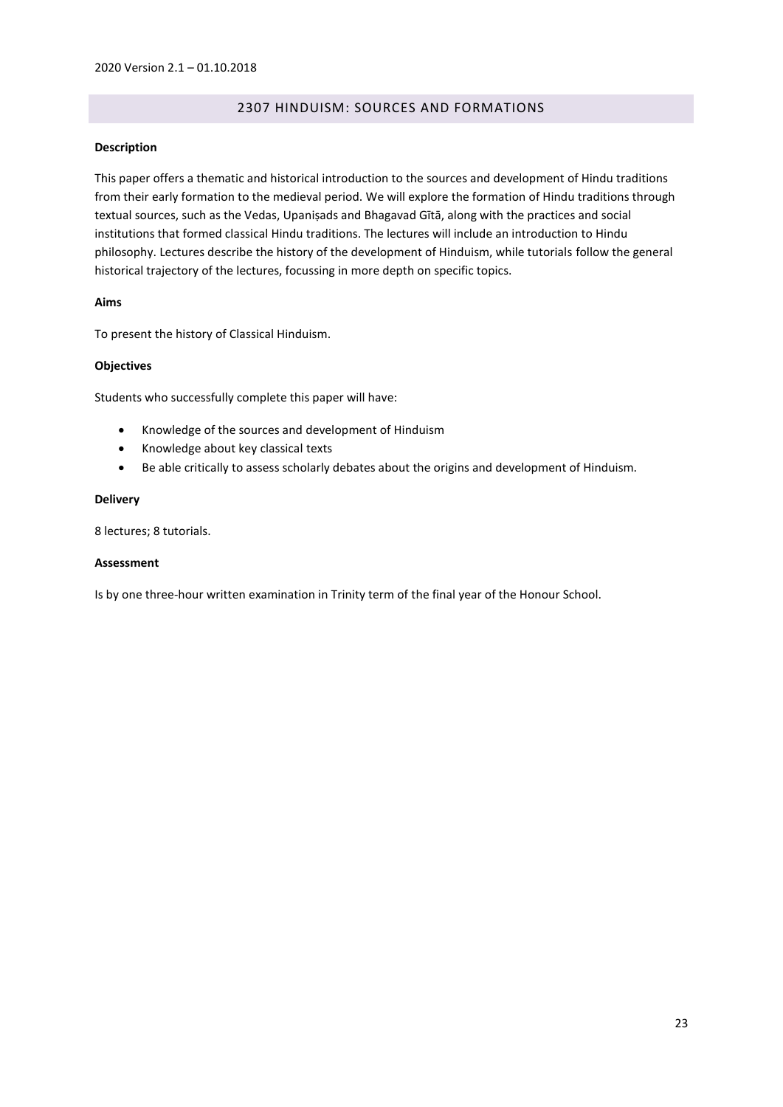# 2307 HINDUISM: SOURCES AND FORMATIONS

## <span id="page-22-0"></span>**Description**

This paper offers a thematic and historical introduction to the sources and development of Hindu traditions from their early formation to the medieval period. We will explore the formation of Hindu traditions through textual sources, such as the Vedas, Upaniṣads and Bhagavad Gītā, along with the practices and social institutions that formed classical Hindu traditions. The lectures will include an introduction to Hindu philosophy. Lectures describe the history of the development of Hinduism, while tutorials follow the general historical trajectory of the lectures, focussing in more depth on specific topics.

## **Aims**

To present the history of Classical Hinduism.

## **Objectives**

Students who successfully complete this paper will have:

- Knowledge of the sources and development of Hinduism
- Knowledge about key classical texts
- Be able critically to assess scholarly debates about the origins and development of Hinduism.

## **Delivery**

8 lectures; 8 tutorials.

#### **Assessment**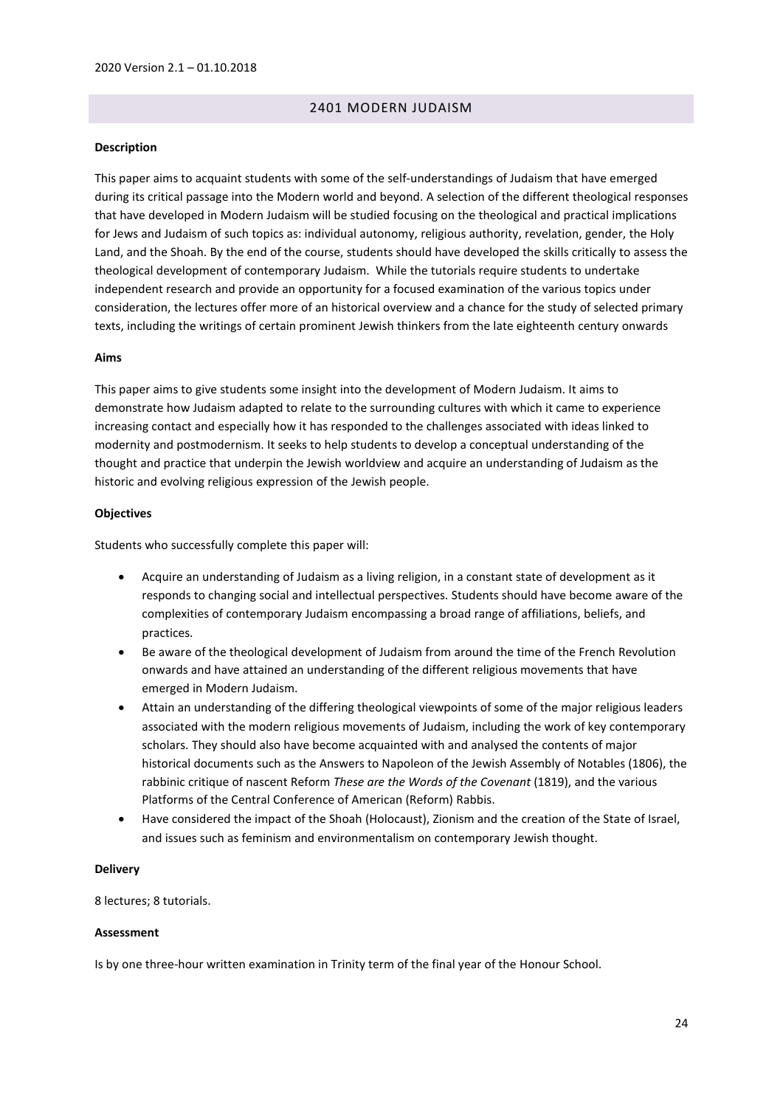# 2401 MODERN JUDAISM

#### <span id="page-23-0"></span>**Description**

This paper aims to acquaint students with some of the self-understandings of Judaism that have emerged during its critical passage into the Modern world and beyond. A selection of the different theological responses that have developed in Modern Judaism will be studied focusing on the theological and practical implications for Jews and Judaism of such topics as: individual autonomy, religious authority, revelation, gender, the Holy Land, and the Shoah. By the end of the course, students should have developed the skills critically to assess the theological development of contemporary Judaism. While the tutorials require students to undertake independent research and provide an opportunity for a focused examination of the various topics under consideration, the lectures offer more of an historical overview and a chance for the study of selected primary texts, including the writings of certain prominent Jewish thinkers from the late eighteenth century onwards

#### **Aims**

This paper aims to give students some insight into the development of Modern Judaism. It aims to demonstrate how Judaism adapted to relate to the surrounding cultures with which it came to experience increasing contact and especially how it has responded to the challenges associated with ideas linked to modernity and postmodernism. It seeks to help students to develop a conceptual understanding of the thought and practice that underpin the Jewish worldview and acquire an understanding of Judaism as the historic and evolving religious expression of the Jewish people.

#### **Objectives**

Students who successfully complete this paper will:

- Acquire an understanding of Judaism as a living religion, in a constant state of development as it responds to changing social and intellectual perspectives. Students should have become aware of the complexities of contemporary Judaism encompassing a broad range of affiliations, beliefs, and practices.
- Be aware of the theological development of Judaism from around the time of the French Revolution onwards and have attained an understanding of the different religious movements that have emerged in Modern Judaism.
- Attain an understanding of the differing theological viewpoints of some of the major religious leaders associated with the modern religious movements of Judaism, including the work of key contemporary scholars. They should also have become acquainted with and analysed the contents of major historical documents such as the Answers to Napoleon of the Jewish Assembly of Notables (1806), the rabbinic critique of nascent Reform *These are the Words of the Covenant* (1819), and the various Platforms of the Central Conference of American (Reform) Rabbis.
- Have considered the impact of the Shoah (Holocaust), Zionism and the creation of the State of Israel, and issues such as feminism and environmentalism on contemporary Jewish thought.

#### **Delivery**

8 lectures; 8 tutorials.

#### **Assessment**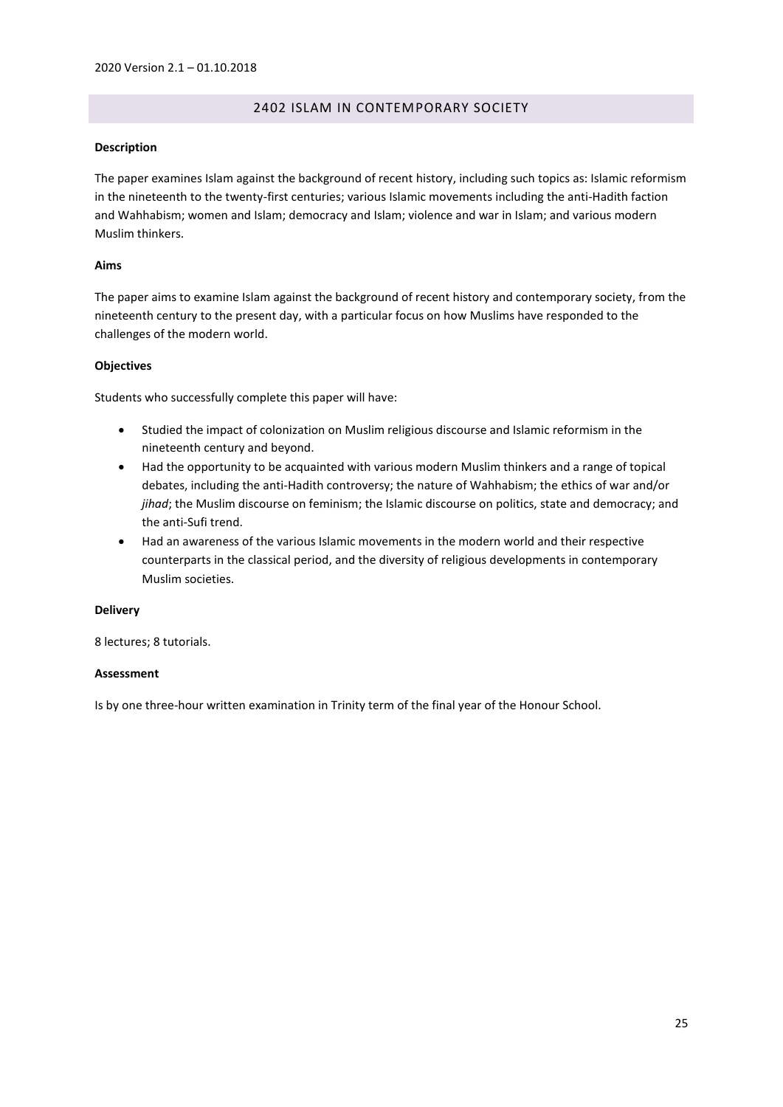# 2402 ISLAM IN CONTEMPORARY SOCIETY

# <span id="page-24-0"></span>**Description**

The paper examines Islam against the background of recent history, including such topics as: Islamic reformism in the nineteenth to the twenty-first centuries; various Islamic movements including the anti-Hadith faction and Wahhabism; women and Islam; democracy and Islam; violence and war in Islam; and various modern Muslim thinkers.

## **Aims**

The paper aims to examine Islam against the background of recent history and contemporary society, from the nineteenth century to the present day, with a particular focus on how Muslims have responded to the challenges of the modern world.

## **Objectives**

Students who successfully complete this paper will have:

- Studied the impact of colonization on Muslim religious discourse and Islamic reformism in the nineteenth century and beyond.
- Had the opportunity to be acquainted with various modern Muslim thinkers and a range of topical debates, including the anti-Hadith controversy; the nature of Wahhabism; the ethics of war and/or *jihad*; the Muslim discourse on feminism; the Islamic discourse on politics, state and democracy; and the anti-Sufi trend.
- Had an awareness of the various Islamic movements in the modern world and their respective counterparts in the classical period, and the diversity of religious developments in contemporary Muslim societies.

#### **Delivery**

8 lectures; 8 tutorials.

# **Assessment**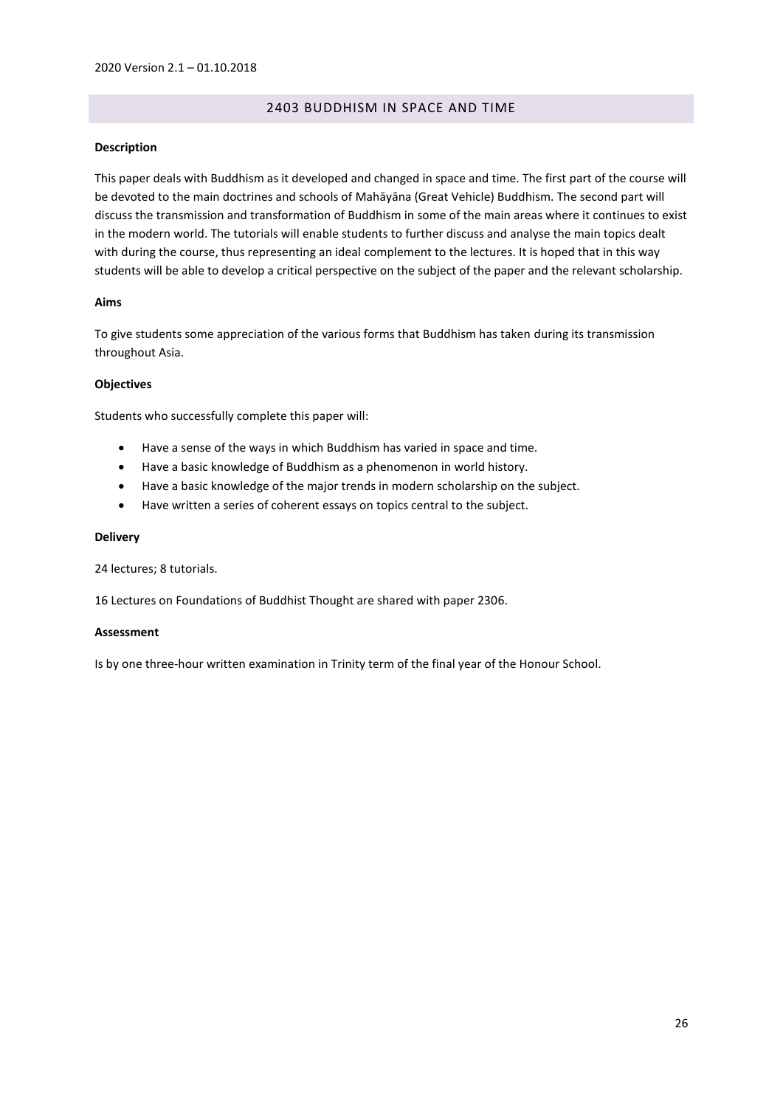# 2403 BUDDHISM IN SPACE AND TIME

#### <span id="page-25-0"></span>**Description**

This paper deals with Buddhism as it developed and changed in space and time. The first part of the course will be devoted to the main doctrines and schools of Mahāyāna (Great Vehicle) Buddhism. The second part will discuss the transmission and transformation of Buddhism in some of the main areas where it continues to exist in the modern world. The tutorials will enable students to further discuss and analyse the main topics dealt with during the course, thus representing an ideal complement to the lectures. It is hoped that in this way students will be able to develop a critical perspective on the subject of the paper and the relevant scholarship.

## **Aims**

To give students some appreciation of the various forms that Buddhism has taken during its transmission throughout Asia.

## **Objectives**

Students who successfully complete this paper will:

- Have a sense of the ways in which Buddhism has varied in space and time.
- Have a basic knowledge of Buddhism as a phenomenon in world history.
- Have a basic knowledge of the major trends in modern scholarship on the subject.
- Have written a series of coherent essays on topics central to the subject.

#### **Delivery**

24 lectures; 8 tutorials.

16 Lectures on Foundations of Buddhist Thought are shared with paper 2306.

#### **Assessment**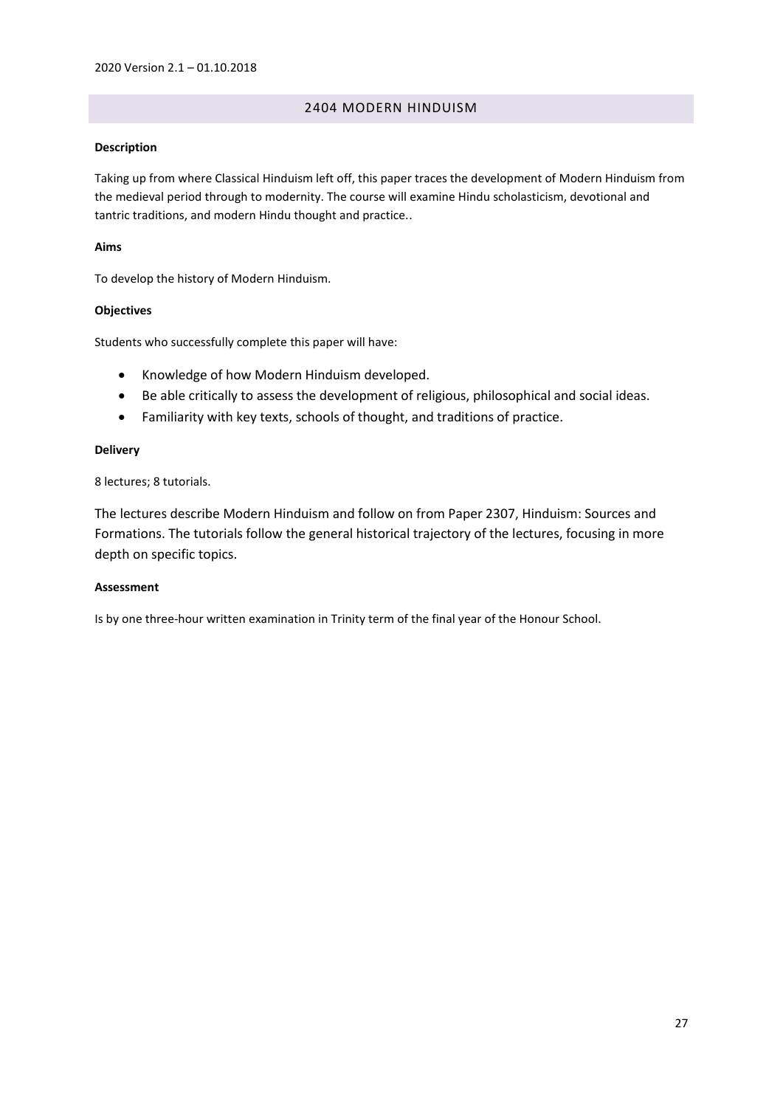# 2404 MODERN HINDUISM

# <span id="page-26-0"></span>**Description**

Taking up from where Classical Hinduism left off, this paper traces the development of Modern Hinduism from the medieval period through to modernity. The course will examine Hindu scholasticism, devotional and tantric traditions, and modern Hindu thought and practice..

# **Aims**

To develop the history of Modern Hinduism.

# **Objectives**

Students who successfully complete this paper will have:

- Knowledge of how Modern Hinduism developed.
- Be able critically to assess the development of religious, philosophical and social ideas.
- Familiarity with key texts, schools of thought, and traditions of practice.

# **Delivery**

8 lectures; 8 tutorials.

The lectures describe Modern Hinduism and follow on from Paper 2307, Hinduism: Sources and Formations. The tutorials follow the general historical trajectory of the lectures, focusing in more depth on specific topics.

# **Assessment**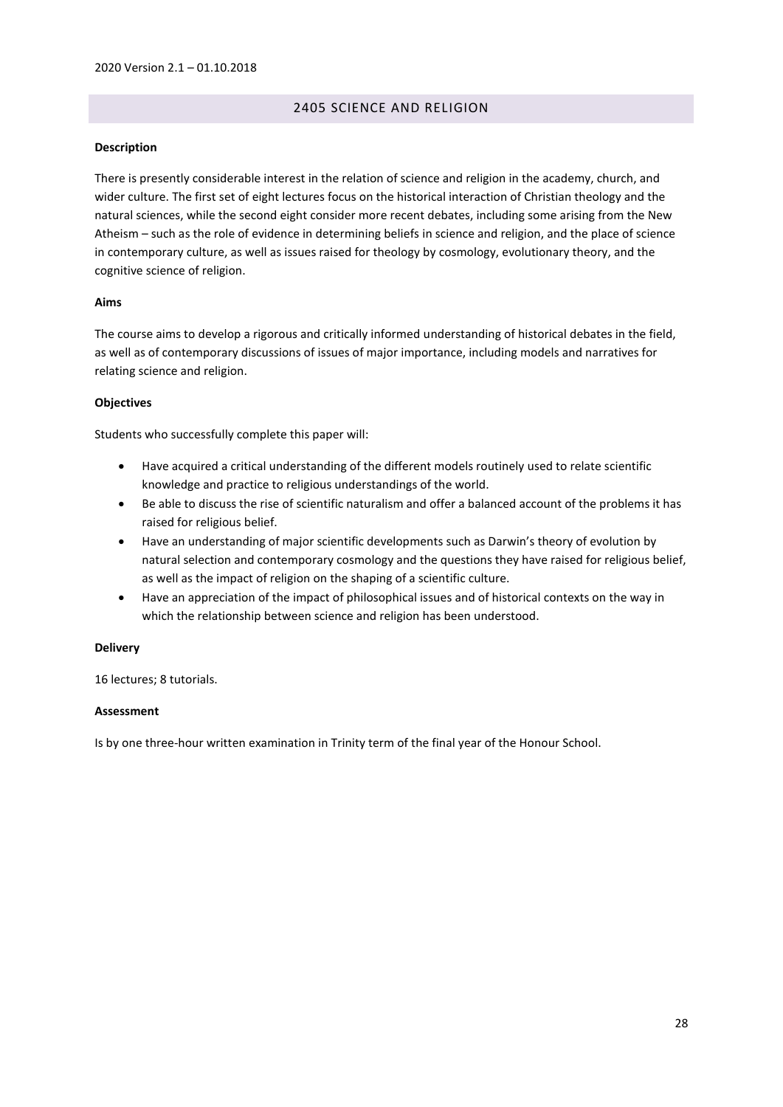# 2405 SCIENCE AND RELIGION

## <span id="page-27-0"></span>**Description**

There is presently considerable interest in the relation of science and religion in the academy, church, and wider culture. The first set of eight lectures focus on the historical interaction of Christian theology and the natural sciences, while the second eight consider more recent debates, including some arising from the New Atheism – such as the role of evidence in determining beliefs in science and religion, and the place of science in contemporary culture, as well as issues raised for theology by cosmology, evolutionary theory, and the cognitive science of religion.

## **Aims**

The course aims to develop a rigorous and critically informed understanding of historical debates in the field, as well as of contemporary discussions of issues of major importance, including models and narratives for relating science and religion.

## **Objectives**

Students who successfully complete this paper will:

- Have acquired a critical understanding of the different models routinely used to relate scientific knowledge and practice to religious understandings of the world.
- Be able to discuss the rise of scientific naturalism and offer a balanced account of the problems it has raised for religious belief.
- Have an understanding of major scientific developments such as Darwin's theory of evolution by natural selection and contemporary cosmology and the questions they have raised for religious belief, as well as the impact of religion on the shaping of a scientific culture.
- Have an appreciation of the impact of philosophical issues and of historical contexts on the way in which the relationship between science and religion has been understood.

#### **Delivery**

16 lectures; 8 tutorials.

#### **Assessment**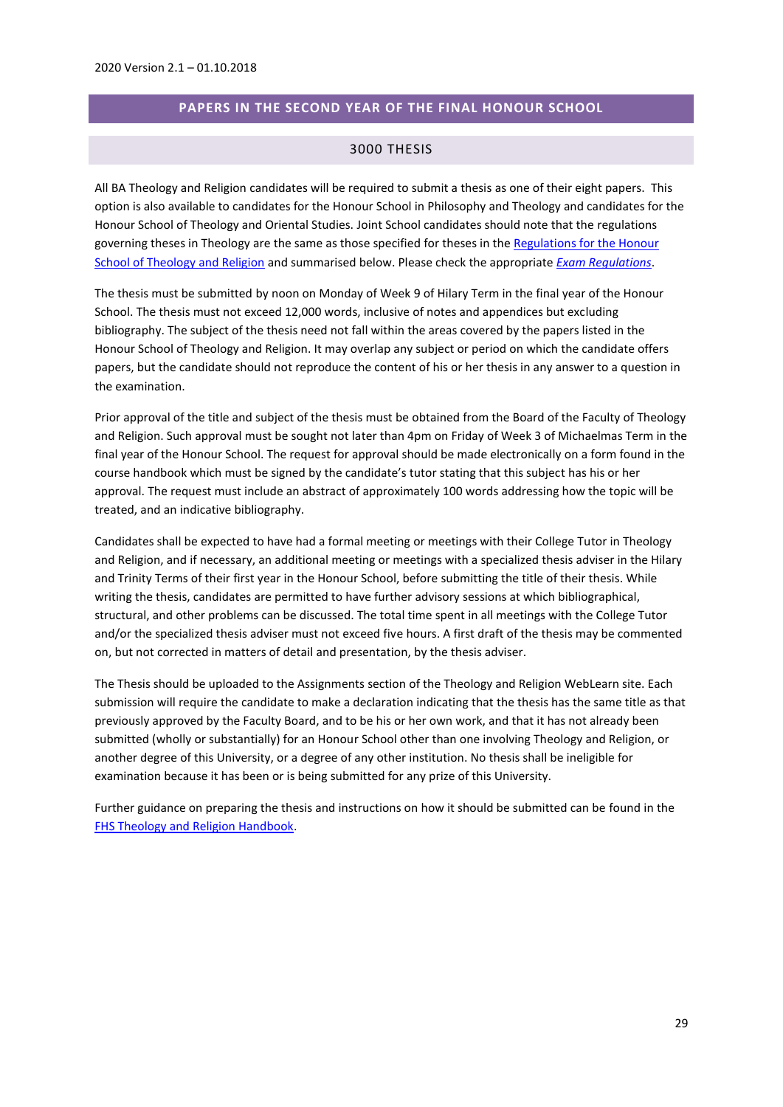# **PAPERS IN THE SECOND YEAR OF THE FINAL HONOUR SCHOOL**

## 3000 THESIS

<span id="page-28-1"></span><span id="page-28-0"></span>All BA Theology and Religion candidates will be required to submit a thesis as one of their eight papers. This option is also available to candidates for the Honour School in Philosophy and Theology and candidates for the Honour School of Theology and Oriental Studies. Joint School candidates should note that the regulations governing theses in Theology are the same as those specified for theses in th[e Regulations for the Honour](https://www.admin.ox.ac.uk/examregs/2017-18/hsotheoandreli/studentview/)  [School of Theology and Religion](https://www.admin.ox.ac.uk/examregs/2017-18/hsotheoandreli/studentview/) and summarised below. Please check the appropriate *[Exam Regulations](https://www.admin.ox.ac.uk/examregs/)*.

The thesis must be submitted by noon on Monday of Week 9 of Hilary Term in the final year of the Honour School. The thesis must not exceed 12,000 words, inclusive of notes and appendices but excluding bibliography. The subject of the thesis need not fall within the areas covered by the papers listed in the Honour School of Theology and Religion. It may overlap any subject or period on which the candidate offers papers, but the candidate should not reproduce the content of his or her thesis in any answer to a question in the examination.

Prior approval of the title and subject of the thesis must be obtained from the Board of the Faculty of Theology and Religion. Such approval must be sought not later than 4pm on Friday of Week 3 of Michaelmas Term in the final year of the Honour School. The request for approval should be made electronically on a form found in the course handbook which must be signed by the candidate's tutor stating that this subject has his or her approval. The request must include an abstract of approximately 100 words addressing how the topic will be treated, and an indicative bibliography.

Candidates shall be expected to have had a formal meeting or meetings with their College Tutor in Theology and Religion, and if necessary, an additional meeting or meetings with a specialized thesis adviser in the Hilary and Trinity Terms of their first year in the Honour School, before submitting the title of their thesis. While writing the thesis, candidates are permitted to have further advisory sessions at which bibliographical, structural, and other problems can be discussed. The total time spent in all meetings with the College Tutor and/or the specialized thesis adviser must not exceed five hours. A first draft of the thesis may be commented on, but not corrected in matters of detail and presentation, by the thesis adviser.

The Thesis should be uploaded to the Assignments section of the Theology and Religion WebLearn site. Each submission will require the candidate to make a declaration indicating that the thesis has the same title as that previously approved by the Faculty Board, and to be his or her own work, and that it has not already been submitted (wholly or substantially) for an Honour School other than one involving Theology and Religion, or another degree of this University, or a degree of any other institution. No thesis shall be ineligible for examination because it has been or is being submitted for any prize of this University.

Further guidance on preparing the thesis and instructions on how it should be submitted can be found in the [FHS Theology and Religion Handbook.](https://weblearn.ox.ac.uk/access/lessonbuilder/item/197420/group/theofac/lessons/Handbooks/Undergraduate%20Handbooks/FHS%202019%20BA%20Theology%20and%20Religion%20Handbook%20v2.pdf-1)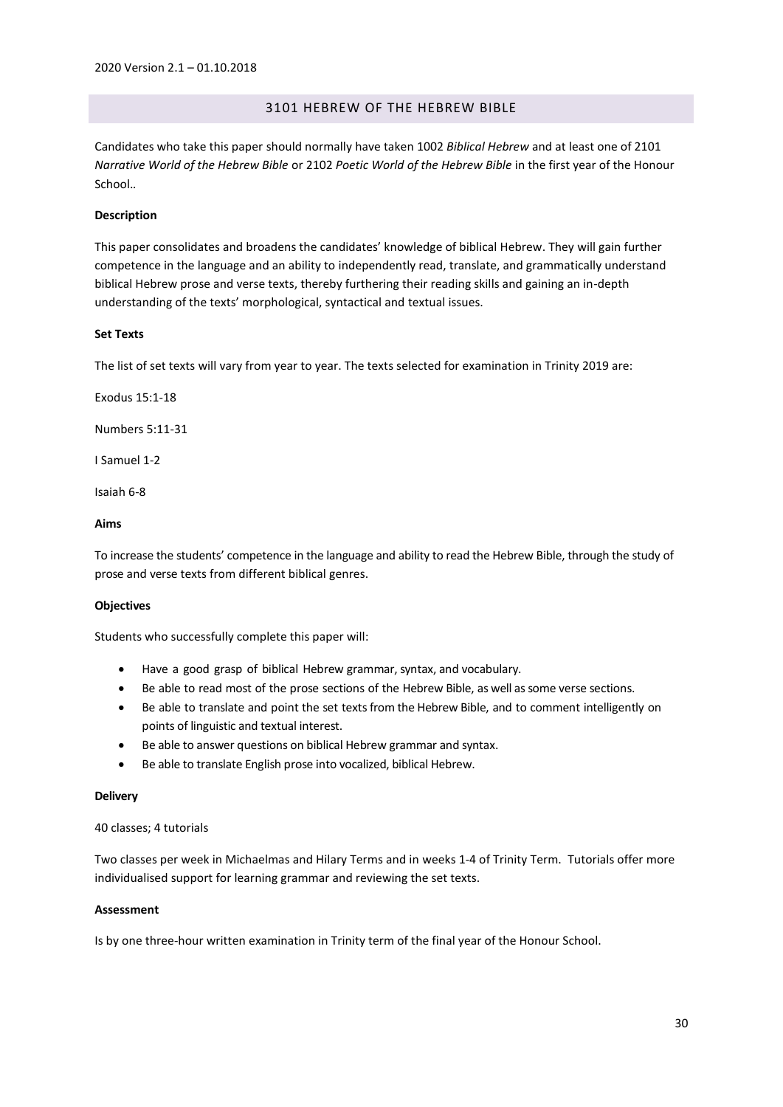# 3101 HEBREW OF THE HEBREW BIBLE

<span id="page-29-0"></span>Candidates who take this paper should normally have taken 1002 *Biblical Hebrew* and at least one of 2101 *Narrative World of the Hebrew Bible* or 2102 *Poetic World of the Hebrew Bible* in the first year of the Honour School.*.*

## **Description**

This paper consolidates and broadens the candidates' knowledge of biblical Hebrew. They will gain further competence in the language and an ability to independently read, translate, and grammatically understand biblical Hebrew prose and verse texts, thereby furthering their reading skills and gaining an in-depth understanding of the texts' morphological, syntactical and textual issues.

#### **Set Texts**

The list of set texts will vary from year to year. The texts selected for examination in Trinity 2019 are:

Exodus 15:1-18

Numbers 5:11-31

I Samuel 1-2

Isaiah 6-8

# **Aims**

To increase the students' competence in the language and ability to read the Hebrew Bible, through the study of prose and verse texts from different biblical genres.

#### **Objectives**

Students who successfully complete this paper will:

- Have a good grasp of biblical Hebrew grammar, syntax, and vocabulary.
- Be able to read most of the prose sections of the Hebrew Bible, as well assome verse sections.
- Be able to translate and point the set texts from the Hebrew Bible, and to comment intelligently on points of linguistic and textual interest.
- Be able to answer questions on biblical Hebrew grammar and syntax.
- Be able to translate English prose into vocalized, biblical Hebrew.

#### **Delivery**

40 classes; 4 tutorials

Two classes per week in Michaelmas and Hilary Terms and in weeks 1-4 of Trinity Term. Tutorials offer more individualised support for learning grammar and reviewing the set texts.

#### **Assessment**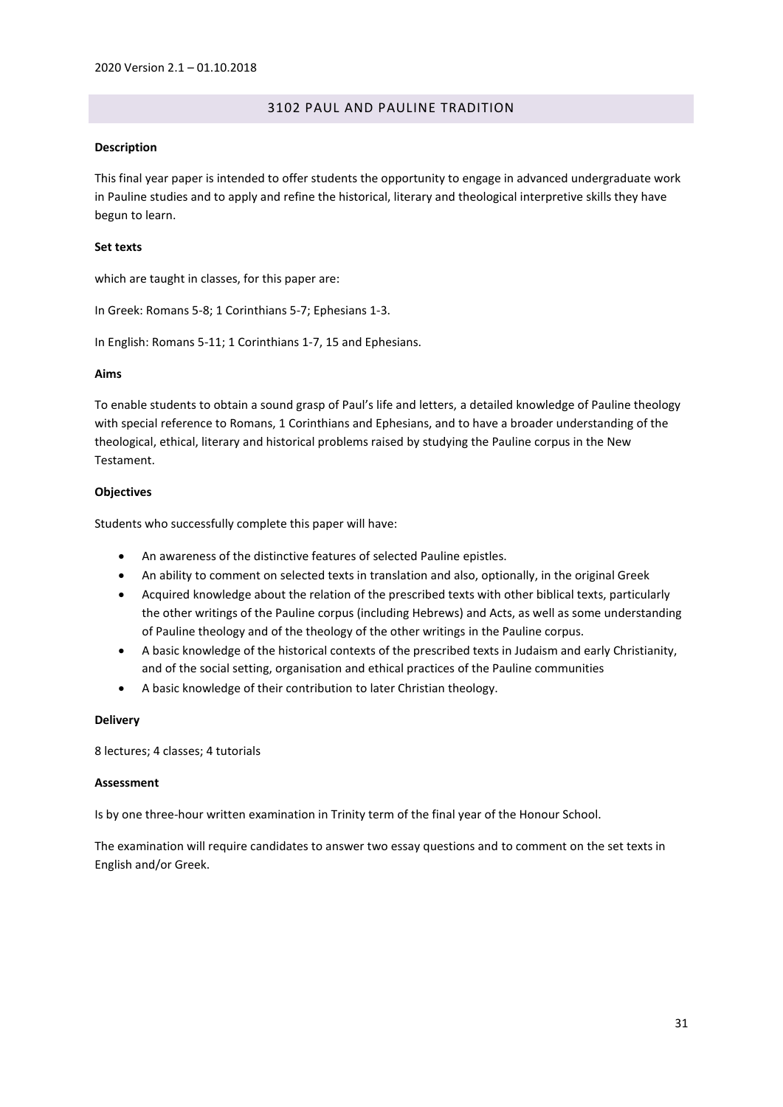# 3102 PAUL AND PAULINE TRADITION

#### <span id="page-30-0"></span>**Description**

This final year paper is intended to offer students the opportunity to engage in advanced undergraduate work in Pauline studies and to apply and refine the historical, literary and theological interpretive skills they have begun to learn.

#### **Set texts**

which are taught in classes, for this paper are:

In Greek: Romans 5-8; 1 Corinthians 5-7; Ephesians 1-3.

In English: Romans 5-11; 1 Corinthians 1-7, 15 and Ephesians.

## **Aims**

To enable students to obtain a sound grasp of Paul's life and letters, a detailed knowledge of Pauline theology with special reference to Romans, 1 Corinthians and Ephesians, and to have a broader understanding of the theological, ethical, literary and historical problems raised by studying the Pauline corpus in the New Testament.

# **Objectives**

Students who successfully complete this paper will have:

- An awareness of the distinctive features of selected Pauline epistles.
- An ability to comment on selected texts in translation and also, optionally, in the original Greek
- Acquired knowledge about the relation of the prescribed texts with other biblical texts, particularly the other writings of the Pauline corpus (including Hebrews) and Acts, as well as some understanding of Pauline theology and of the theology of the other writings in the Pauline corpus.
- A basic knowledge of the historical contexts of the prescribed texts in Judaism and early Christianity, and of the social setting, organisation and ethical practices of the Pauline communities
- A basic knowledge of their contribution to later Christian theology.

#### **Delivery**

8 lectures; 4 classes; 4 tutorials

## **Assessment**

Is by one three-hour written examination in Trinity term of the final year of the Honour School.

The examination will require candidates to answer two essay questions and to comment on the set texts in English and/or Greek.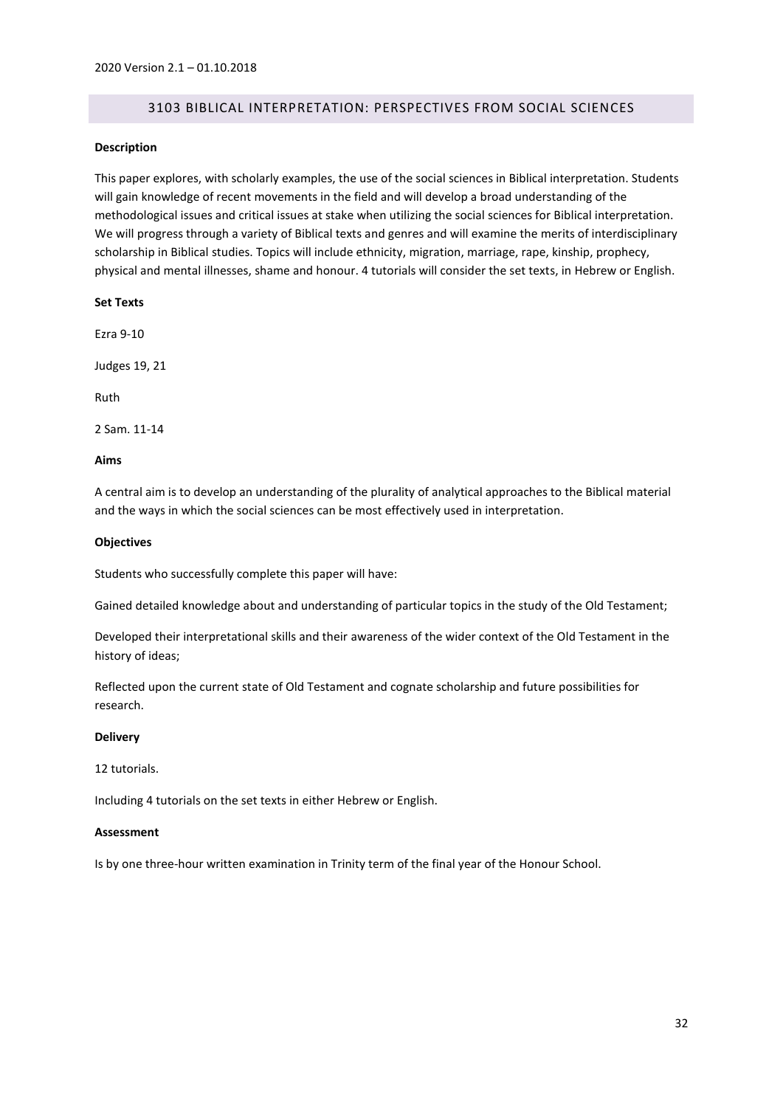# 3103 BIBLICAL INTERPRETATION: PERSPECTIVES FROM SOCIAL SCIENCES

#### <span id="page-31-0"></span>**Description**

This paper explores, with scholarly examples, the use of the social sciences in Biblical interpretation. Students will gain knowledge of recent movements in the field and will develop a broad understanding of the methodological issues and critical issues at stake when utilizing the social sciences for Biblical interpretation. We will progress through a variety of Biblical texts and genres and will examine the merits of interdisciplinary scholarship in Biblical studies. Topics will include ethnicity, migration, marriage, rape, kinship, prophecy, physical and mental illnesses, shame and honour. 4 tutorials will consider the set texts, in Hebrew or English.

## **Set Texts**

Ezra 9-10

Judges 19, 21

Ruth

2 Sam. 11-14

## **Aims**

A central aim is to develop an understanding of the plurality of analytical approaches to the Biblical material and the ways in which the social sciences can be most effectively used in interpretation.

## **Objectives**

Students who successfully complete this paper will have:

Gained detailed knowledge about and understanding of particular topics in the study of the Old Testament;

Developed their interpretational skills and their awareness of the wider context of the Old Testament in the history of ideas;

Reflected upon the current state of Old Testament and cognate scholarship and future possibilities for research.

#### **Delivery**

12 tutorials.

Including 4 tutorials on the set texts in either Hebrew or English.

## **Assessment**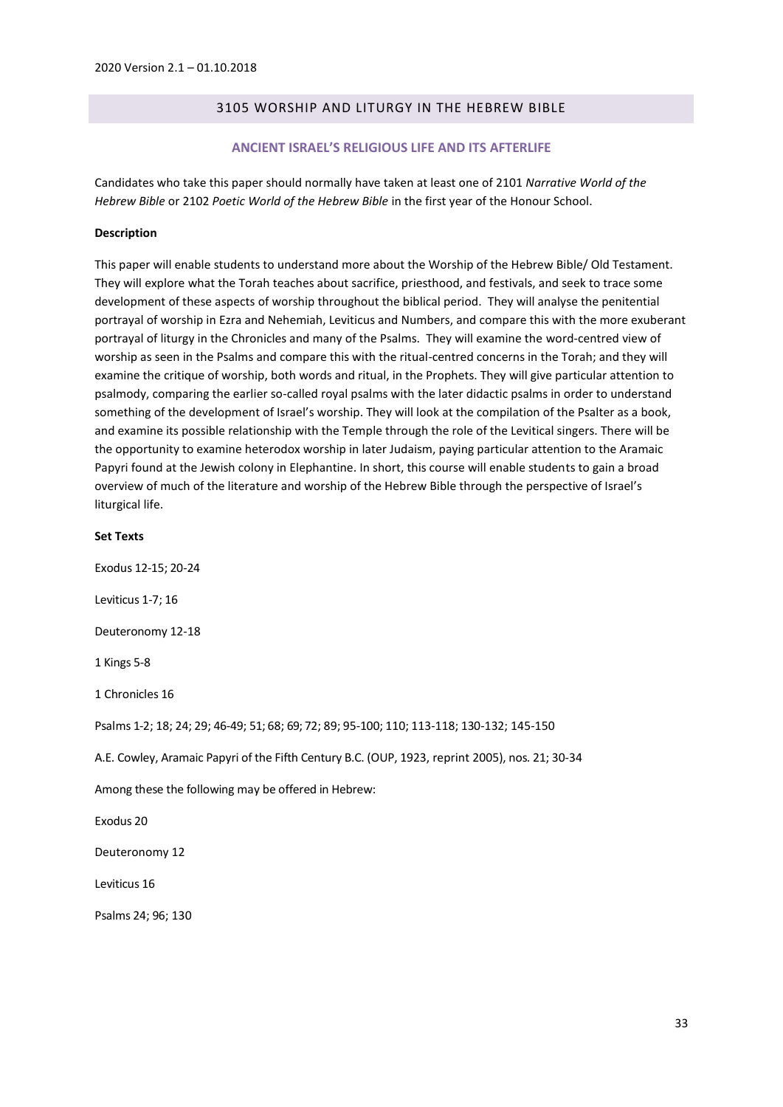# 3105 WORSHIP AND LITURGY IN THE HEBREW BIBLE

#### **ANCIENT ISRAEL'S RELIGIOUS LIFE AND ITS AFTERLIFE**

<span id="page-32-1"></span><span id="page-32-0"></span>Candidates who take this paper should normally have taken at least one of 2101 *Narrative World of the Hebrew Bible* or 2102 *Poetic World of the Hebrew Bible* in the first year of the Honour School.

#### **Description**

This paper will enable students to understand more about the Worship of the Hebrew Bible/ Old Testament. They will explore what the Torah teaches about sacrifice, priesthood, and festivals, and seek to trace some development of these aspects of worship throughout the biblical period. They will analyse the penitential portrayal of worship in Ezra and Nehemiah, Leviticus and Numbers, and compare this with the more exuberant portrayal of liturgy in the Chronicles and many of the Psalms. They will examine the word-centred view of worship as seen in the Psalms and compare this with the ritual-centred concerns in the Torah; and they will examine the critique of worship, both words and ritual, in the Prophets. They will give particular attention to psalmody, comparing the earlier so-called royal psalms with the later didactic psalms in order to understand something of the development of Israel's worship. They will look at the compilation of the Psalter as a book, and examine its possible relationship with the Temple through the role of the Levitical singers. There will be the opportunity to examine heterodox worship in later Judaism, paying particular attention to the Aramaic Papyri found at the Jewish colony in Elephantine. In short, this course will enable students to gain a broad overview of much of the literature and worship of the Hebrew Bible through the perspective of Israel's liturgical life.

**Set Texts** Exodus 12-15; 20-24 Leviticus 1-7; 16 Deuteronomy 12-18 1 Kings 5-8 1 Chronicles 16 Psalms 1-2; 18; 24; 29; 46-49; 51; 68; 69; 72; 89; 95-100; 110; 113-118; 130-132; 145-150 A.E. Cowley, Aramaic Papyri of the Fifth Century B.C. (OUP, 1923, reprint 2005), nos. 21; 30-34 Among these the following may be offered in Hebrew: Exodus 20 Deuteronomy 12 Leviticus 16 Psalms 24; 96; 130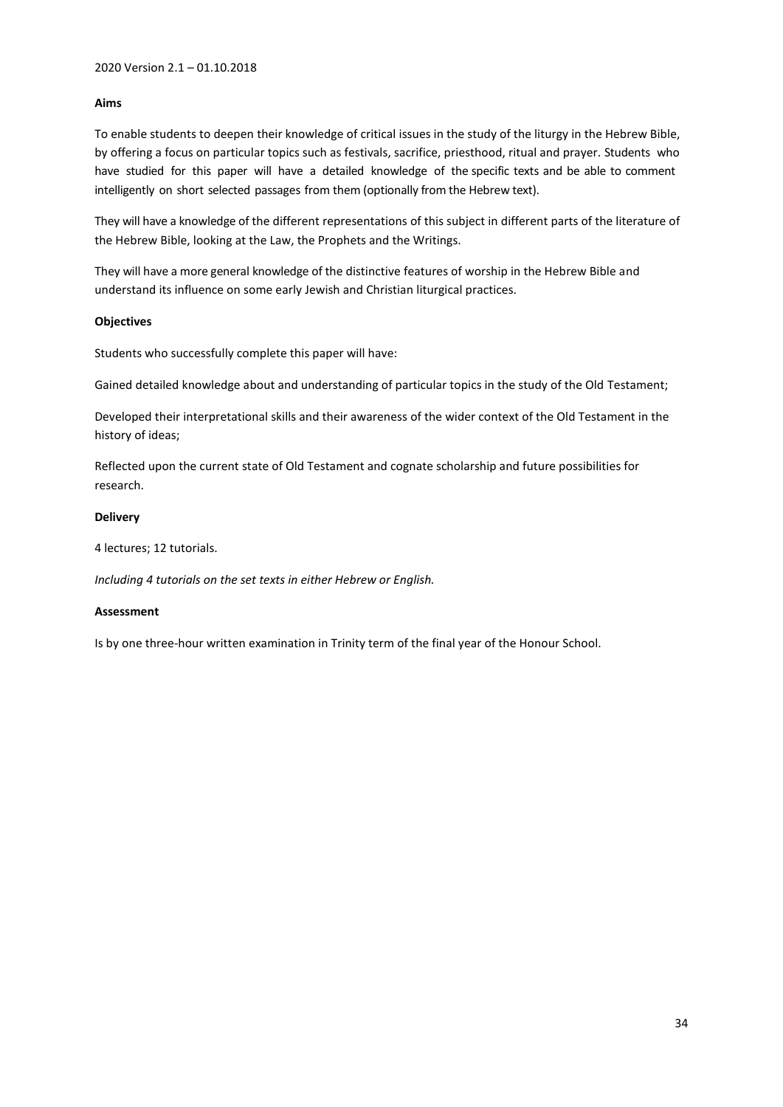## **Aims**

To enable students to deepen their knowledge of critical issues in the study of the liturgy in the Hebrew Bible, by offering a focus on particular topics such as festivals, sacrifice, priesthood, ritual and prayer. Students who have studied for this paper will have a detailed knowledge of the specific texts and be able to comment intelligently on short selected passages from them (optionally from the Hebrew text).

They will have a knowledge of the different representations of this subject in different parts of the literature of the Hebrew Bible, looking at the Law, the Prophets and the Writings.

They will have a more general knowledge of the distinctive features of worship in the Hebrew Bible and understand its influence on some early Jewish and Christian liturgical practices.

#### **Objectives**

Students who successfully complete this paper will have:

Gained detailed knowledge about and understanding of particular topics in the study of the Old Testament;

Developed their interpretational skills and their awareness of the wider context of the Old Testament in the history of ideas;

Reflected upon the current state of Old Testament and cognate scholarship and future possibilities for research.

## **Delivery**

4 lectures; 12 tutorials.

*Including 4 tutorials on the set texts in either Hebrew or English.*

#### **Assessment**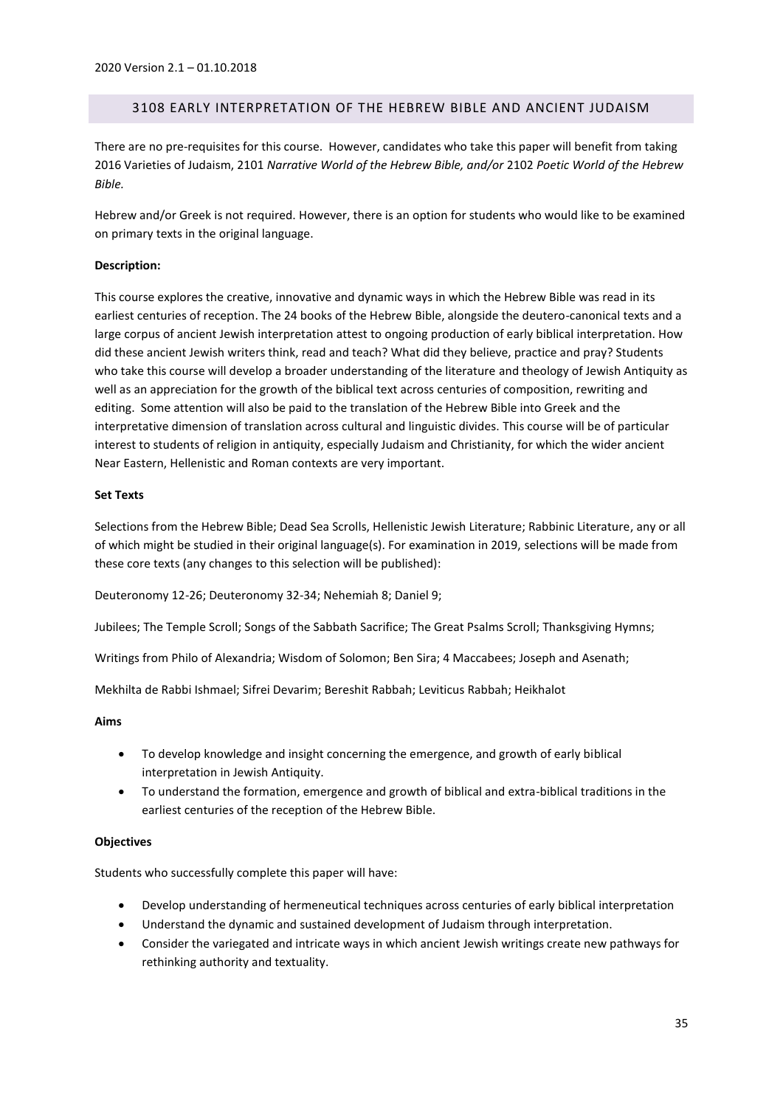# <span id="page-34-0"></span>3108 EARLY INTERPRETATION OF THE HEBREW BIBLE AND ANCIENT JUDAISM

There are no pre-requisites for this course. However, candidates who take this paper will benefit from taking 2016 Varieties of Judaism, 2101 *Narrative World of the Hebrew Bible, and/or* 2102 *Poetic World of the Hebrew Bible.*

Hebrew and/or Greek is not required. However, there is an option for students who would like to be examined on primary texts in the original language.

# **Description:**

This course explores the creative, innovative and dynamic ways in which the Hebrew Bible was read in its earliest centuries of reception. The 24 books of the Hebrew Bible, alongside the deutero-canonical texts and a large corpus of ancient Jewish interpretation attest to ongoing production of early biblical interpretation. How did these ancient Jewish writers think, read and teach? What did they believe, practice and pray? Students who take this course will develop a broader understanding of the literature and theology of Jewish Antiquity as well as an appreciation for the growth of the biblical text across centuries of composition, rewriting and editing. Some attention will also be paid to the translation of the Hebrew Bible into Greek and the interpretative dimension of translation across cultural and linguistic divides. This course will be of particular interest to students of religion in antiquity, especially Judaism and Christianity, for which the wider ancient Near Eastern, Hellenistic and Roman contexts are very important.

# **Set Texts**

Selections from the Hebrew Bible; Dead Sea Scrolls, Hellenistic Jewish Literature; Rabbinic Literature, any or all of which might be studied in their original language(s). For examination in 2019, selections will be made from these core texts (any changes to this selection will be published):

Deuteronomy 12-26; Deuteronomy 32-34; Nehemiah 8; Daniel 9;

Jubilees; The Temple Scroll; Songs of the Sabbath Sacrifice; The Great Psalms Scroll; Thanksgiving Hymns;

Writings from Philo of Alexandria; Wisdom of Solomon; Ben Sira; 4 Maccabees; Joseph and Asenath;

Mekhilta de Rabbi Ishmael; Sifrei Devarim; Bereshit Rabbah; Leviticus Rabbah; Heikhalot

#### **Aims**

- To develop knowledge and insight concerning the emergence, and growth of early biblical interpretation in Jewish Antiquity.
- To understand the formation, emergence and growth of biblical and extra-biblical traditions in the earliest centuries of the reception of the Hebrew Bible.

#### **Objectives**

Students who successfully complete this paper will have:

- Develop understanding of hermeneutical techniques across centuries of early biblical interpretation
- Understand the dynamic and sustained development of Judaism through interpretation.
- Consider the variegated and intricate ways in which ancient Jewish writings create new pathways for rethinking authority and textuality.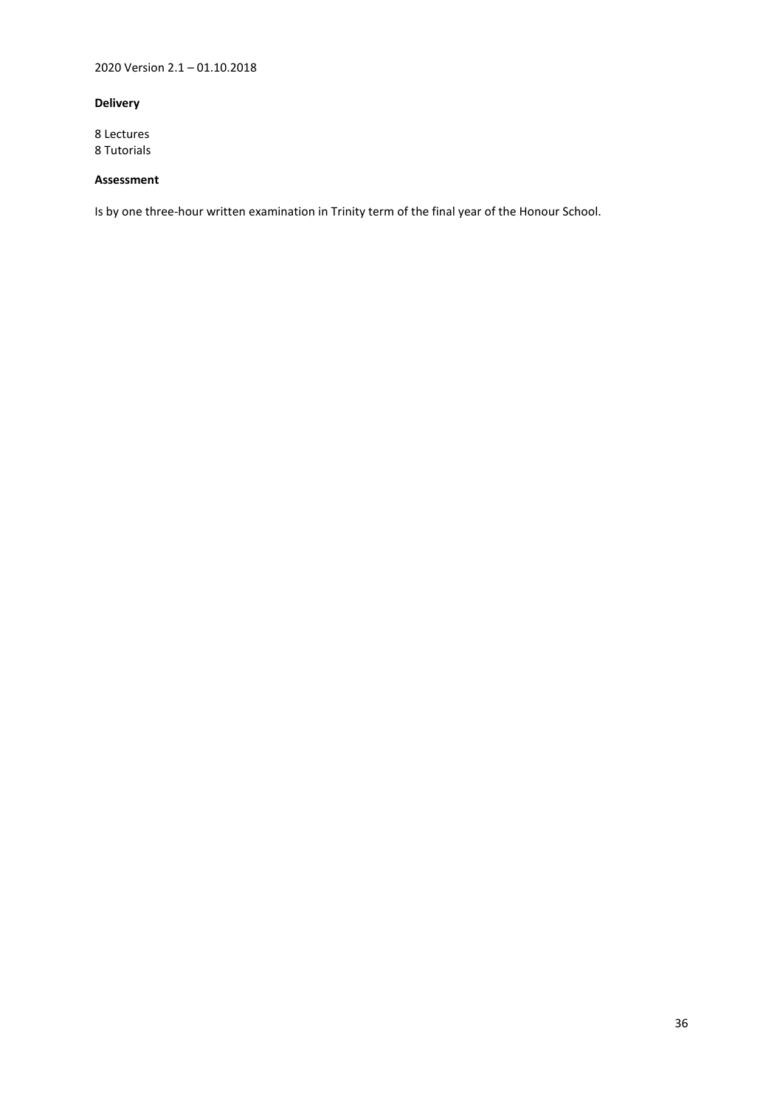2020 Version 2.1 – 01.10.2018

# **Delivery**

8 Lectures 8 Tutorials

# **Assessment**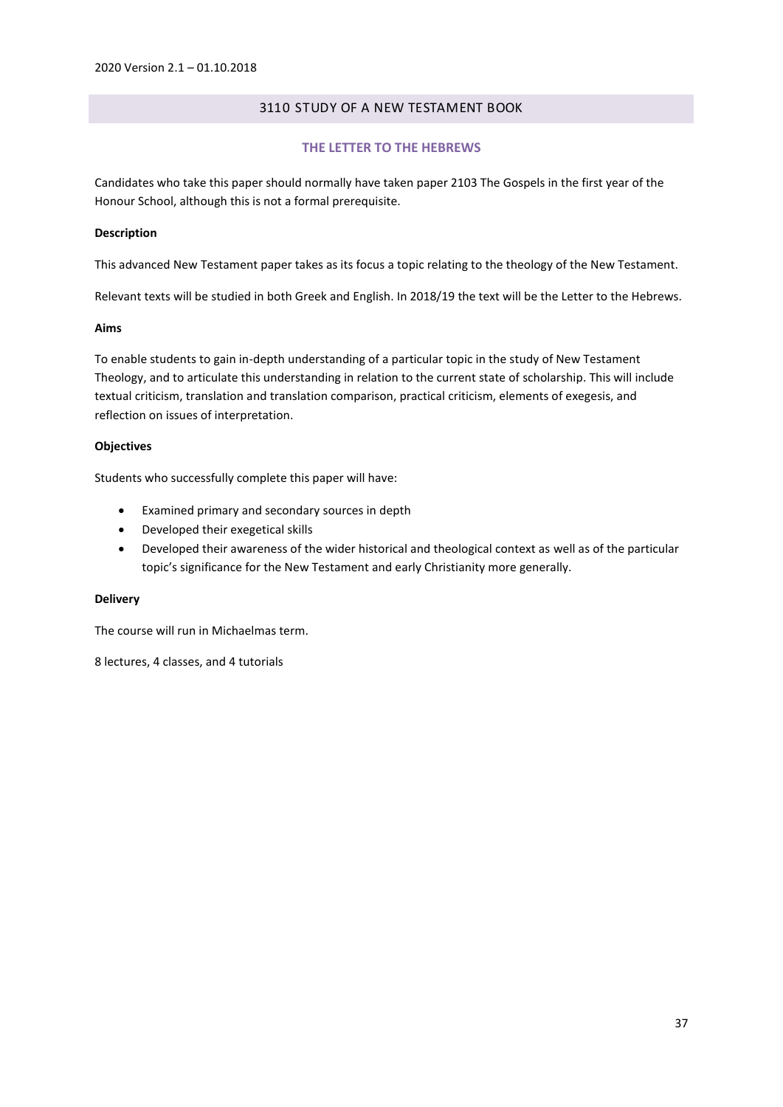## 3110 STUDY OF A NEW TESTAMENT BOOK

### **THE LETTER TO THE HEBREWS**

Candidates who take this paper should normally have taken paper 2103 The Gospels in the first year of the Honour School, although this is not a formal prerequisite.

### **Description**

This advanced New Testament paper takes as its focus a topic relating to the theology of the New Testament.

Relevant texts will be studied in both Greek and English. In 2018/19 the text will be the Letter to the Hebrews.

### **Aims**

To enable students to gain in-depth understanding of a particular topic in the study of New Testament Theology, and to articulate this understanding in relation to the current state of scholarship. This will include textual criticism, translation and translation comparison, practical criticism, elements of exegesis, and reflection on issues of interpretation.

## **Objectives**

Students who successfully complete this paper will have:

- Examined primary and secondary sources in depth
- Developed their exegetical skills
- Developed their awareness of the wider historical and theological context as well as of the particular topic's significance for the New Testament and early Christianity more generally.

## **Delivery**

The course will run in Michaelmas term.

8 lectures, 4 classes, and 4 tutorials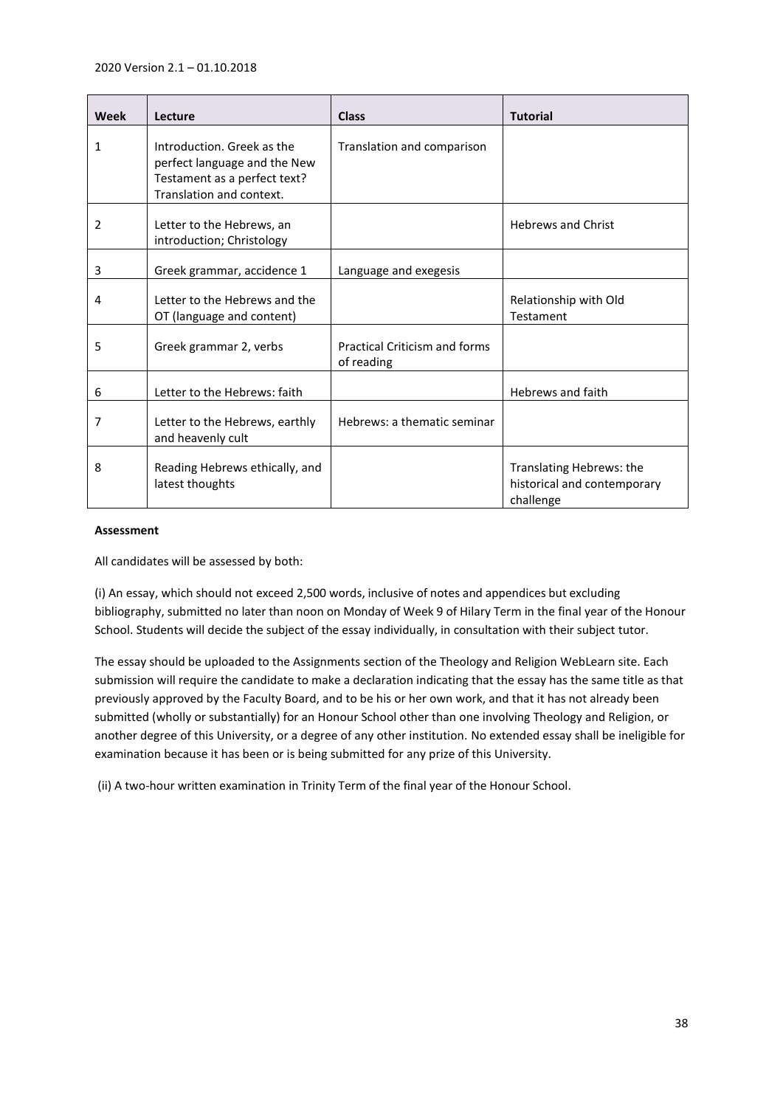| <b>Week</b> | Lecture                                                                                                                | <b>Class</b>                                       | <b>Tutorial</b>                                                      |
|-------------|------------------------------------------------------------------------------------------------------------------------|----------------------------------------------------|----------------------------------------------------------------------|
| 1           | Introduction. Greek as the<br>perfect language and the New<br>Testament as a perfect text?<br>Translation and context. | Translation and comparison                         |                                                                      |
| 2           | Letter to the Hebrews, an<br>introduction; Christology                                                                 |                                                    | <b>Hebrews and Christ</b>                                            |
| 3           | Greek grammar, accidence 1                                                                                             | Language and exegesis                              |                                                                      |
| 4           | Letter to the Hebrews and the<br>OT (language and content)                                                             |                                                    | Relationship with Old<br>Testament                                   |
| 5           | Greek grammar 2, verbs                                                                                                 | <b>Practical Criticism and forms</b><br>of reading |                                                                      |
| 6           | Letter to the Hebrews: faith                                                                                           |                                                    | Hebrews and faith                                                    |
| 7           | Letter to the Hebrews, earthly<br>and heavenly cult                                                                    | Hebrews: a thematic seminar                        |                                                                      |
| 8           | Reading Hebrews ethically, and<br>latest thoughts                                                                      |                                                    | Translating Hebrews: the<br>historical and contemporary<br>challenge |

## **Assessment**

All candidates will be assessed by both:

(i) An essay, which should not exceed 2,500 words, inclusive of notes and appendices but excluding bibliography, submitted no later than noon on Monday of Week 9 of Hilary Term in the final year of the Honour School. Students will decide the subject of the essay individually, in consultation with their subject tutor.

The essay should be uploaded to the Assignments section of the Theology and Religion WebLearn site. Each submission will require the candidate to make a declaration indicating that the essay has the same title as that previously approved by the Faculty Board, and to be his or her own work, and that it has not already been submitted (wholly or substantially) for an Honour School other than one involving Theology and Religion, or another degree of this University, or a degree of any other institution. No extended essay shall be ineligible for examination because it has been or is being submitted for any prize of this University.

(ii) A two-hour written examination in Trinity Term of the final year of the Honour School.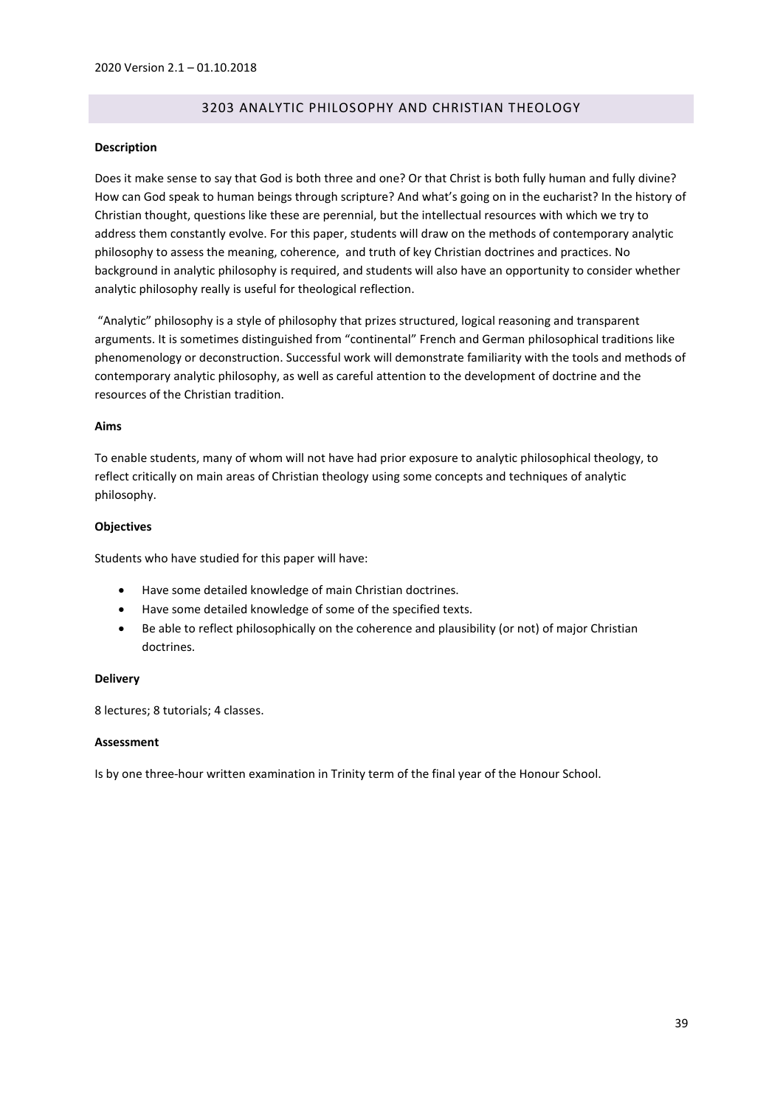# 3203 ANALYTIC PHILOSOPHY AND CHRISTIAN THEOLOGY

## **Description**

Does it make sense to say that God is both three and one? Or that Christ is both fully human and fully divine? How can God speak to human beings through scripture? And what's going on in the eucharist? In the history of Christian thought, questions like these are perennial, but the intellectual resources with which we try to address them constantly evolve. For this paper, students will draw on the methods of contemporary analytic philosophy to assess the meaning, coherence, and truth of key Christian doctrines and practices. No background in analytic philosophy is required, and students will also have an opportunity to consider whether analytic philosophy really is useful for theological reflection.

"Analytic" philosophy is a style of philosophy that prizes structured, logical reasoning and transparent arguments. It is sometimes distinguished from "continental" French and German philosophical traditions like phenomenology or deconstruction. Successful work will demonstrate familiarity with the tools and methods of contemporary analytic philosophy, as well as careful attention to the development of doctrine and the resources of the Christian tradition.

## **Aims**

To enable students, many of whom will not have had prior exposure to analytic philosophical theology, to reflect critically on main areas of Christian theology using some concepts and techniques of analytic philosophy.

## **Objectives**

Students who have studied for this paper will have:

- Have some detailed knowledge of main Christian doctrines.
- Have some detailed knowledge of some of the specified texts.
- Be able to reflect philosophically on the coherence and plausibility (or not) of major Christian doctrines.

### **Delivery**

8 lectures; 8 tutorials; 4 classes.

## **Assessment**

Is by one three-hour written examination in Trinity term of the final year of the Honour School.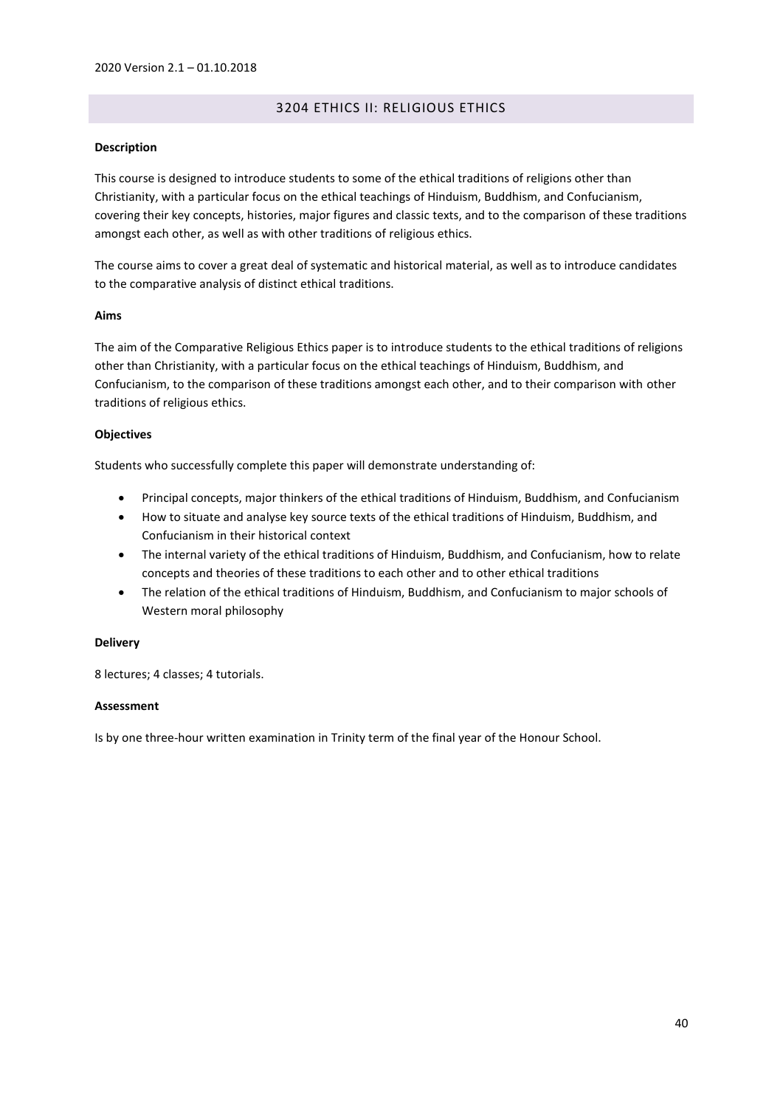# 3204 ETHICS II: RELIGIOUS ETHICS

## **Description**

This course is designed to introduce students to some of the ethical traditions of religions other than Christianity, with a particular focus on the ethical teachings of Hinduism, Buddhism, and Confucianism, covering their key concepts, histories, major figures and classic texts, and to the comparison of these traditions amongst each other, as well as with other traditions of religious ethics.

The course aims to cover a great deal of systematic and historical material, as well as to introduce candidates to the comparative analysis of distinct ethical traditions.

## **Aims**

The aim of the Comparative Religious Ethics paper is to introduce students to the ethical traditions of religions other than Christianity, with a particular focus on the ethical teachings of Hinduism, Buddhism, and Confucianism, to the comparison of these traditions amongst each other, and to their comparison with other traditions of religious ethics.

## **Objectives**

Students who successfully complete this paper will demonstrate understanding of:

- Principal concepts, major thinkers of the ethical traditions of Hinduism, Buddhism, and Confucianism
- How to situate and analyse key source texts of the ethical traditions of Hinduism, Buddhism, and Confucianism in their historical context
- The internal variety of the ethical traditions of Hinduism, Buddhism, and Confucianism, how to relate concepts and theories of these traditions to each other and to other ethical traditions
- The relation of the ethical traditions of Hinduism, Buddhism, and Confucianism to major schools of Western moral philosophy

## **Delivery**

8 lectures; 4 classes; 4 tutorials.

## **Assessment**

Is by one three-hour written examination in Trinity term of the final year of the Honour School.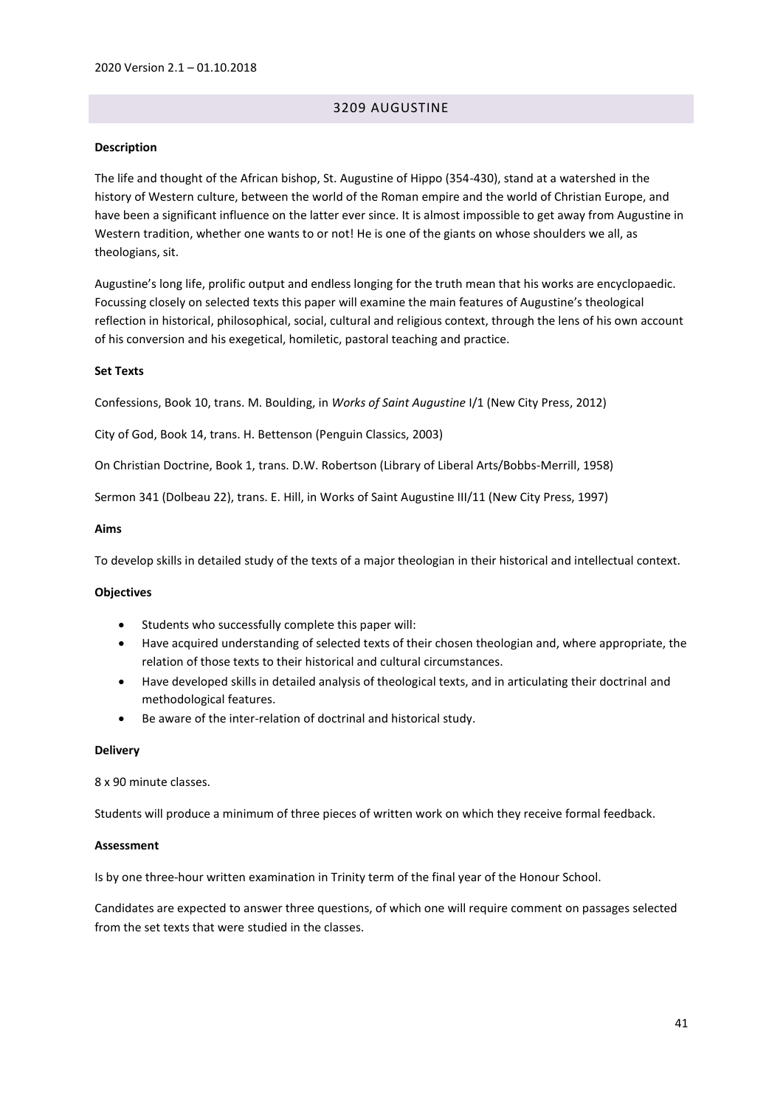# 3209 AUGUSTINE

### **Description**

The life and thought of the African bishop, St. Augustine of Hippo (354-430), stand at a watershed in the history of Western culture, between the world of the Roman empire and the world of Christian Europe, and have been a significant influence on the latter ever since. It is almost impossible to get away from Augustine in Western tradition, whether one wants to or not! He is one of the giants on whose shoulders we all, as theologians, sit.

Augustine's long life, prolific output and endless longing for the truth mean that his works are encyclopaedic. Focussing closely on selected texts this paper will examine the main features of Augustine's theological reflection in historical, philosophical, social, cultural and religious context, through the lens of his own account of his conversion and his exegetical, homiletic, pastoral teaching and practice.

#### **Set Texts**

Confessions, Book 10, trans. M. Boulding, in *Works of Saint Augustine* I/1 (New City Press, 2012)

City of God, Book 14, trans. H. Bettenson (Penguin Classics, 2003)

On Christian Doctrine, Book 1, trans. D.W. Robertson (Library of Liberal Arts/Bobbs-Merrill, 1958)

Sermon 341 (Dolbeau 22), trans. E. Hill, in Works of Saint Augustine III/11 (New City Press, 1997)

### **Aims**

To develop skills in detailed study of the texts of a major theologian in their historical and intellectual context.

#### **Objectives**

- Students who successfully complete this paper will:
- Have acquired understanding of selected texts of their chosen theologian and, where appropriate, the relation of those texts to their historical and cultural circumstances.
- Have developed skills in detailed analysis of theological texts, and in articulating their doctrinal and methodological features.
- Be aware of the inter-relation of doctrinal and historical study.

#### **Delivery**

8 x 90 minute classes.

Students will produce a minimum of three pieces of written work on which they receive formal feedback.

#### **Assessment**

Is by one three-hour written examination in Trinity term of the final year of the Honour School.

Candidates are expected to answer three questions, of which one will require comment on passages selected from the set texts that were studied in the classes.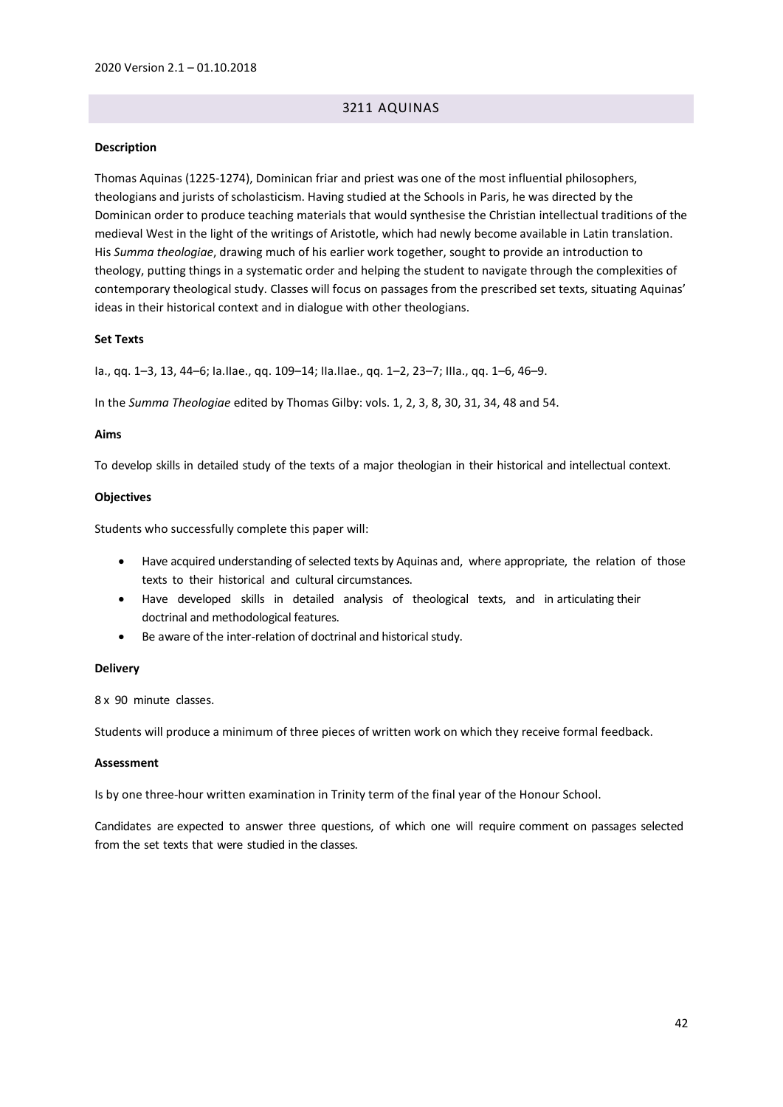# 3211 AQUINAS

#### **Description**

Thomas Aquinas (1225-1274), Dominican friar and priest was one of the most influential philosophers, theologians and jurists of scholasticism. Having studied at the Schools in Paris, he was directed by the Dominican order to produce teaching materials that would synthesise the Christian intellectual traditions of the medieval West in the light of the writings of Aristotle, which had newly become available in Latin translation. His *Summa theologiae*, drawing much of his earlier work together, sought to provide an introduction to theology, putting things in a systematic order and helping the student to navigate through the complexities of contemporary theological study. Classes will focus on passages from the prescribed set texts, situating Aquinas' ideas in their historical context and in dialogue with other theologians.

## **Set Texts**

Ia., qq. 1–3, 13, 44–6; Ia.IIae., qq. 109–14; IIa.IIae., qq. 1–2, 23–7; IIIa., qq. 1–6, 46–9.

In the *Summa Theologiae* edited by Thomas Gilby: vols. 1, 2, 3, 8, 30, 31, 34, 48 and 54.

#### **Aims**

To develop skills in detailed study of the texts of a major theologian in their historical and intellectual context.

#### **Objectives**

Students who successfully complete this paper will:

- Have acquired understanding of selected texts by Aquinas and, where appropriate, the relation of those texts to their historical and cultural circumstances.
- Have developed skills in detailed analysis of theological texts, and in articulating their doctrinal and methodological features.
- Be aware of the inter-relation of doctrinal and historical study.

#### **Delivery**

8 x 90 minute classes.

Students will produce a minimum of three pieces of written work on which they receive formal feedback.

#### **Assessment**

Is by one three-hour written examination in Trinity term of the final year of the Honour School.

Candidates are expected to answer three questions, of which one will require comment on passages selected from the set texts that were studied in the classes.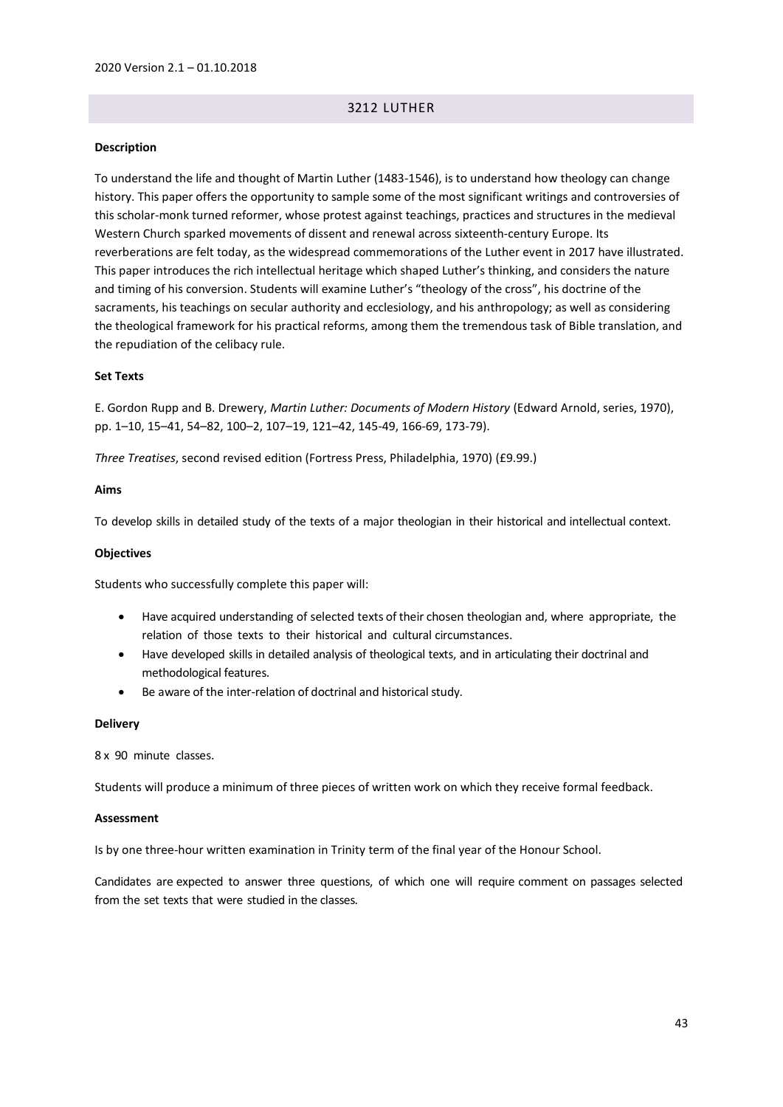# 3212 LUTHER

### **Description**

To understand the life and thought of Martin Luther (1483-1546), is to understand how theology can change history. This paper offers the opportunity to sample some of the most significant writings and controversies of this scholar-monk turned reformer, whose protest against teachings, practices and structures in the medieval Western Church sparked movements of dissent and renewal across sixteenth-century Europe. Its reverberations are felt today, as the widespread commemorations of the Luther event in 2017 have illustrated. This paper introduces the rich intellectual heritage which shaped Luther's thinking, and considers the nature and timing of his conversion. Students will examine Luther's "theology of the cross", his doctrine of the sacraments, his teachings on secular authority and ecclesiology, and his anthropology; as well as considering the theological framework for his practical reforms, among them the tremendous task of Bible translation, and the repudiation of the celibacy rule.

#### **Set Texts**

E. Gordon Rupp and B. Drewery, *Martin Luther: Documents of Modern History* (Edward Arnold, series, 1970), pp. 1–10, 15–41, 54–82, 100–2, 107–19, 121–42, 145-49, 166-69, 173-79).

*Three Treatises*, second revised edition (Fortress Press, Philadelphia, 1970) (£9.99.)

#### **Aims**

To develop skills in detailed study of the texts of a major theologian in their historical and intellectual context.

#### **Objectives**

Students who successfully complete this paper will:

- Have acquired understanding of selected texts of their chosen theologian and, where appropriate, the relation of those texts to their historical and cultural circumstances.
- Have developed skills in detailed analysis of theological texts, and in articulating their doctrinal and methodological features.
- Be aware of the inter-relation of doctrinal and historical study.

#### **Delivery**

8 x 90 minute classes.

Students will produce a minimum of three pieces of written work on which they receive formal feedback.

#### **Assessment**

Is by one three-hour written examination in Trinity term of the final year of the Honour School.

Candidates are expected to answer three questions, of which one will require comment on passages selected from the set texts that were studied in the classes.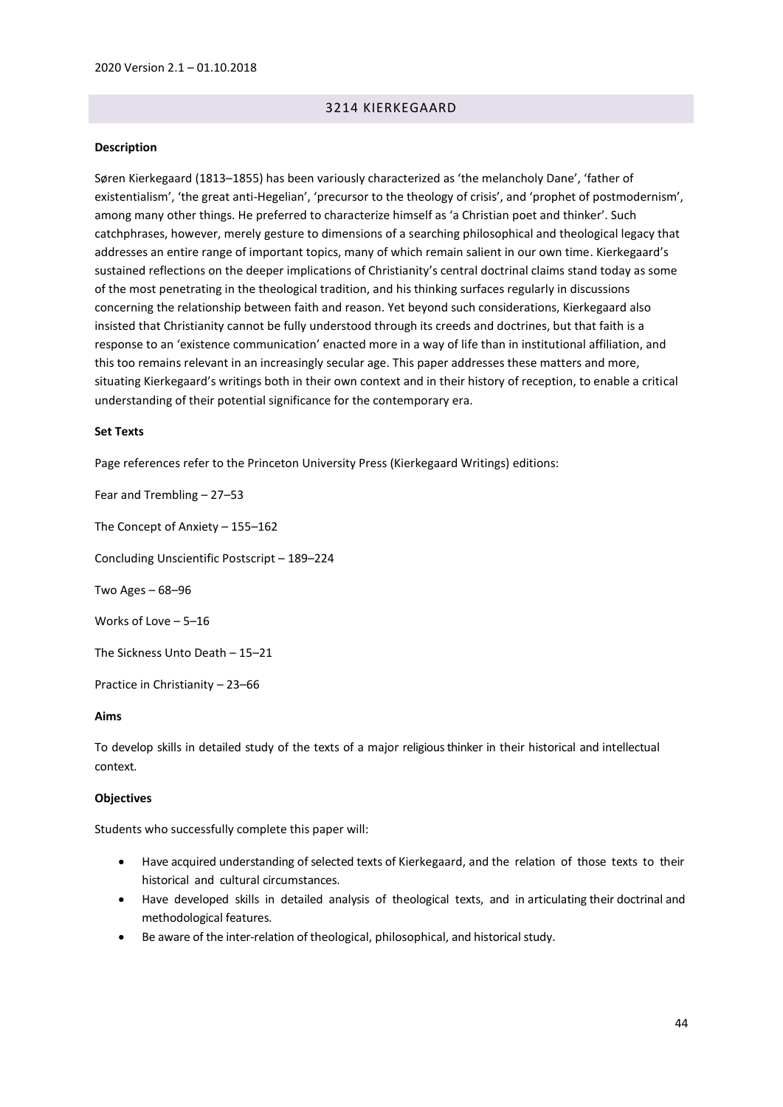# 3214 KIERKEGAARD

#### **Description**

Søren Kierkegaard (1813–1855) has been variously characterized as 'the melancholy Dane', 'father of existentialism', 'the great anti-Hegelian', 'precursor to the theology of crisis', and 'prophet of postmodernism', among many other things. He preferred to characterize himself as 'a Christian poet and thinker'. Such catchphrases, however, merely gesture to dimensions of a searching philosophical and theological legacy that addresses an entire range of important topics, many of which remain salient in our own time. Kierkegaard's sustained reflections on the deeper implications of Christianity's central doctrinal claims stand today as some of the most penetrating in the theological tradition, and his thinking surfaces regularly in discussions concerning the relationship between faith and reason. Yet beyond such considerations, Kierkegaard also insisted that Christianity cannot be fully understood through its creeds and doctrines, but that faith is a response to an 'existence communication' enacted more in a way of life than in institutional affiliation, and this too remains relevant in an increasingly secular age. This paper addresses these matters and more, situating Kierkegaard's writings both in their own context and in their history of reception, to enable a critical understanding of their potential significance for the contemporary era.

#### **Set Texts**

Page references refer to the Princeton University Press (Kierkegaard Writings) editions:

Fear and Trembling – 27–53

The Concept of Anxiety – 155–162

Concluding Unscientific Postscript – 189–224

Two Ages – 68–96

Works of Love – 5–16

The Sickness Unto Death – 15–21

Practice in Christianity – 23–66

### **Aims**

To develop skills in detailed study of the texts of a major religious thinker in their historical and intellectual context.

### **Objectives**

Students who successfully complete this paper will:

- Have acquired understanding of selected texts of Kierkegaard, and the relation of those texts to their historical and cultural circumstances.
- Have developed skills in detailed analysis of theological texts, and in articulating their doctrinal and methodological features.
- Be aware of the inter-relation of theological, philosophical, and historical study.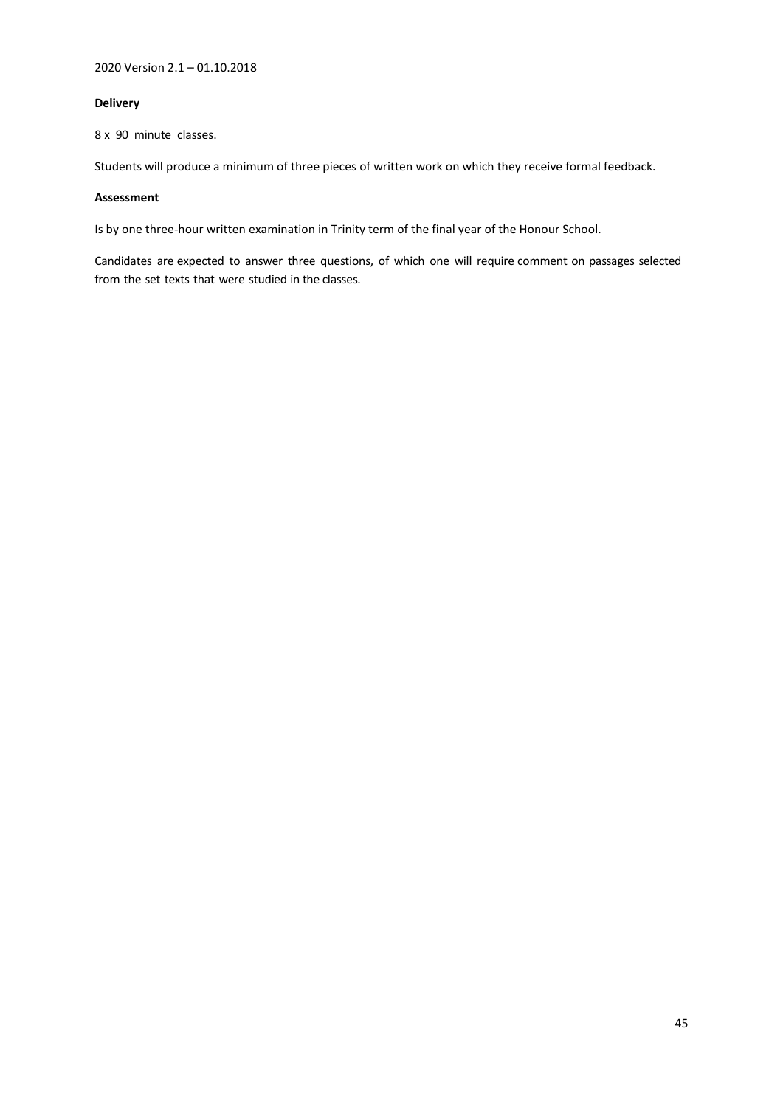## **Delivery**

8 x 90 minute classes.

Students will produce a minimum of three pieces of written work on which they receive formal feedback.

## **Assessment**

Is by one three-hour written examination in Trinity term of the final year of the Honour School.

Candidates are expected to answer three questions, of which one will require comment on passages selected from the set texts that were studied in the classes.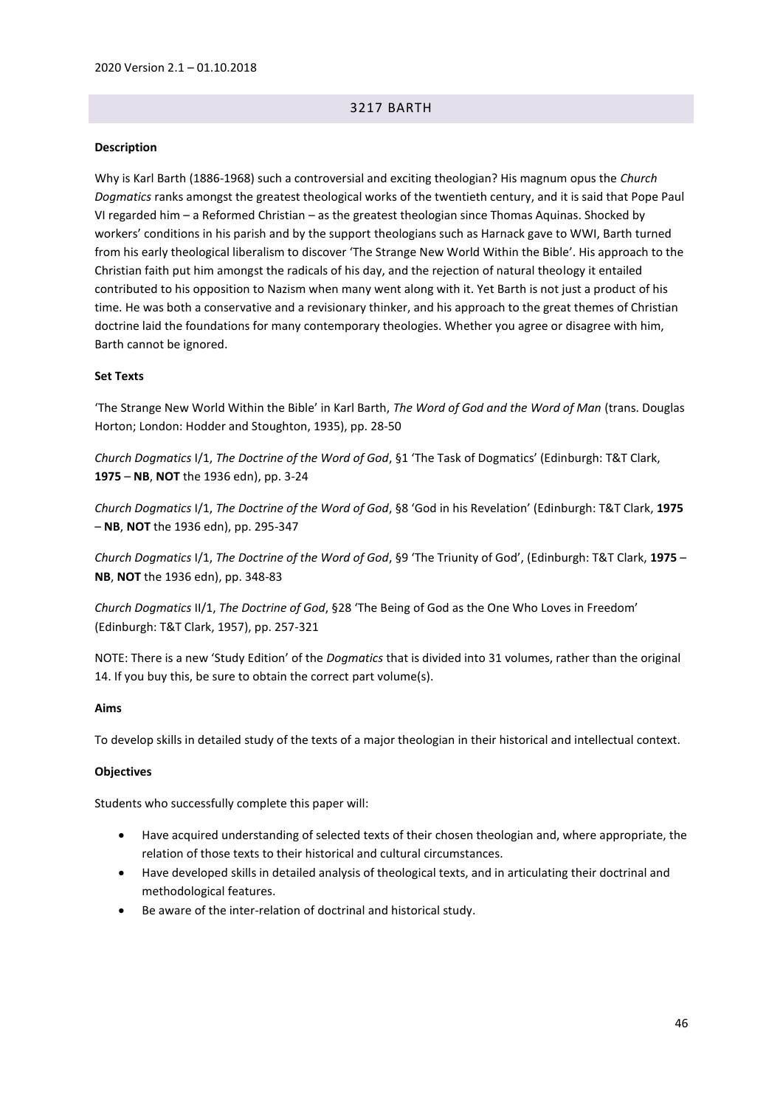# 3217 BARTH

## **Description**

Why is Karl Barth (1886-1968) such a controversial and exciting theologian? His magnum opus the *Church Dogmatics* ranks amongst the greatest theological works of the twentieth century, and it is said that Pope Paul VI regarded him – a Reformed Christian – as the greatest theologian since Thomas Aquinas. Shocked by workers' conditions in his parish and by the support theologians such as Harnack gave to WWI, Barth turned from his early theological liberalism to discover 'The Strange New World Within the Bible'. His approach to the Christian faith put him amongst the radicals of his day, and the rejection of natural theology it entailed contributed to his opposition to Nazism when many went along with it. Yet Barth is not just a product of his time. He was both a conservative and a revisionary thinker, and his approach to the great themes of Christian doctrine laid the foundations for many contemporary theologies. Whether you agree or disagree with him, Barth cannot be ignored.

### **Set Texts**

'The Strange New World Within the Bible' in Karl Barth, *The Word of God and the Word of Man* (trans. Douglas Horton; London: Hodder and Stoughton, 1935), pp. 28-50

*Church Dogmatics* I/1, *The Doctrine of the Word of God*, §1 'The Task of Dogmatics' (Edinburgh: T&T Clark, **1975** – **NB**, **NOT** the 1936 edn), pp. 3-24

*Church Dogmatics* I/1, *The Doctrine of the Word of God*, §8 'God in his Revelation' (Edinburgh: T&T Clark, **1975** – **NB**, **NOT** the 1936 edn), pp. 295-347

*Church Dogmatics* I/1, *The Doctrine of the Word of God*, §9 'The Triunity of God', (Edinburgh: T&T Clark, **1975** – **NB**, **NOT** the 1936 edn), pp. 348-83

*Church Dogmatics* II/1, *The Doctrine of God*, §28 'The Being of God as the One Who Loves in Freedom' (Edinburgh: T&T Clark, 1957), pp. 257-321

NOTE: There is a new 'Study Edition' of the *Dogmatics* that is divided into 31 volumes, rather than the original 14. If you buy this, be sure to obtain the correct part volume(s).

### **Aims**

To develop skills in detailed study of the texts of a major theologian in their historical and intellectual context.

### **Objectives**

Students who successfully complete this paper will:

- Have acquired understanding of selected texts of their chosen theologian and, where appropriate, the relation of those texts to their historical and cultural circumstances.
- Have developed skills in detailed analysis of theological texts, and in articulating their doctrinal and methodological features.
- Be aware of the inter-relation of doctrinal and historical study.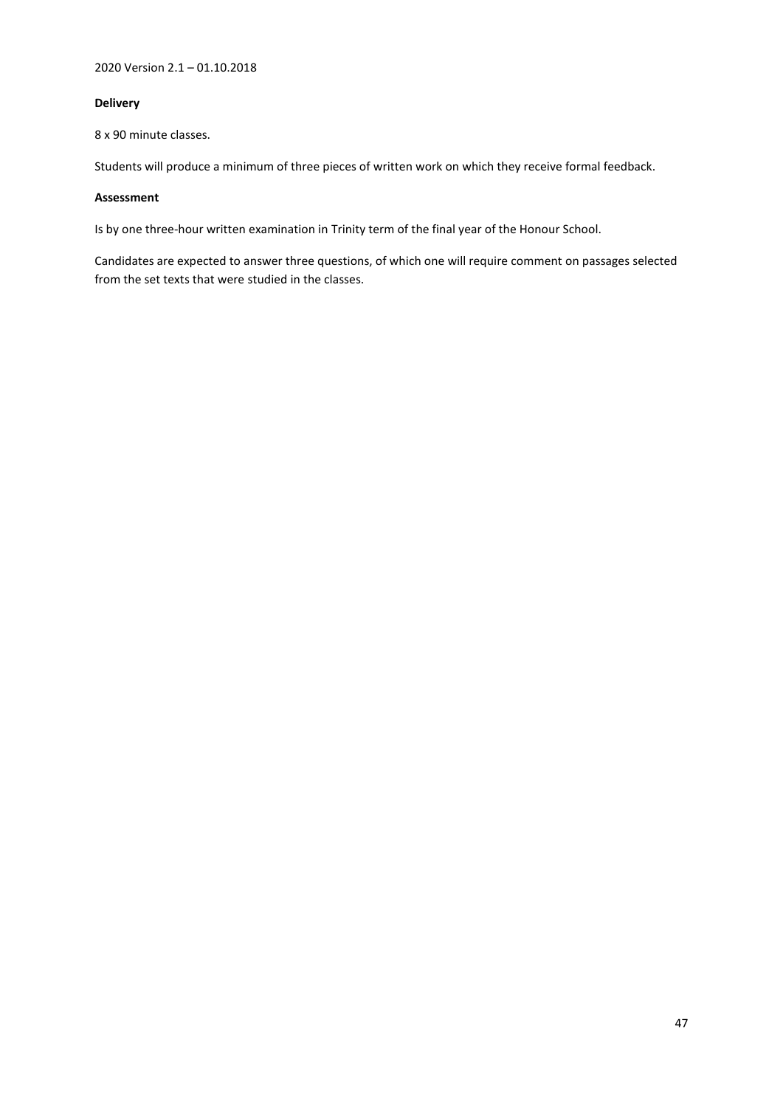# **Delivery**

8 x 90 minute classes.

Students will produce a minimum of three pieces of written work on which they receive formal feedback.

## **Assessment**

Is by one three-hour written examination in Trinity term of the final year of the Honour School.

Candidates are expected to answer three questions, of which one will require comment on passages selected from the set texts that were studied in the classes.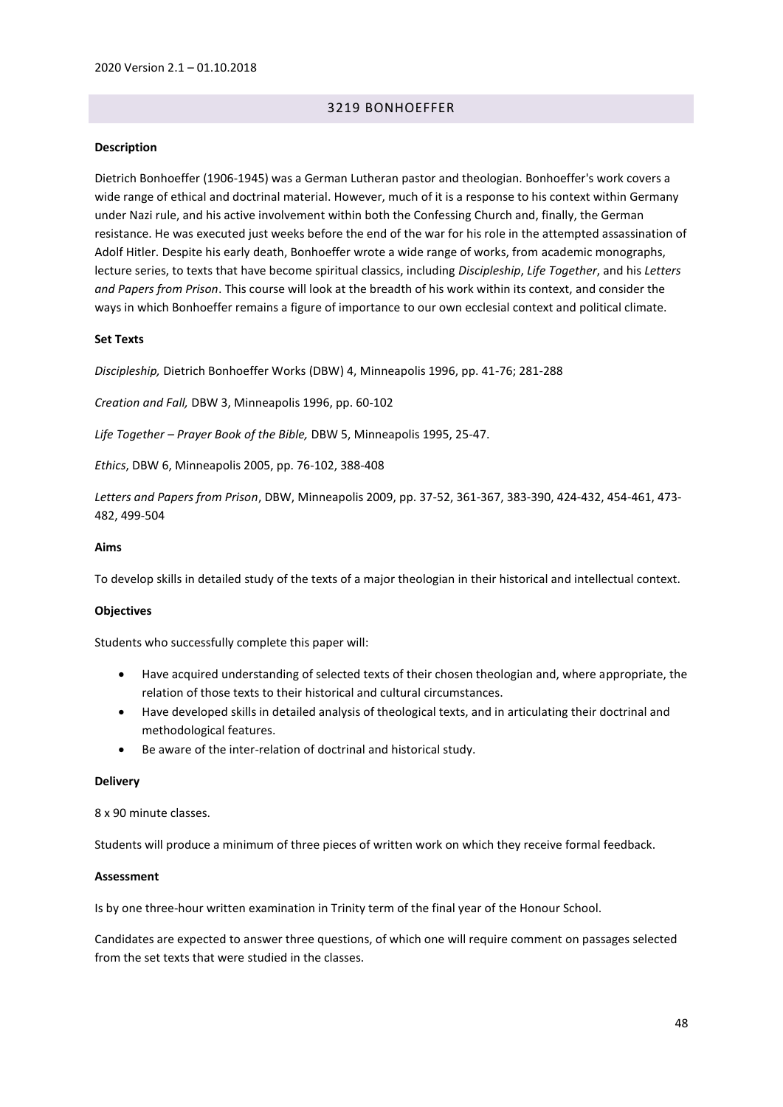# 3219 BONHOEFFER

#### **Description**

Dietrich Bonhoeffer (1906-1945) was a German Lutheran pastor and theologian. Bonhoeffer's work covers a wide range of ethical and doctrinal material. However, much of it is a response to his context within Germany under Nazi rule, and his active involvement within both the Confessing Church and, finally, the German resistance. He was executed just weeks before the end of the war for his role in the attempted assassination of Adolf Hitler. Despite his early death, Bonhoeffer wrote a wide range of works, from academic monographs, lecture series, to texts that have become spiritual classics, including *Discipleship*, *Life Together*, and his *Letters and Papers from Prison*. This course will look at the breadth of his work within its context, and consider the ways in which Bonhoeffer remains a figure of importance to our own ecclesial context and political climate.

### **Set Texts**

*Discipleship,* Dietrich Bonhoeffer Works (DBW) 4, Minneapolis 1996, pp. 41-76; 281-288

*Creation and Fall,* DBW 3, Minneapolis 1996, pp. 60-102

*Life Together – Prayer Book of the Bible,* DBW 5, Minneapolis 1995, 25-47.

*Ethics*, DBW 6, Minneapolis 2005, pp. 76-102, 388-408

*Letters and Papers from Prison*, DBW, Minneapolis 2009, pp. 37-52, 361-367, 383-390, 424-432, 454-461, 473- 482, 499-504

#### **Aims**

To develop skills in detailed study of the texts of a major theologian in their historical and intellectual context.

#### **Objectives**

Students who successfully complete this paper will:

- Have acquired understanding of selected texts of their chosen theologian and, where appropriate, the relation of those texts to their historical and cultural circumstances.
- Have developed skills in detailed analysis of theological texts, and in articulating their doctrinal and methodological features.
- Be aware of the inter-relation of doctrinal and historical study.

#### **Delivery**

## 8 x 90 minute classes.

Students will produce a minimum of three pieces of written work on which they receive formal feedback.

#### **Assessment**

Is by one three-hour written examination in Trinity term of the final year of the Honour School.

Candidates are expected to answer three questions, of which one will require comment on passages selected from the set texts that were studied in the classes.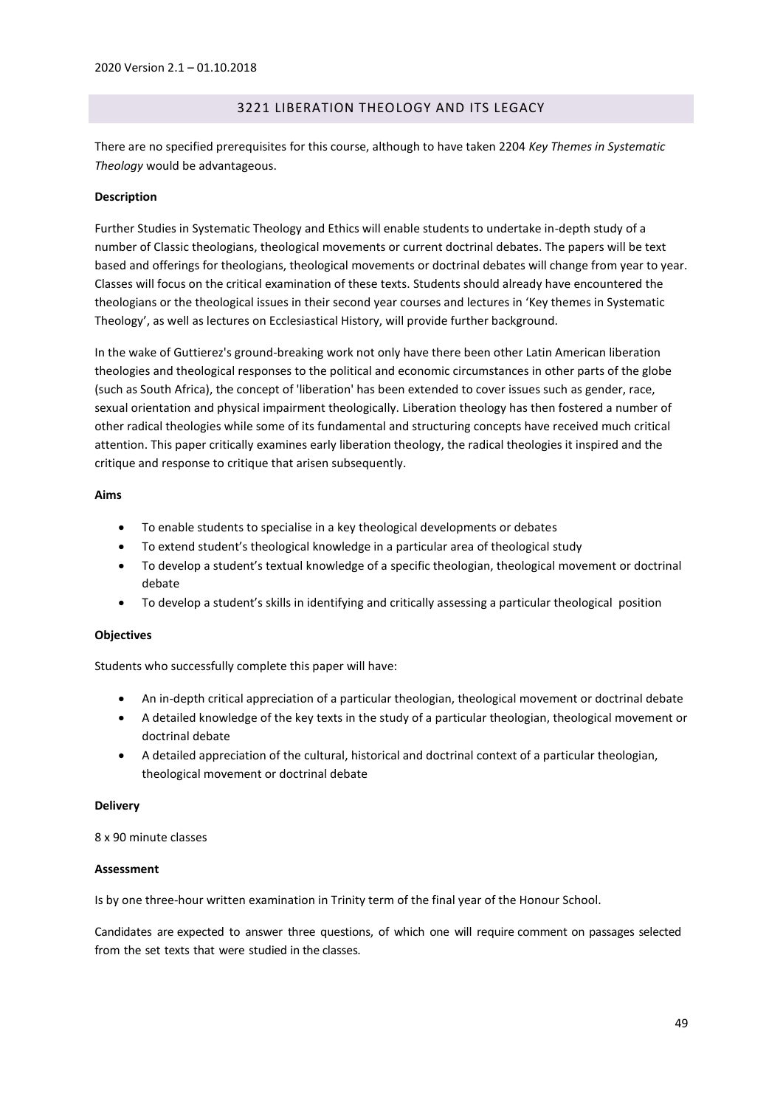# 3221 LIBERATION THEOLOGY AND ITS LEGACY

There are no specified prerequisites for this course, although to have taken 2204 *Key Themes in Systematic Theology* would be advantageous.

## **Description**

Further Studies in Systematic Theology and Ethics will enable students to undertake in-depth study of a number of Classic theologians, theological movements or current doctrinal debates. The papers will be text based and offerings for theologians, theological movements or doctrinal debates will change from year to year. Classes will focus on the critical examination of these texts. Students should already have encountered the theologians or the theological issues in their second year courses and lectures in 'Key themes in Systematic Theology', as well as lectures on Ecclesiastical History, will provide further background.

In the wake of Guttierez's ground-breaking work not only have there been other Latin American liberation theologies and theological responses to the political and economic circumstances in other parts of the globe (such as South Africa), the concept of 'liberation' has been extended to cover issues such as gender, race, sexual orientation and physical impairment theologically. Liberation theology has then fostered a number of other radical theologies while some of its fundamental and structuring concepts have received much critical attention. This paper critically examines early liberation theology, the radical theologies it inspired and the critique and response to critique that arisen subsequently.

## **Aims**

- To enable students to specialise in a key theological developments or debates
- To extend student's theological knowledge in a particular area of theological study
- To develop a student's textual knowledge of a specific theologian, theological movement or doctrinal debate
- To develop a student's skills in identifying and critically assessing a particular theological position

### **Objectives**

Students who successfully complete this paper will have:

- An in-depth critical appreciation of a particular theologian, theological movement or doctrinal debate
- A detailed knowledge of the key texts in the study of a particular theologian, theological movement or doctrinal debate
- A detailed appreciation of the cultural, historical and doctrinal context of a particular theologian, theological movement or doctrinal debate

### **Delivery**

8 x 90 minute classes

### **Assessment**

Is by one three-hour written examination in Trinity term of the final year of the Honour School.

Candidates are expected to answer three questions, of which one will require comment on passages selected from the set texts that were studied in the classes.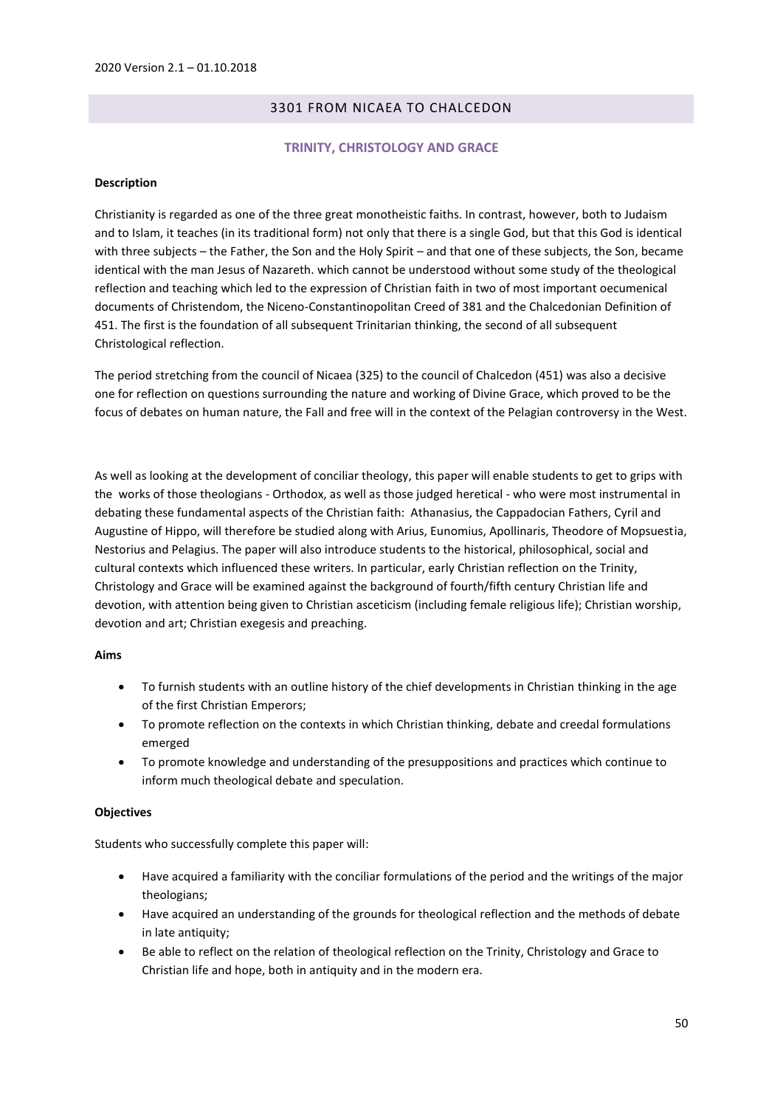# 3301 FROM NICAEA TO CHALCEDON

## **TRINITY, CHRISTOLOGY AND GRACE**

### **Description**

Christianity is regarded as one of the three great monotheistic faiths. In contrast, however, both to Judaism and to Islam, it teaches (in its traditional form) not only that there is a single God, but that this God is identical with three subjects – the Father, the Son and the Holy Spirit – and that one of these subjects, the Son, became identical with the man Jesus of Nazareth. which cannot be understood without some study of the theological reflection and teaching which led to the expression of Christian faith in two of most important oecumenical documents of Christendom, the Niceno-Constantinopolitan Creed of 381 and the Chalcedonian Definition of 451. The first is the foundation of all subsequent Trinitarian thinking, the second of all subsequent Christological reflection.

The period stretching from the council of Nicaea (325) to the council of Chalcedon (451) was also a decisive one for reflection on questions surrounding the nature and working of Divine Grace, which proved to be the focus of debates on human nature, the Fall and free will in the context of the Pelagian controversy in the West.

As well as looking at the development of conciliar theology, this paper will enable students to get to grips with the works of those theologians - Orthodox, as well as those judged heretical - who were most instrumental in debating these fundamental aspects of the Christian faith: Athanasius, the Cappadocian Fathers, Cyril and Augustine of Hippo, will therefore be studied along with Arius, Eunomius, Apollinaris, Theodore of Mopsuestia, Nestorius and Pelagius. The paper will also introduce students to the historical, philosophical, social and cultural contexts which influenced these writers. In particular, early Christian reflection on the Trinity, Christology and Grace will be examined against the background of fourth/fifth century Christian life and devotion, with attention being given to Christian asceticism (including female religious life); Christian worship, devotion and art; Christian exegesis and preaching.

### **Aims**

- To furnish students with an outline history of the chief developments in Christian thinking in the age of the first Christian Emperors;
- To promote reflection on the contexts in which Christian thinking, debate and creedal formulations emerged
- To promote knowledge and understanding of the presuppositions and practices which continue to inform much theological debate and speculation.

### **Objectives**

Students who successfully complete this paper will:

- Have acquired a familiarity with the conciliar formulations of the period and the writings of the major theologians;
- Have acquired an understanding of the grounds for theological reflection and the methods of debate in late antiquity;
- Be able to reflect on the relation of theological reflection on the Trinity, Christology and Grace to Christian life and hope, both in antiquity and in the modern era.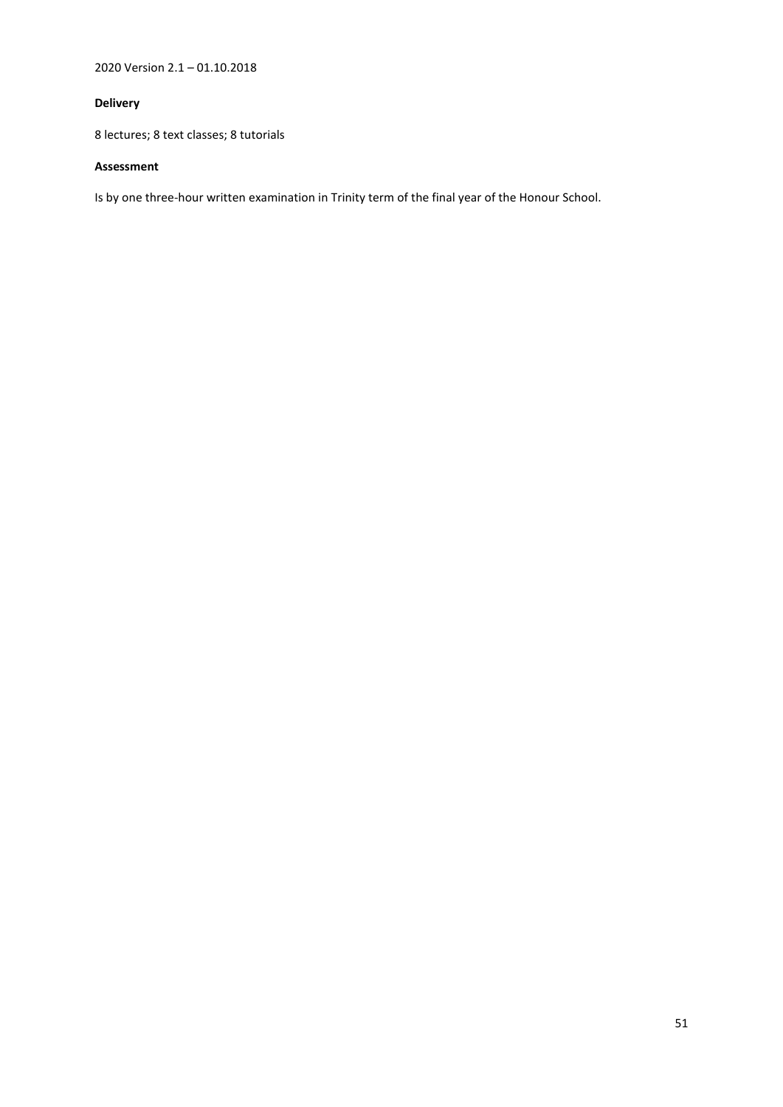2020 Version 2.1 – 01.10.2018

# **Delivery**

8 lectures; 8 text classes; 8 tutorials

# **Assessment**

Is by one three-hour written examination in Trinity term of the final year of the Honour School.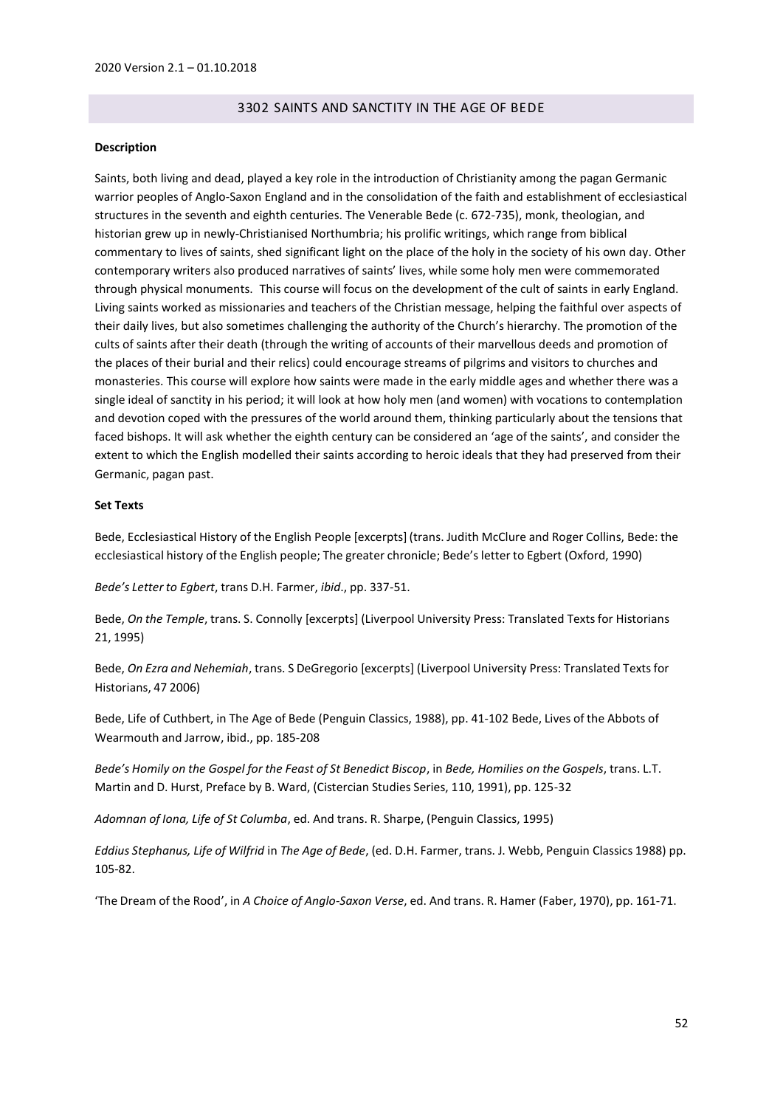# 3302 SAINTS AND SANCTITY IN THE AGE OF BEDE

#### **Description**

Saints, both living and dead, played a key role in the introduction of Christianity among the pagan Germanic warrior peoples of Anglo-Saxon England and in the consolidation of the faith and establishment of ecclesiastical structures in the seventh and eighth centuries. The Venerable Bede (c. 672-735), monk, theologian, and historian grew up in newly-Christianised Northumbria; his prolific writings, which range from biblical commentary to lives of saints, shed significant light on the place of the holy in the society of his own day. Other contemporary writers also produced narratives of saints' lives, while some holy men were commemorated through physical monuments. This course will focus on the development of the cult of saints in early England. Living saints worked as missionaries and teachers of the Christian message, helping the faithful over aspects of their daily lives, but also sometimes challenging the authority of the Church's hierarchy. The promotion of the cults of saints after their death (through the writing of accounts of their marvellous deeds and promotion of the places of their burial and their relics) could encourage streams of pilgrims and visitors to churches and monasteries. This course will explore how saints were made in the early middle ages and whether there was a single ideal of sanctity in his period; it will look at how holy men (and women) with vocations to contemplation and devotion coped with the pressures of the world around them, thinking particularly about the tensions that faced bishops. It will ask whether the eighth century can be considered an 'age of the saints', and consider the extent to which the English modelled their saints according to heroic ideals that they had preserved from their Germanic, pagan past.

### **Set Texts**

Bede, Ecclesiastical History of the English People [excerpts] (trans. Judith McClure and Roger Collins, Bede: the ecclesiastical history of the English people; The greater chronicle; Bede's letter to Egbert (Oxford, 1990)

*Bede's Letter to Egbert*, trans D.H. Farmer, *ibid*., pp. 337-51.

Bede, *On the Temple*, trans. S. Connolly [excerpts] (Liverpool University Press: Translated Textsfor Historians 21, 1995)

Bede, *On Ezra and Nehemiah*, trans. S DeGregorio [excerpts] (Liverpool University Press: Translated Textsfor Historians, 47 2006)

Bede, Life of Cuthbert, in The Age of Bede (Penguin Classics, 1988), pp. 41-102 Bede, Lives of the Abbots of Wearmouth and Jarrow, ibid., pp. 185-208

Bede's Homily on the Gospel for the Feast of St Benedict Biscop, in Bede, Homilies on the Gospels, trans. L.T. Martin and D. Hurst, Preface by B. Ward, (Cistercian Studies Series, 110, 1991), pp. 125-32

*Adomnan of Iona, Life of St Columba*, ed. And trans. R. Sharpe, (Penguin Classics, 1995)

*Eddius Stephanus, Life of Wilfrid* in *The Age of Bede*, (ed. D.H. Farmer, trans. J. Webb, Penguin Classics 1988) pp. 105-82.

'The Dream of the Rood', in *A Choice of Anglo-Saxon Verse*, ed. And trans. R. Hamer (Faber, 1970), pp. 161-71.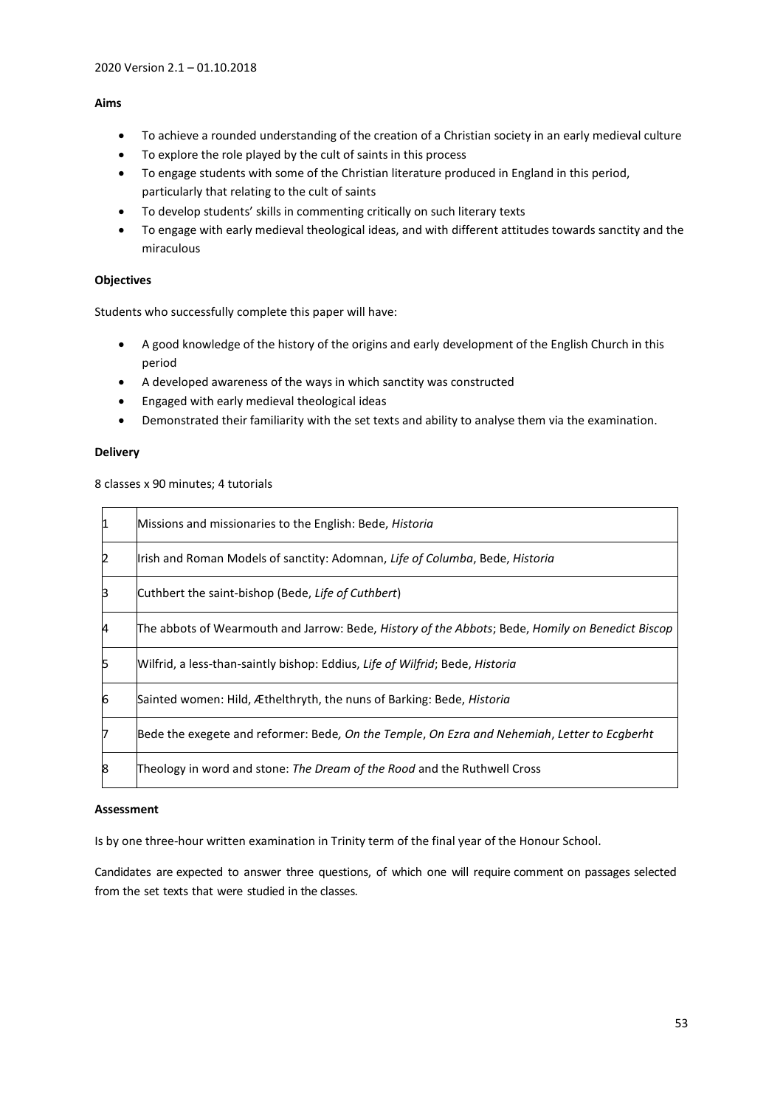## **Aims**

- To achieve a rounded understanding of the creation of a Christian society in an early medieval culture
- To explore the role played by the cult of saints in this process
- To engage students with some of the Christian literature produced in England in this period, particularly that relating to the cult of saints
- To develop students' skills in commenting critically on such literary texts
- To engage with early medieval theological ideas, and with different attitudes towards sanctity and the miraculous

## **Objectives**

Students who successfully complete this paper will have:

- A good knowledge of the history of the origins and early development of the English Church in this period
- A developed awareness of the ways in which sanctity was constructed
- Engaged with early medieval theological ideas
- Demonstrated their familiarity with the set texts and ability to analyse them via the examination.

# **Delivery**

8 classes x 90 minutes; 4 tutorials

| I1 | Missions and missionaries to the English: Bede, Historia                                         |
|----|--------------------------------------------------------------------------------------------------|
| 2  | Irish and Roman Models of sanctity: Adomnan, Life of Columba, Bede, Historia                     |
| β  | Cuthbert the saint-bishop (Bede, Life of Cuthbert)                                               |
| 4  | The abbots of Wearmouth and Jarrow: Bede, History of the Abbots; Bede, Homily on Benedict Biscop |
| 5  | Wilfrid, a less-than-saintly bishop: Eddius, Life of Wilfrid; Bede, Historia                     |
| 6  | Sainted women: Hild, Æthelthryth, the nuns of Barking: Bede, <i>Historia</i>                     |
| 7  | Bede the exegete and reformer: Bede, On the Temple, On Ezra and Nehemiah, Letter to Ecgberht     |
| 8  | Theology in word and stone: The Dream of the Rood and the Ruthwell Cross                         |

### **Assessment**

Is by one three-hour written examination in Trinity term of the final year of the Honour School.

Candidates are expected to answer three questions, of which one will require comment on passages selected from the set texts that were studied in the classes.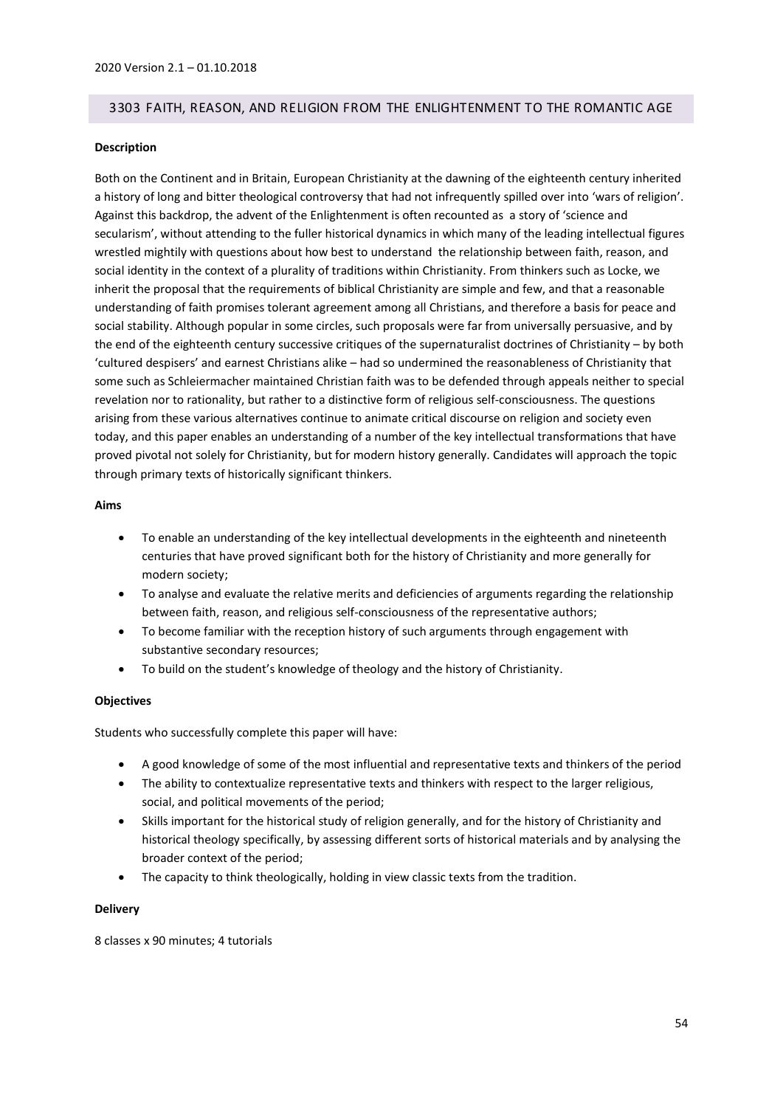## 3303 FAITH, REASON, AND RELIGION FROM THE ENLIGHTENMENT TO THE ROMANTIC AGE

### **Description**

Both on the Continent and in Britain, European Christianity at the dawning of the eighteenth century inherited a history of long and bitter theological controversy that had not infrequently spilled over into 'wars of religion'. Against this backdrop, the advent of the Enlightenment is often recounted as a story of 'science and secularism', without attending to the fuller historical dynamics in which many of the leading intellectual figures wrestled mightily with questions about how best to understand the relationship between faith, reason, and social identity in the context of a plurality of traditions within Christianity. From thinkers such as Locke, we inherit the proposal that the requirements of biblical Christianity are simple and few, and that a reasonable understanding of faith promises tolerant agreement among all Christians, and therefore a basis for peace and social stability. Although popular in some circles, such proposals were far from universally persuasive, and by the end of the eighteenth century successive critiques of the supernaturalist doctrines of Christianity – by both 'cultured despisers' and earnest Christians alike – had so undermined the reasonableness of Christianity that some such as Schleiermacher maintained Christian faith was to be defended through appeals neither to special revelation nor to rationality, but rather to a distinctive form of religious self-consciousness. The questions arising from these various alternatives continue to animate critical discourse on religion and society even today, and this paper enables an understanding of a number of the key intellectual transformations that have proved pivotal not solely for Christianity, but for modern history generally. Candidates will approach the topic through primary texts of historically significant thinkers.

### **Aims**

- To enable an understanding of the key intellectual developments in the eighteenth and nineteenth centuries that have proved significant both for the history of Christianity and more generally for modern society;
- To analyse and evaluate the relative merits and deficiencies of arguments regarding the relationship between faith, reason, and religious self-consciousness of the representative authors;
- To become familiar with the reception history of such arguments through engagement with substantive secondary resources;
- To build on the student's knowledge of theology and the history of Christianity.

### **Objectives**

Students who successfully complete this paper will have:

- A good knowledge of some of the most influential and representative texts and thinkers of the period
- The ability to contextualize representative texts and thinkers with respect to the larger religious, social, and political movements of the period;
- Skills important for the historical study of religion generally, and for the history of Christianity and historical theology specifically, by assessing different sorts of historical materials and by analysing the broader context of the period;
- The capacity to think theologically, holding in view classic texts from the tradition.

### **Delivery**

8 classes x 90 minutes; 4 tutorials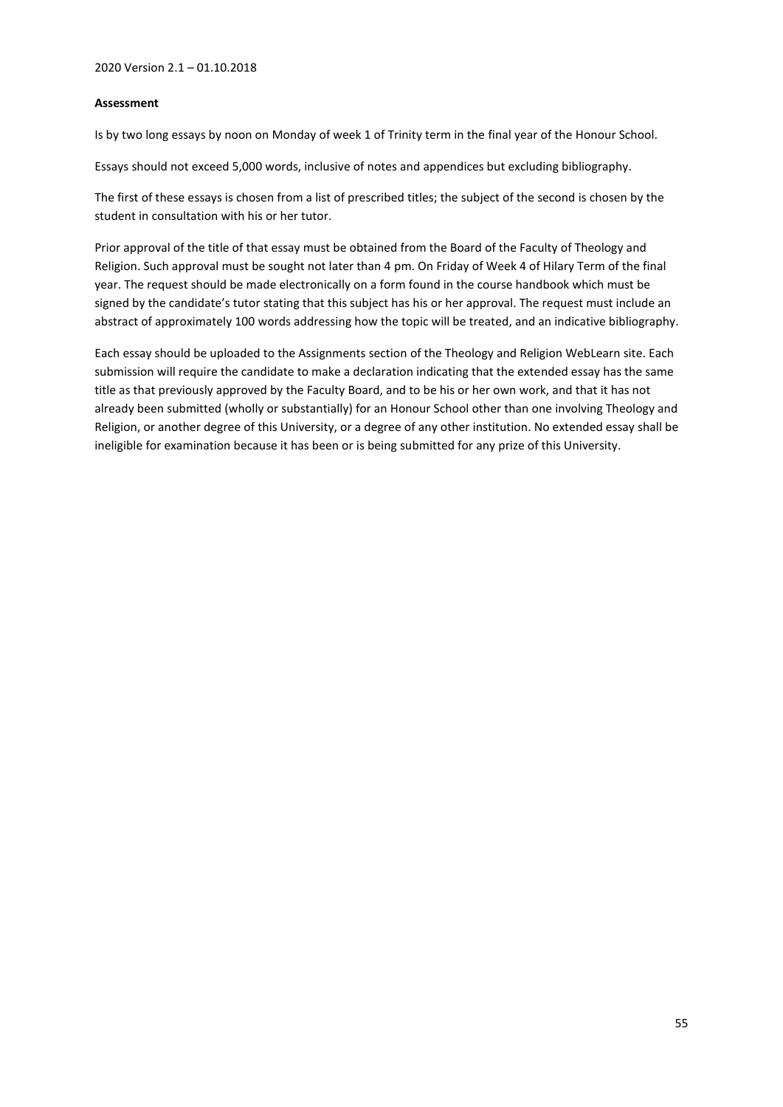## **Assessment**

Is by two long essays by noon on Monday of week 1 of Trinity term in the final year of the Honour School.

Essays should not exceed 5,000 words, inclusive of notes and appendices but excluding bibliography.

The first of these essays is chosen from a list of prescribed titles; the subject of the second is chosen by the student in consultation with his or her tutor.

Prior approval of the title of that essay must be obtained from the Board of the Faculty of Theology and Religion. Such approval must be sought not later than 4 pm. On Friday of Week 4 of Hilary Term of the final year. The request should be made electronically on a form found in the course handbook which must be signed by the candidate's tutor stating that this subject has his or her approval. The request must include an abstract of approximately 100 words addressing how the topic will be treated, and an indicative bibliography.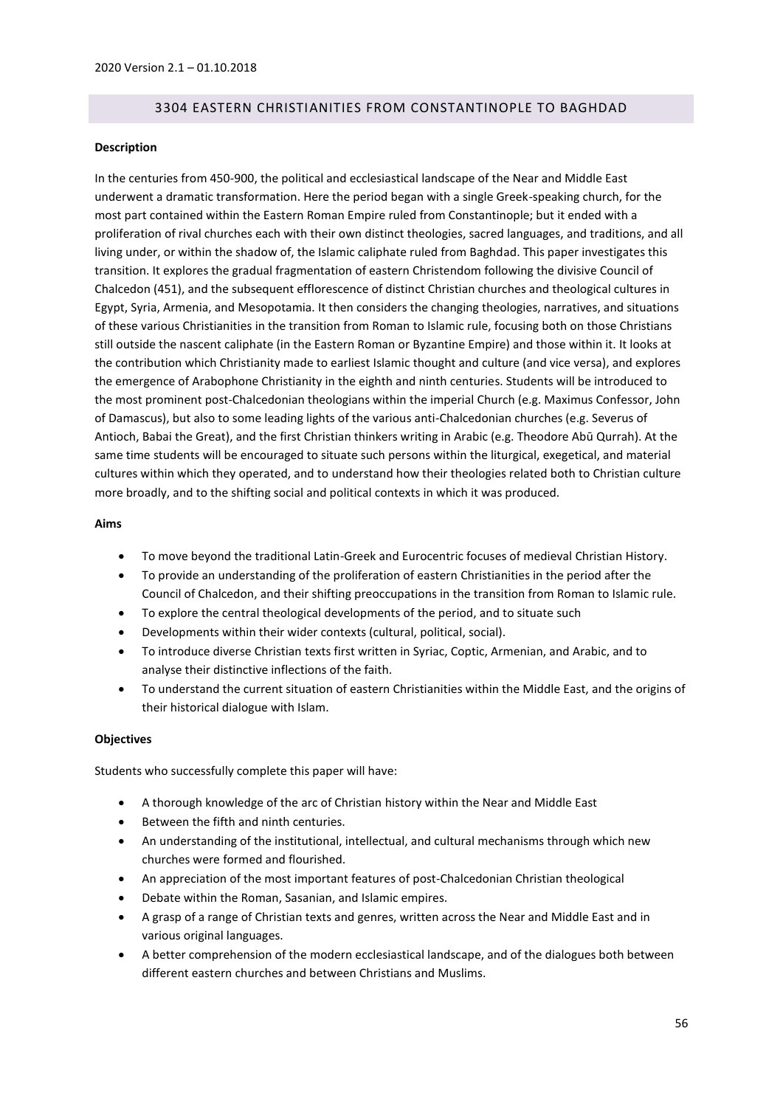# 3304 EASTERN CHRISTIANITIES FROM CONSTANTINOPLE TO BAGHDAD

### **Description**

In the centuries from 450-900, the political and ecclesiastical landscape of the Near and Middle East underwent a dramatic transformation. Here the period began with a single Greek-speaking church, for the most part contained within the Eastern Roman Empire ruled from Constantinople; but it ended with a proliferation of rival churches each with their own distinct theologies, sacred languages, and traditions, and all living under, or within the shadow of, the Islamic caliphate ruled from Baghdad. This paper investigates this transition. It explores the gradual fragmentation of eastern Christendom following the divisive Council of Chalcedon (451), and the subsequent efflorescence of distinct Christian churches and theological cultures in Egypt, Syria, Armenia, and Mesopotamia. It then considers the changing theologies, narratives, and situations of these various Christianities in the transition from Roman to Islamic rule, focusing both on those Christians still outside the nascent caliphate (in the Eastern Roman or Byzantine Empire) and those within it. It looks at the contribution which Christianity made to earliest Islamic thought and culture (and vice versa), and explores the emergence of Arabophone Christianity in the eighth and ninth centuries. Students will be introduced to the most prominent post-Chalcedonian theologians within the imperial Church (e.g. Maximus Confessor, John of Damascus), but also to some leading lights of the various anti-Chalcedonian churches (e.g. Severus of Antioch, Babai the Great), and the first Christian thinkers writing in Arabic (e.g. Theodore Abū Qurrah). At the same time students will be encouraged to situate such persons within the liturgical, exegetical, and material cultures within which they operated, and to understand how their theologies related both to Christian culture more broadly, and to the shifting social and political contexts in which it was produced.

## **Aims**

- To move beyond the traditional Latin-Greek and Eurocentric focuses of medieval Christian History.
- To provide an understanding of the proliferation of eastern Christianities in the period after the Council of Chalcedon, and their shifting preoccupations in the transition from Roman to Islamic rule.
- To explore the central theological developments of the period, and to situate such
- Developments within their wider contexts (cultural, political, social).
- To introduce diverse Christian texts first written in Syriac, Coptic, Armenian, and Arabic, and to analyse their distinctive inflections of the faith.
- To understand the current situation of eastern Christianities within the Middle East, and the origins of their historical dialogue with Islam.

### **Objectives**

Students who successfully complete this paper will have:

- A thorough knowledge of the arc of Christian history within the Near and Middle East
- Between the fifth and ninth centuries.
- An understanding of the institutional, intellectual, and cultural mechanisms through which new churches were formed and flourished.
- An appreciation of the most important features of post-Chalcedonian Christian theological
- Debate within the Roman, Sasanian, and Islamic empires.
- A grasp of a range of Christian texts and genres, written across the Near and Middle East and in various original languages.
- A better comprehension of the modern ecclesiastical landscape, and of the dialogues both between different eastern churches and between Christians and Muslims.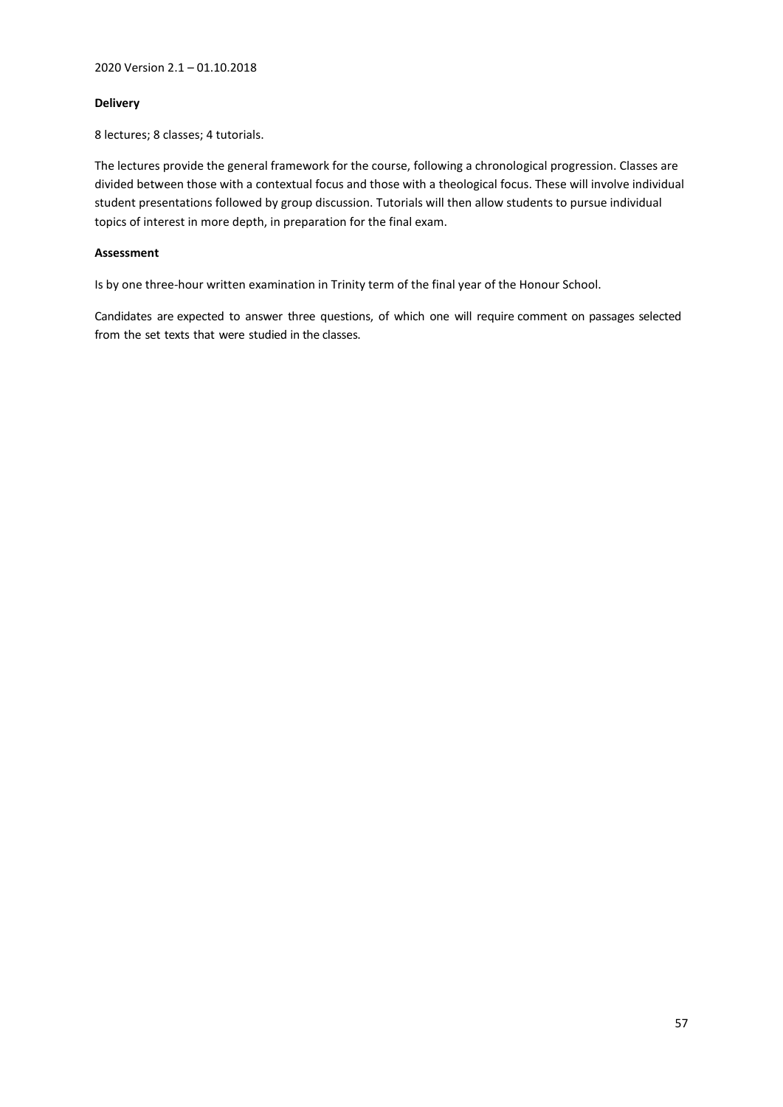## **Delivery**

8 lectures; 8 classes; 4 tutorials.

The lectures provide the general framework for the course, following a chronological progression. Classes are divided between those with a contextual focus and those with a theological focus. These will involve individual student presentations followed by group discussion. Tutorials will then allow students to pursue individual topics of interest in more depth, in preparation for the final exam.

# **Assessment**

Is by one three-hour written examination in Trinity term of the final year of the Honour School.

Candidates are expected to answer three questions, of which one will require comment on passages selected from the set texts that were studied in the classes.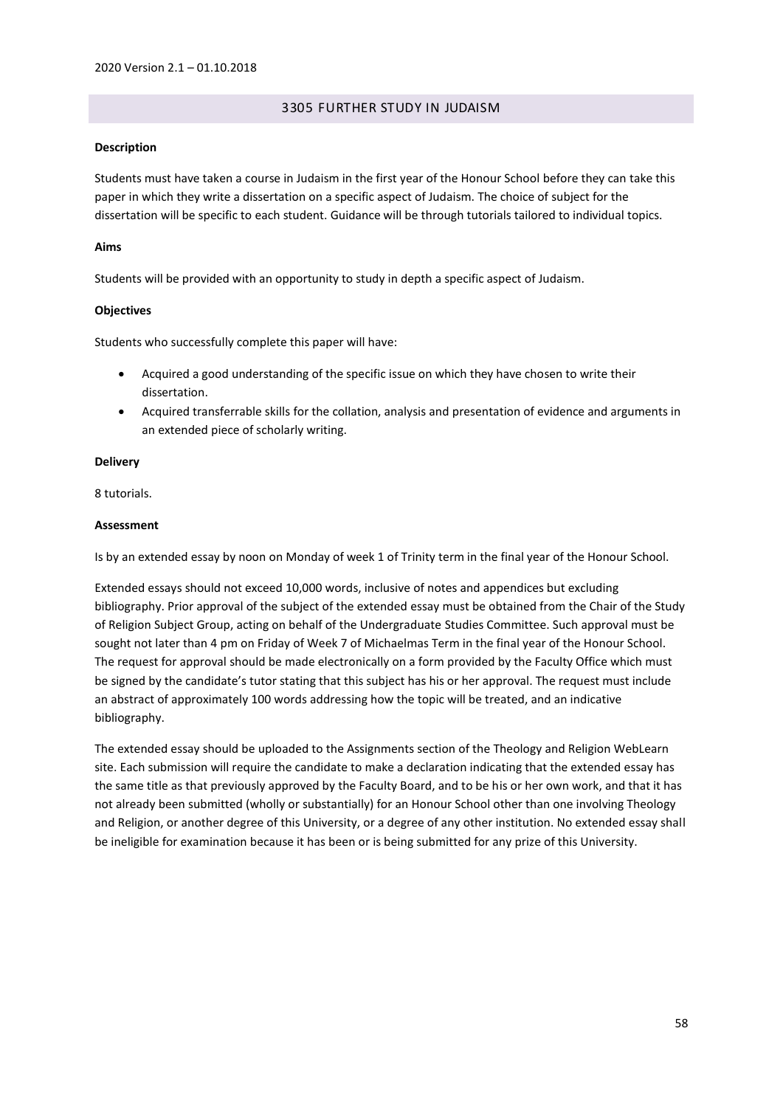## 3305 FURTHER STUDY IN JUDAISM

### **Description**

Students must have taken a course in Judaism in the first year of the Honour School before they can take this paper in which they write a dissertation on a specific aspect of Judaism. The choice of subject for the dissertation will be specific to each student. Guidance will be through tutorials tailored to individual topics.

## **Aims**

Students will be provided with an opportunity to study in depth a specific aspect of Judaism.

## **Objectives**

Students who successfully complete this paper will have:

- Acquired a good understanding of the specific issue on which they have chosen to write their dissertation.
- Acquired transferrable skills for the collation, analysis and presentation of evidence and arguments in an extended piece of scholarly writing.

### **Delivery**

8 tutorials.

## **Assessment**

Is by an extended essay by noon on Monday of week 1 of Trinity term in the final year of the Honour School.

Extended essays should not exceed 10,000 words, inclusive of notes and appendices but excluding bibliography. Prior approval of the subject of the extended essay must be obtained from the Chair of the Study of Religion Subject Group, acting on behalf of the Undergraduate Studies Committee. Such approval must be sought not later than 4 pm on Friday of Week 7 of Michaelmas Term in the final year of the Honour School. The request for approval should be made electronically on a form provided by the Faculty Office which must be signed by the candidate's tutor stating that this subject has his or her approval. The request must include an abstract of approximately 100 words addressing how the topic will be treated, and an indicative bibliography.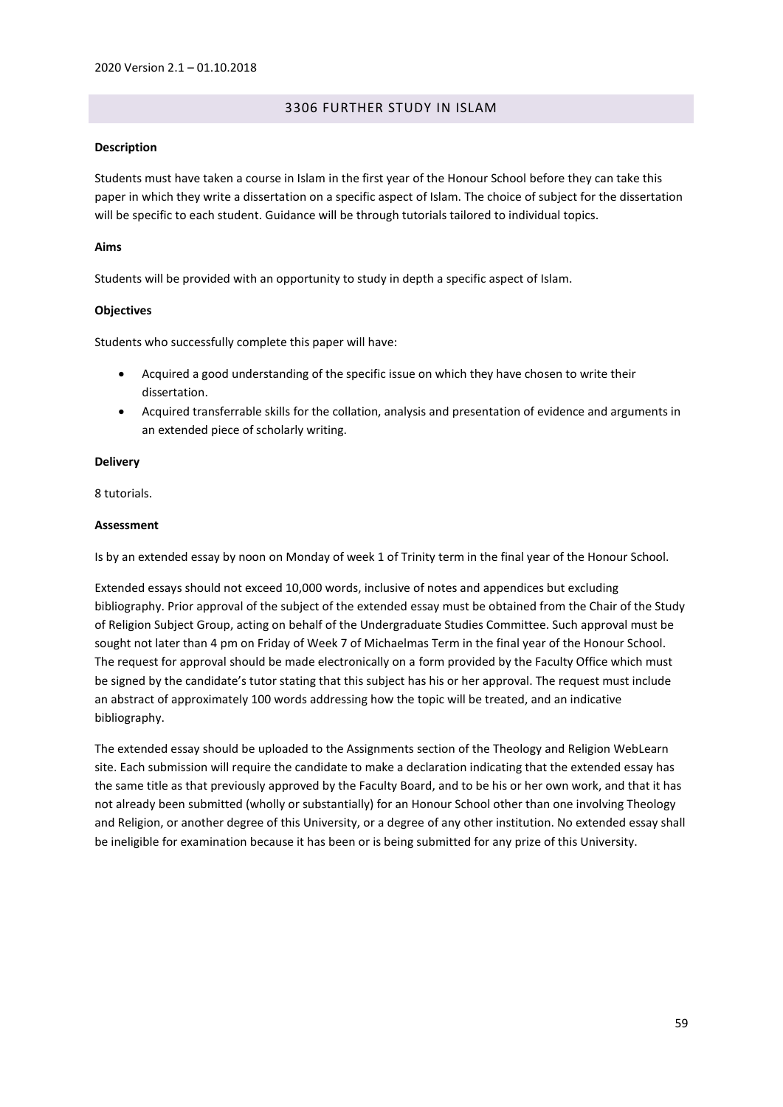## 3306 FURTHER STUDY IN ISLAM

### **Description**

Students must have taken a course in Islam in the first year of the Honour School before they can take this paper in which they write a dissertation on a specific aspect of Islam. The choice of subject for the dissertation will be specific to each student. Guidance will be through tutorials tailored to individual topics.

## **Aims**

Students will be provided with an opportunity to study in depth a specific aspect of Islam.

## **Objectives**

Students who successfully complete this paper will have:

- Acquired a good understanding of the specific issue on which they have chosen to write their dissertation.
- Acquired transferrable skills for the collation, analysis and presentation of evidence and arguments in an extended piece of scholarly writing.

### **Delivery**

8 tutorials.

## **Assessment**

Is by an extended essay by noon on Monday of week 1 of Trinity term in the final year of the Honour School.

Extended essays should not exceed 10,000 words, inclusive of notes and appendices but excluding bibliography. Prior approval of the subject of the extended essay must be obtained from the Chair of the Study of Religion Subject Group, acting on behalf of the Undergraduate Studies Committee. Such approval must be sought not later than 4 pm on Friday of Week 7 of Michaelmas Term in the final year of the Honour School. The request for approval should be made electronically on a form provided by the Faculty Office which must be signed by the candidate's tutor stating that this subject has his or her approval. The request must include an abstract of approximately 100 words addressing how the topic will be treated, and an indicative bibliography.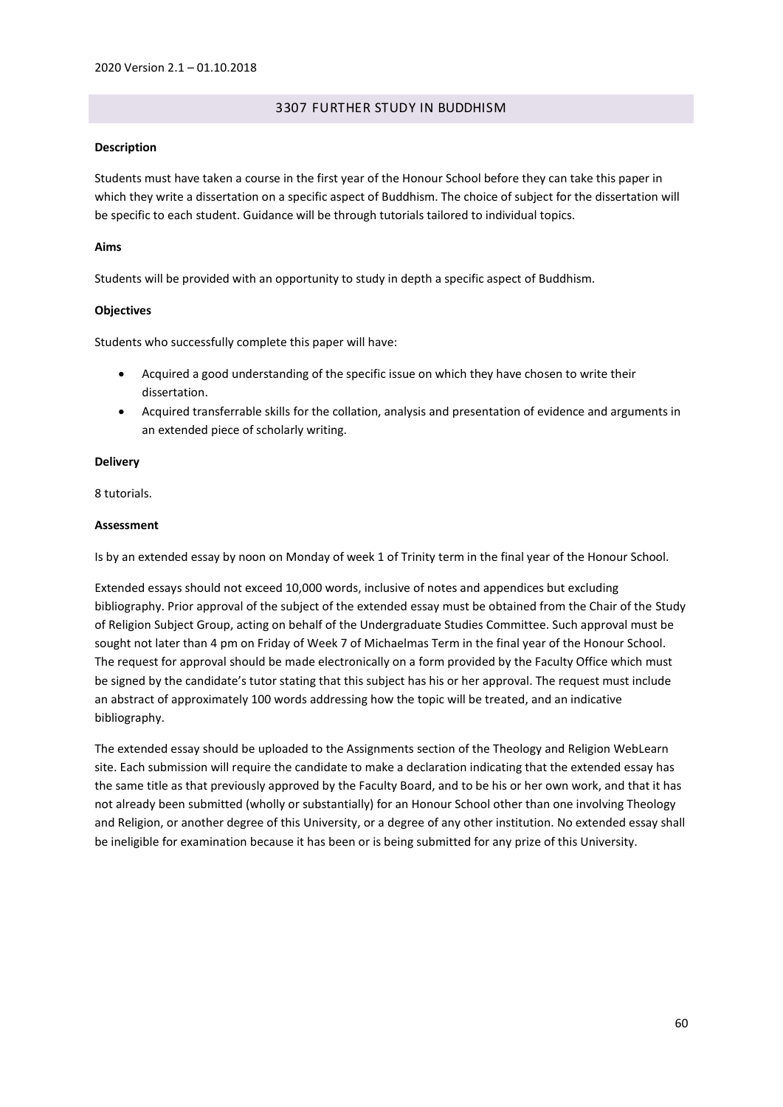## 3307 FURTHER STUDY IN BUDDHISM

### **Description**

Students must have taken a course in the first year of the Honour School before they can take this paper in which they write a dissertation on a specific aspect of Buddhism. The choice of subject for the dissertation will be specific to each student. Guidance will be through tutorials tailored to individual topics.

## **Aims**

Students will be provided with an opportunity to study in depth a specific aspect of Buddhism.

## **Objectives**

Students who successfully complete this paper will have:

- Acquired a good understanding of the specific issue on which they have chosen to write their dissertation.
- Acquired transferrable skills for the collation, analysis and presentation of evidence and arguments in an extended piece of scholarly writing.

### **Delivery**

8 tutorials.

## **Assessment**

Is by an extended essay by noon on Monday of week 1 of Trinity term in the final year of the Honour School.

Extended essays should not exceed 10,000 words, inclusive of notes and appendices but excluding bibliography. Prior approval of the subject of the extended essay must be obtained from the Chair of the Study of Religion Subject Group, acting on behalf of the Undergraduate Studies Committee. Such approval must be sought not later than 4 pm on Friday of Week 7 of Michaelmas Term in the final year of the Honour School. The request for approval should be made electronically on a form provided by the Faculty Office which must be signed by the candidate's tutor stating that this subject has his or her approval. The request must include an abstract of approximately 100 words addressing how the topic will be treated, and an indicative bibliography.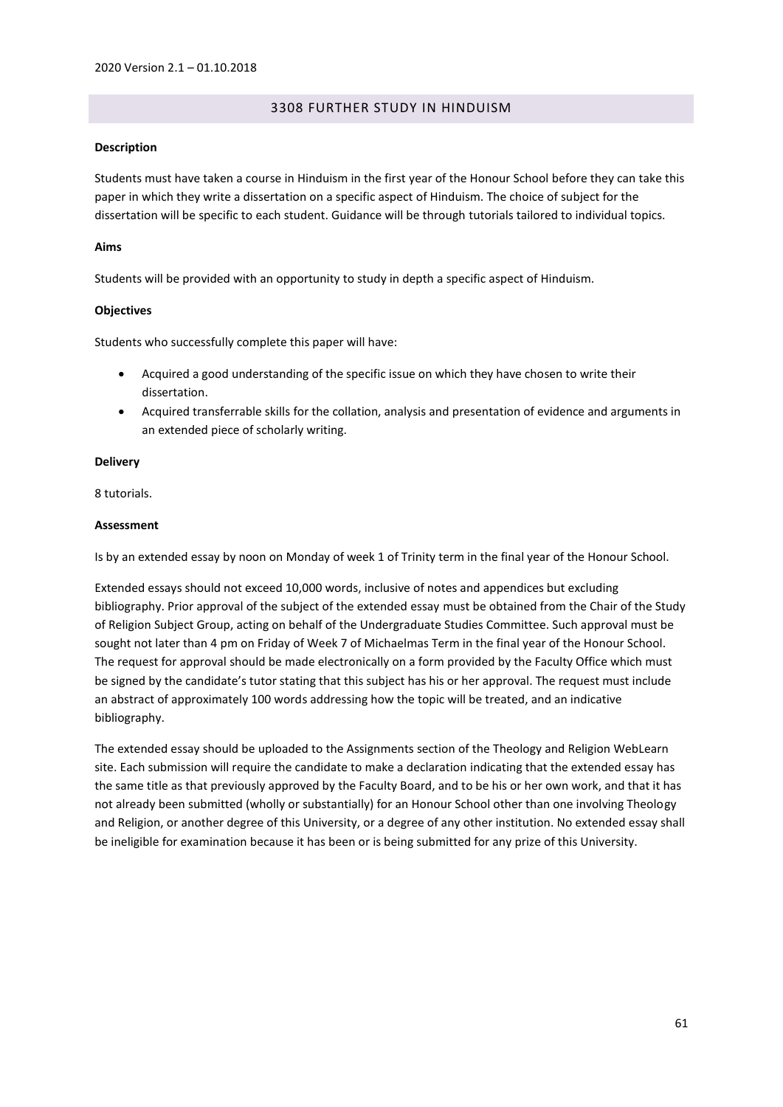## 3308 FURTHER STUDY IN HINDUISM

### **Description**

Students must have taken a course in Hinduism in the first year of the Honour School before they can take this paper in which they write a dissertation on a specific aspect of Hinduism. The choice of subject for the dissertation will be specific to each student. Guidance will be through tutorials tailored to individual topics.

## **Aims**

Students will be provided with an opportunity to study in depth a specific aspect of Hinduism.

## **Objectives**

Students who successfully complete this paper will have:

- Acquired a good understanding of the specific issue on which they have chosen to write their dissertation.
- Acquired transferrable skills for the collation, analysis and presentation of evidence and arguments in an extended piece of scholarly writing.

### **Delivery**

8 tutorials.

## **Assessment**

Is by an extended essay by noon on Monday of week 1 of Trinity term in the final year of the Honour School.

Extended essays should not exceed 10,000 words, inclusive of notes and appendices but excluding bibliography. Prior approval of the subject of the extended essay must be obtained from the Chair of the Study of Religion Subject Group, acting on behalf of the Undergraduate Studies Committee. Such approval must be sought not later than 4 pm on Friday of Week 7 of Michaelmas Term in the final year of the Honour School. The request for approval should be made electronically on a form provided by the Faculty Office which must be signed by the candidate's tutor stating that this subject has his or her approval. The request must include an abstract of approximately 100 words addressing how the topic will be treated, and an indicative bibliography.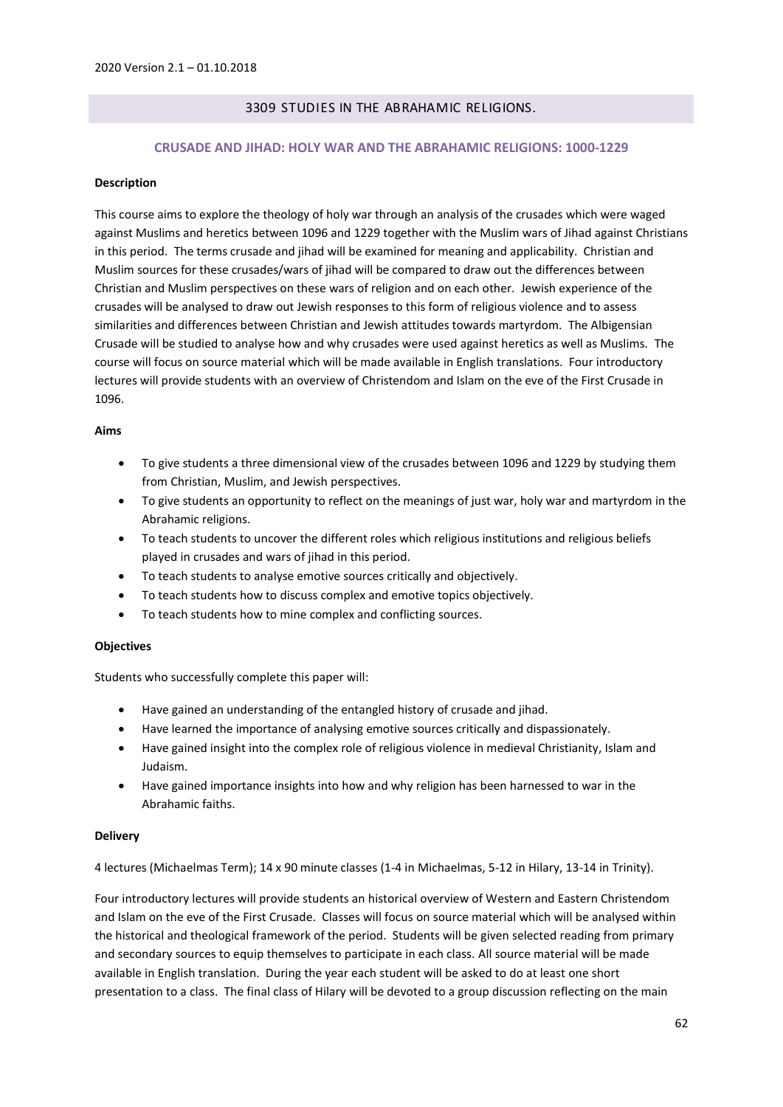# 3309 STUDIES IN THE ABRAHAMIC RELIGIONS.

## **CRUSADE AND JIHAD: HOLY WAR AND THE ABRAHAMIC RELIGIONS: 1000-1229**

### **Description**

This course aims to explore the theology of holy war through an analysis of the crusades which were waged against Muslims and heretics between 1096 and 1229 together with the Muslim wars of Jihad against Christians in this period. The terms crusade and jihad will be examined for meaning and applicability. Christian and Muslim sources for these crusades/wars of jihad will be compared to draw out the differences between Christian and Muslim perspectives on these wars of religion and on each other. Jewish experience of the crusades will be analysed to draw out Jewish responses to this form of religious violence and to assess similarities and differences between Christian and Jewish attitudes towards martyrdom. The Albigensian Crusade will be studied to analyse how and why crusades were used against heretics as well as Muslims. The course will focus on source material which will be made available in English translations. Four introductory lectures will provide students with an overview of Christendom and Islam on the eve of the First Crusade in 1096.

## **Aims**

- To give students a three dimensional view of the crusades between 1096 and 1229 by studying them from Christian, Muslim, and Jewish perspectives.
- To give students an opportunity to reflect on the meanings of just war, holy war and martyrdom in the Abrahamic religions.
- To teach students to uncover the different roles which religious institutions and religious beliefs played in crusades and wars of jihad in this period.
- To teach students to analyse emotive sources critically and objectively.
- To teach students how to discuss complex and emotive topics objectively.
- To teach students how to mine complex and conflicting sources.

### **Objectives**

Students who successfully complete this paper will:

- Have gained an understanding of the entangled history of crusade and jihad.
- Have learned the importance of analysing emotive sources critically and dispassionately.
- Have gained insight into the complex role of religious violence in medieval Christianity, Islam and Judaism.
- Have gained importance insights into how and why religion has been harnessed to war in the Abrahamic faiths.

### **Delivery**

4 lectures (Michaelmas Term); 14 x 90 minute classes (1-4 in Michaelmas, 5-12 in Hilary, 13-14 in Trinity).

Four introductory lectures will provide students an historical overview of Western and Eastern Christendom and Islam on the eve of the First Crusade. Classes will focus on source material which will be analysed within the historical and theological framework of the period. Students will be given selected reading from primary and secondary sources to equip themselves to participate in each class. All source material will be made available in English translation. During the year each student will be asked to do at least one short presentation to a class. The final class of Hilary will be devoted to a group discussion reflecting on the main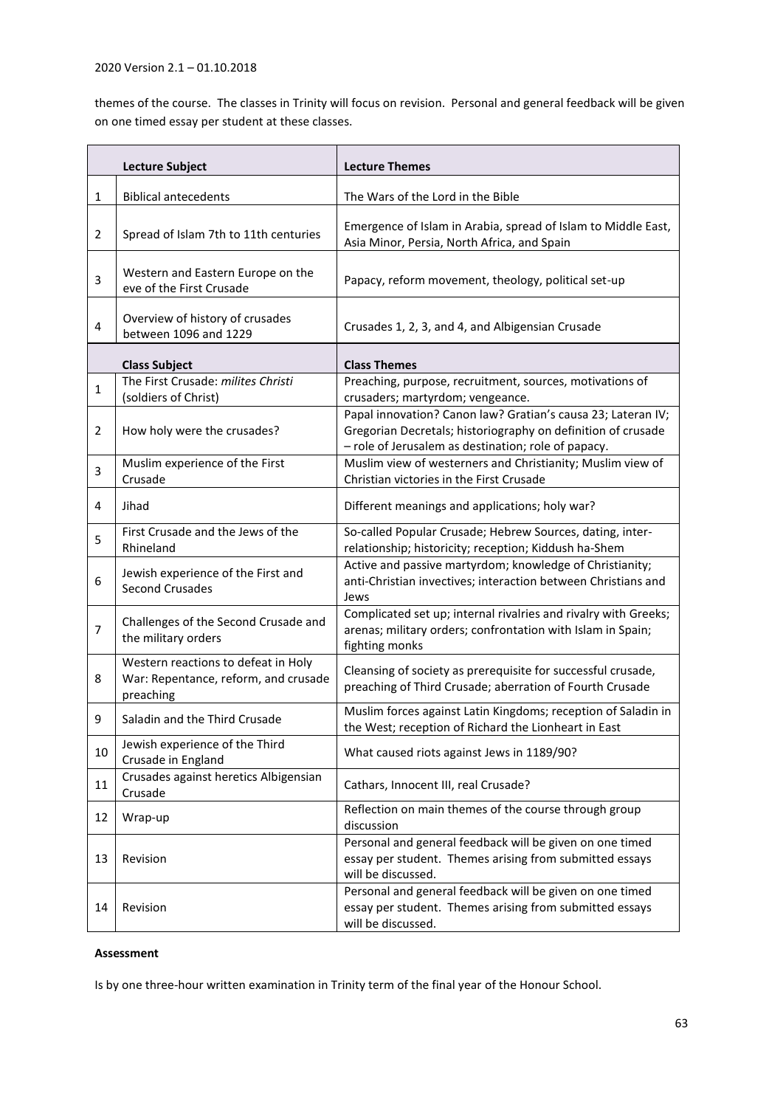# 2020 Version 2.1 – 01.10.2018

themes of the course. The classes in Trinity will focus on revision. Personal and general feedback will be given on one timed essay per student at these classes.

| <b>Lecture Subject</b> |                                                                                          | <b>Lecture Themes</b>                                                                                                                                                               |
|------------------------|------------------------------------------------------------------------------------------|-------------------------------------------------------------------------------------------------------------------------------------------------------------------------------------|
| 1                      | <b>Biblical antecedents</b>                                                              | The Wars of the Lord in the Bible                                                                                                                                                   |
| 2                      | Spread of Islam 7th to 11th centuries                                                    | Emergence of Islam in Arabia, spread of Islam to Middle East,<br>Asia Minor, Persia, North Africa, and Spain                                                                        |
| 3                      | Western and Eastern Europe on the<br>eve of the First Crusade                            | Papacy, reform movement, theology, political set-up                                                                                                                                 |
| 4                      | Overview of history of crusades<br>between 1096 and 1229                                 | Crusades 1, 2, 3, and 4, and Albigensian Crusade                                                                                                                                    |
|                        | <b>Class Subject</b>                                                                     | <b>Class Themes</b>                                                                                                                                                                 |
| $\mathbf{1}$           | The First Crusade: milites Christi<br>(soldiers of Christ)                               | Preaching, purpose, recruitment, sources, motivations of<br>crusaders; martyrdom; vengeance.                                                                                        |
| 2                      | How holy were the crusades?                                                              | Papal innovation? Canon law? Gratian's causa 23; Lateran IV;<br>Gregorian Decretals; historiography on definition of crusade<br>- role of Jerusalem as destination; role of papacy. |
| 3                      | Muslim experience of the First<br>Crusade                                                | Muslim view of westerners and Christianity; Muslim view of<br>Christian victories in the First Crusade                                                                              |
| 4                      | Jihad                                                                                    | Different meanings and applications; holy war?                                                                                                                                      |
| 5                      | First Crusade and the Jews of the<br>Rhineland                                           | So-called Popular Crusade; Hebrew Sources, dating, inter-<br>relationship; historicity; reception; Kiddush ha-Shem                                                                  |
| 6                      | Jewish experience of the First and<br><b>Second Crusades</b>                             | Active and passive martyrdom; knowledge of Christianity;<br>anti-Christian invectives; interaction between Christians and<br>Jews                                                   |
| 7                      | Challenges of the Second Crusade and<br>the military orders                              | Complicated set up; internal rivalries and rivalry with Greeks;<br>arenas; military orders; confrontation with Islam in Spain;<br>fighting monks                                    |
| 8                      | Western reactions to defeat in Holy<br>War: Repentance, reform, and crusade<br>preaching | Cleansing of society as prerequisite for successful crusade,<br>preaching of Third Crusade; aberration of Fourth Crusade                                                            |
| 9                      | Saladin and the Third Crusade                                                            | Muslim forces against Latin Kingdoms; reception of Saladin in<br>the West; reception of Richard the Lionheart in East                                                               |
| 10                     | Jewish experience of the Third<br>Crusade in England                                     | What caused riots against Jews in 1189/90?                                                                                                                                          |
| 11                     | Crusades against heretics Albigensian<br>Crusade                                         | Cathars, Innocent III, real Crusade?                                                                                                                                                |
| 12                     | Wrap-up                                                                                  | Reflection on main themes of the course through group<br>discussion                                                                                                                 |
| 13                     | Revision                                                                                 | Personal and general feedback will be given on one timed<br>essay per student. Themes arising from submitted essays<br>will be discussed.                                           |
| 14                     | Revision                                                                                 | Personal and general feedback will be given on one timed<br>essay per student. Themes arising from submitted essays<br>will be discussed.                                           |

# **Assessment**

Is by one three-hour written examination in Trinity term of the final year of the Honour School.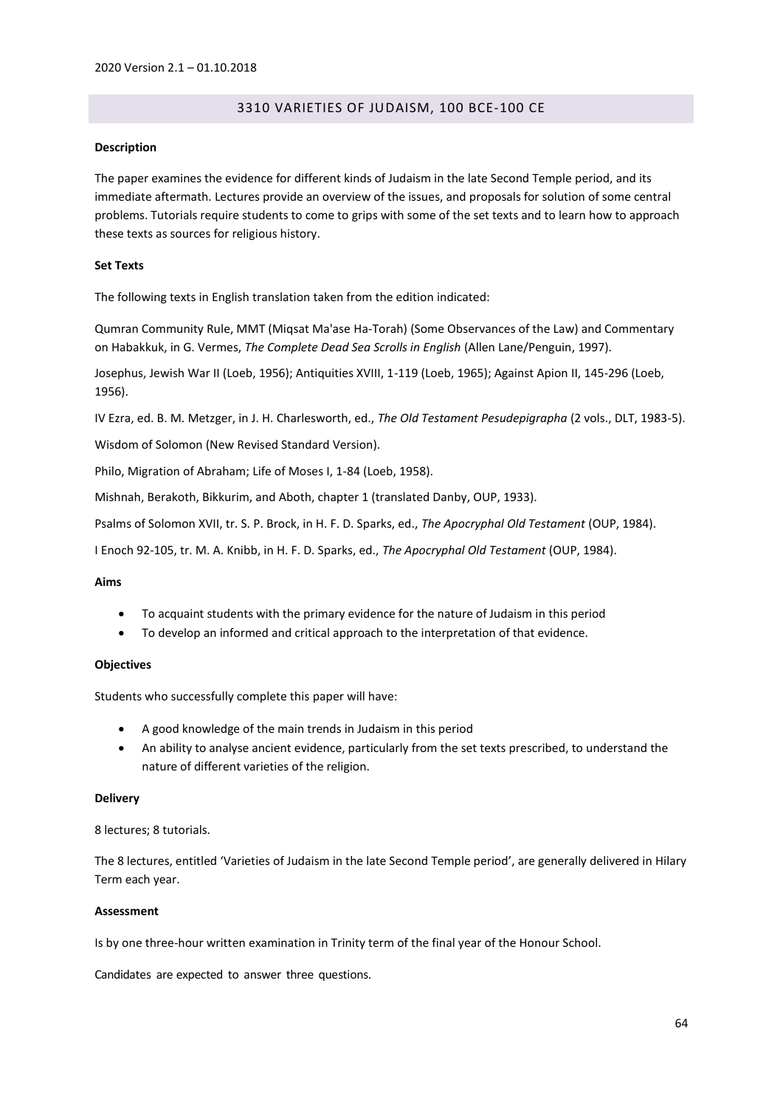# 3310 VARIETIES OF JUDAISM, 100 BCE-100 CE

#### **Description**

The paper examines the evidence for different kinds of Judaism in the late Second Temple period, and its immediate aftermath. Lectures provide an overview of the issues, and proposals for solution of some central problems. Tutorials require students to come to grips with some of the set texts and to learn how to approach these texts as sources for religious history.

#### **Set Texts**

The following texts in English translation taken from the edition indicated:

Qumran Community Rule, MMT (Miqsat Ma'ase Ha-Torah) (Some Observances of the Law) and Commentary on Habakkuk, in G. Vermes, *The Complete Dead Sea Scrolls in English* (Allen Lane/Penguin, 1997).

Josephus, Jewish War II (Loeb, 1956); Antiquities XVIII, 1-119 (Loeb, 1965); Against Apion II, 145-296 (Loeb, 1956).

IV Ezra, ed. B. M. Metzger, in J. H. Charlesworth, ed., *The Old Testament Pesudepigrapha* (2 vols., DLT, 1983-5).

Wisdom of Solomon (New Revised Standard Version).

Philo, Migration of Abraham; Life of Moses I, 1-84 (Loeb, 1958).

Mishnah, Berakoth, Bikkurim, and Aboth, chapter 1 (translated Danby, OUP, 1933).

Psalms of Solomon XVII, tr. S. P. Brock, in H. F. D. Sparks, ed., *The Apocryphal Old Testament* (OUP, 1984).

I Enoch 92-105, tr. M. A. Knibb, in H. F. D. Sparks, ed., *The Apocryphal Old Testament* (OUP, 1984).

#### **Aims**

- To acquaint students with the primary evidence for the nature of Judaism in this period
- To develop an informed and critical approach to the interpretation of that evidence.

### **Objectives**

Students who successfully complete this paper will have:

- A good knowledge of the main trends in Judaism in this period
- An ability to analyse ancient evidence, particularly from the set texts prescribed, to understand the nature of different varieties of the religion.

#### **Delivery**

8 lectures; 8 tutorials.

The 8 lectures, entitled 'Varieties of Judaism in the late Second Temple period', are generally delivered in Hilary Term each year.

### **Assessment**

Is by one three-hour written examination in Trinity term of the final year of the Honour School.

Candidates are expected to answer three questions.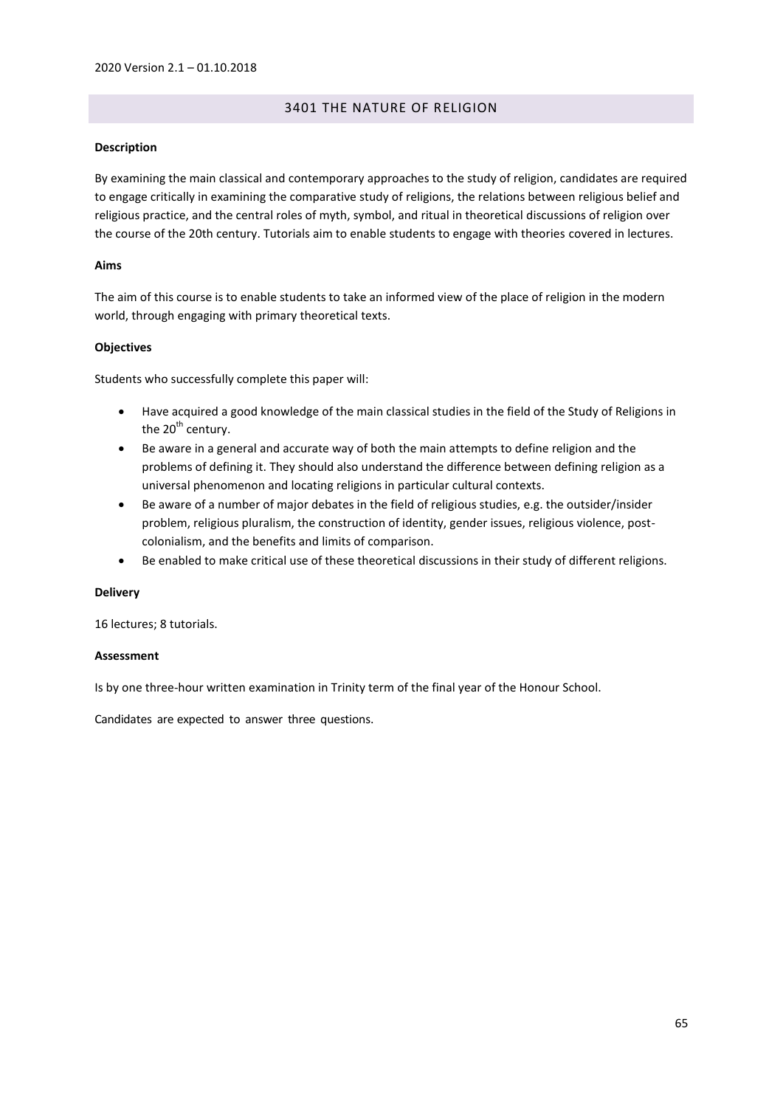## 3401 THE NATURE OF RELIGION

## **Description**

By examining the main classical and contemporary approaches to the study of religion, candidates are required to engage critically in examining the comparative study of religions, the relations between religious belief and religious practice, and the central roles of myth, symbol, and ritual in theoretical discussions of religion over the course of the 20th century. Tutorials aim to enable students to engage with theories covered in lectures.

## **Aims**

The aim of this course is to enable students to take an informed view of the place of religion in the modern world, through engaging with primary theoretical texts.

## **Objectives**

Students who successfully complete this paper will:

- Have acquired a good knowledge of the main classical studies in the field of the Study of Religions in the  $20<sup>th</sup>$  century.
- Be aware in a general and accurate way of both the main attempts to define religion and the problems of defining it. They should also understand the difference between defining religion as a universal phenomenon and locating religions in particular cultural contexts.
- Be aware of a number of major debates in the field of religious studies, e.g. the outsider/insider problem, religious pluralism, the construction of identity, gender issues, religious violence, postcolonialism, and the benefits and limits of comparison.
- Be enabled to make critical use of these theoretical discussions in their study of different religions.

### **Delivery**

16 lectures; 8 tutorials.

### **Assessment**

Is by one three-hour written examination in Trinity term of the final year of the Honour School.

Candidates are expected to answer three questions.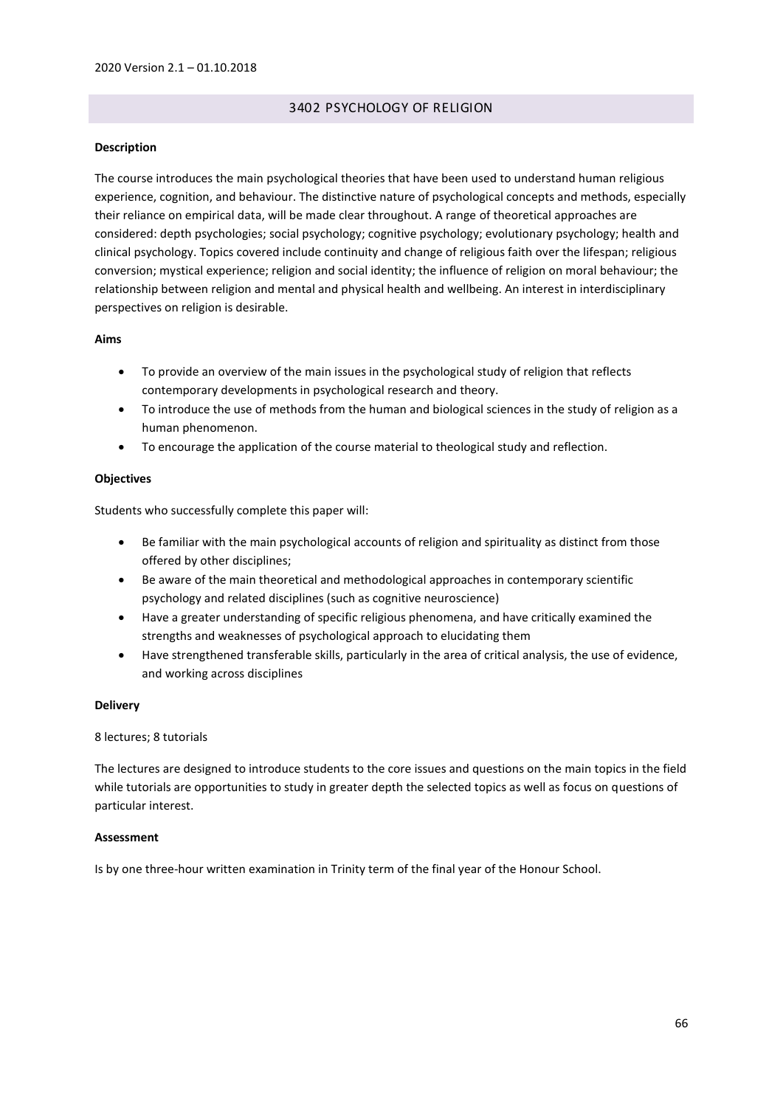## 3402 PSYCHOLOGY OF RELIGION

## **Description**

The course introduces the main psychological theories that have been used to understand human religious experience, cognition, and behaviour. The distinctive nature of psychological concepts and methods, especially their reliance on empirical data, will be made clear throughout. A range of theoretical approaches are considered: depth psychologies; social psychology; cognitive psychology; evolutionary psychology; health and clinical psychology. Topics covered include continuity and change of religious faith over the lifespan; religious conversion; mystical experience; religion and social identity; the influence of religion on moral behaviour; the relationship between religion and mental and physical health and wellbeing. An interest in interdisciplinary perspectives on religion is desirable.

## **Aims**

- To provide an overview of the main issues in the psychological study of religion that reflects contemporary developments in psychological research and theory.
- To introduce the use of methods from the human and biological sciences in the study of religion as a human phenomenon.
- To encourage the application of the course material to theological study and reflection.

## **Objectives**

Students who successfully complete this paper will:

- Be familiar with the main psychological accounts of religion and spirituality as distinct from those offered by other disciplines;
- Be aware of the main theoretical and methodological approaches in contemporary scientific psychology and related disciplines (such as cognitive neuroscience)
- Have a greater understanding of specific religious phenomena, and have critically examined the strengths and weaknesses of psychological approach to elucidating them
- Have strengthened transferable skills, particularly in the area of critical analysis, the use of evidence, and working across disciplines

## **Delivery**

### 8 lectures; 8 tutorials

The lectures are designed to introduce students to the core issues and questions on the main topics in the field while tutorials are opportunities to study in greater depth the selected topics as well as focus on questions of particular interest.

### **Assessment**

Is by one three-hour written examination in Trinity term of the final year of the Honour School.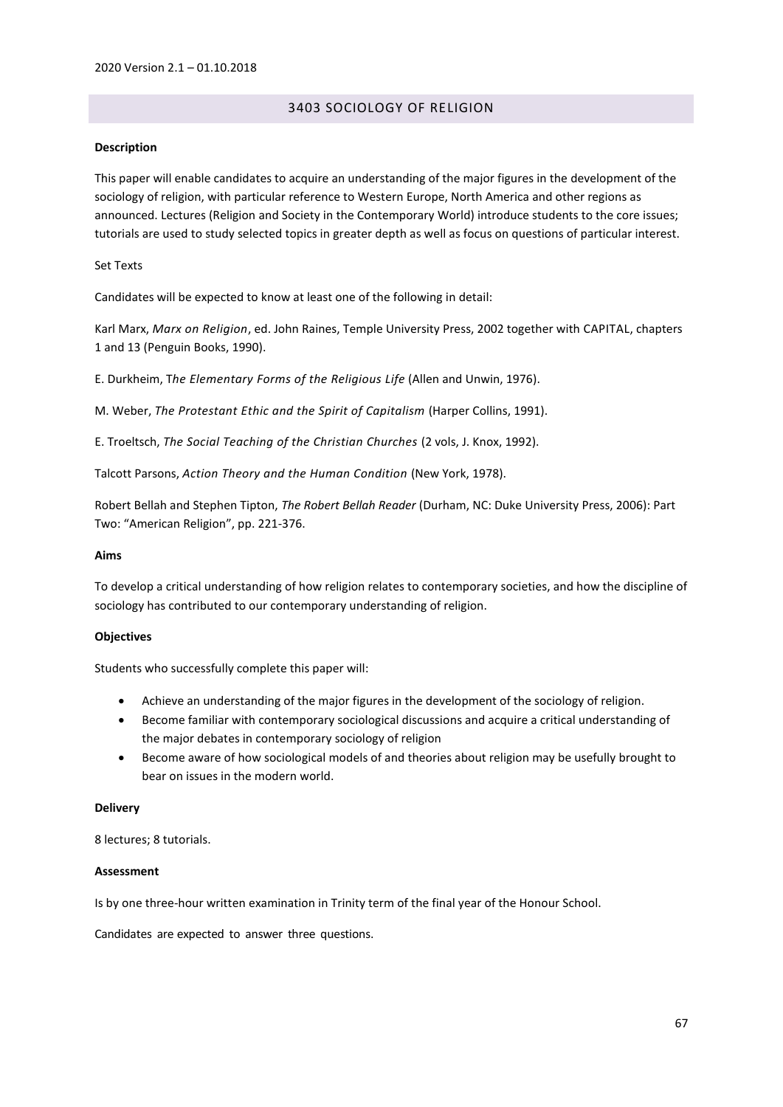# 3403 SOCIOLOGY OF RELIGION

### **Description**

This paper will enable candidates to acquire an understanding of the major figures in the development of the sociology of religion, with particular reference to Western Europe, North America and other regions as announced. Lectures (Religion and Society in the Contemporary World) introduce students to the core issues; tutorials are used to study selected topics in greater depth as well as focus on questions of particular interest.

### Set Texts

Candidates will be expected to know at least one of the following in detail:

Karl Marx, *Marx on Religion*, ed. John Raines, Temple University Press, 2002 together with CAPITAL, chapters 1 and 13 (Penguin Books, 1990).

E. Durkheim, T*he Elementary Forms of the Religious Life* (Allen and Unwin, 1976).

M. Weber, *The Protestant Ethic and the Spirit of Capitalism* (Harper Collins, 1991).

E. Troeltsch, *The Social Teaching of the Christian Churches* (2 vols, J. Knox, 1992).

Talcott Parsons, *Action Theory and the Human Condition* (New York, 1978).

Robert Bellah and Stephen Tipton, *The Robert Bellah Reader* (Durham, NC: Duke University Press, 2006): Part Two: "American Religion", pp. 221-376.

### **Aims**

To develop a critical understanding of how religion relates to contemporary societies, and how the discipline of sociology has contributed to our contemporary understanding of religion.

### **Objectives**

Students who successfully complete this paper will:

- Achieve an understanding of the major figures in the development of the sociology of religion.
- Become familiar with contemporary sociological discussions and acquire a critical understanding of the major debates in contemporary sociology of religion
- Become aware of how sociological models of and theories about religion may be usefully brought to bear on issues in the modern world.

### **Delivery**

8 lectures; 8 tutorials.

### **Assessment**

Is by one three-hour written examination in Trinity term of the final year of the Honour School.

Candidates are expected to answer three questions.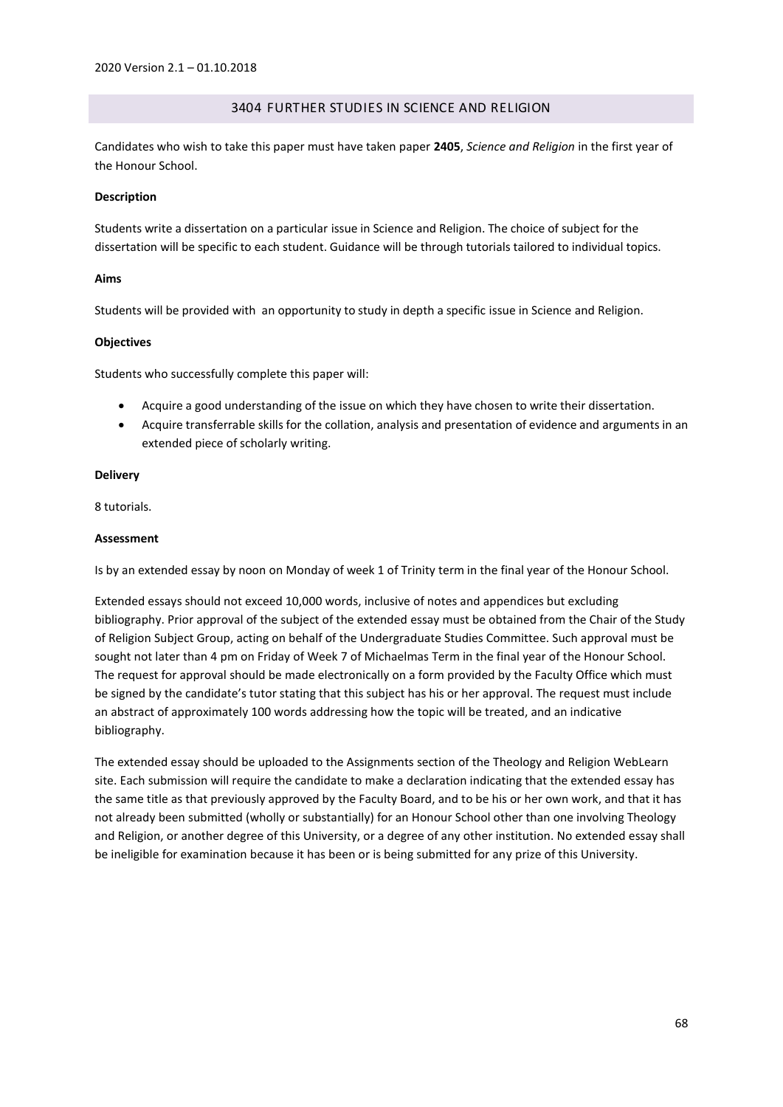# 3404 FURTHER STUDIES IN SCIENCE AND RELIGION

Candidates who wish to take this paper must have taken paper **2405**, *Science and Religion* in the first year of the Honour School.

### **Description**

Students write a dissertation on a particular issue in Science and Religion. The choice of subject for the dissertation will be specific to each student. Guidance will be through tutorials tailored to individual topics.

### **Aims**

Students will be provided with an opportunity to study in depth a specific issue in Science and Religion.

## **Objectives**

Students who successfully complete this paper will:

- Acquire a good understanding of the issue on which they have chosen to write their dissertation.
- Acquire transferrable skills for the collation, analysis and presentation of evidence and arguments in an extended piece of scholarly writing.

## **Delivery**

8 tutorials.

## **Assessment**

Is by an extended essay by noon on Monday of week 1 of Trinity term in the final year of the Honour School.

Extended essays should not exceed 10,000 words, inclusive of notes and appendices but excluding bibliography. Prior approval of the subject of the extended essay must be obtained from the Chair of the Study of Religion Subject Group, acting on behalf of the Undergraduate Studies Committee. Such approval must be sought not later than 4 pm on Friday of Week 7 of Michaelmas Term in the final year of the Honour School. The request for approval should be made electronically on a form provided by the Faculty Office which must be signed by the candidate's tutor stating that this subject has his or her approval. The request must include an abstract of approximately 100 words addressing how the topic will be treated, and an indicative bibliography.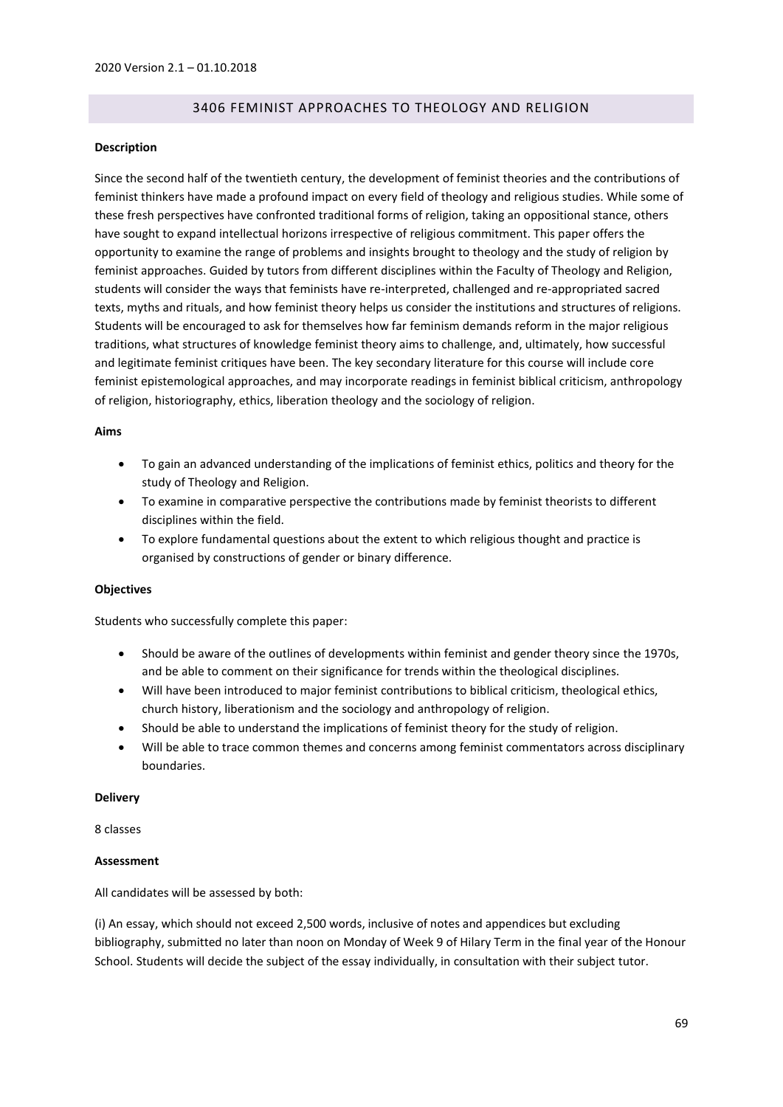# 3406 FEMINIST APPROACHES TO THEOLOGY AND RELIGION

### **Description**

Since the second half of the twentieth century, the development of feminist theories and the contributions of feminist thinkers have made a profound impact on every field of theology and religious studies. While some of these fresh perspectives have confronted traditional forms of religion, taking an oppositional stance, others have sought to expand intellectual horizons irrespective of religious commitment. This paper offers the opportunity to examine the range of problems and insights brought to theology and the study of religion by feminist approaches. Guided by tutors from different disciplines within the Faculty of Theology and Religion, students will consider the ways that feminists have re-interpreted, challenged and re-appropriated sacred texts, myths and rituals, and how feminist theory helps us consider the institutions and structures of religions. Students will be encouraged to ask for themselves how far feminism demands reform in the major religious traditions, what structures of knowledge feminist theory aims to challenge, and, ultimately, how successful and legitimate feminist critiques have been. The key secondary literature for this course will include core feminist epistemological approaches, and may incorporate readings in feminist biblical criticism, anthropology of religion, historiography, ethics, liberation theology and the sociology of religion.

### **Aims**

- To gain an advanced understanding of the implications of feminist ethics, politics and theory for the study of Theology and Religion.
- To examine in comparative perspective the contributions made by feminist theorists to different disciplines within the field.
- To explore fundamental questions about the extent to which religious thought and practice is organised by constructions of gender or binary difference.

### **Objectives**

Students who successfully complete this paper:

- Should be aware of the outlines of developments within feminist and gender theory since the 1970s, and be able to comment on their significance for trends within the theological disciplines.
- Will have been introduced to major feminist contributions to biblical criticism, theological ethics, church history, liberationism and the sociology and anthropology of religion.
- Should be able to understand the implications of feminist theory for the study of religion.
- Will be able to trace common themes and concerns among feminist commentators across disciplinary boundaries.

### **Delivery**

8 classes

### **Assessment**

All candidates will be assessed by both:

(i) An essay, which should not exceed 2,500 words, inclusive of notes and appendices but excluding bibliography, submitted no later than noon on Monday of Week 9 of Hilary Term in the final year of the Honour School. Students will decide the subject of the essay individually, in consultation with their subject tutor.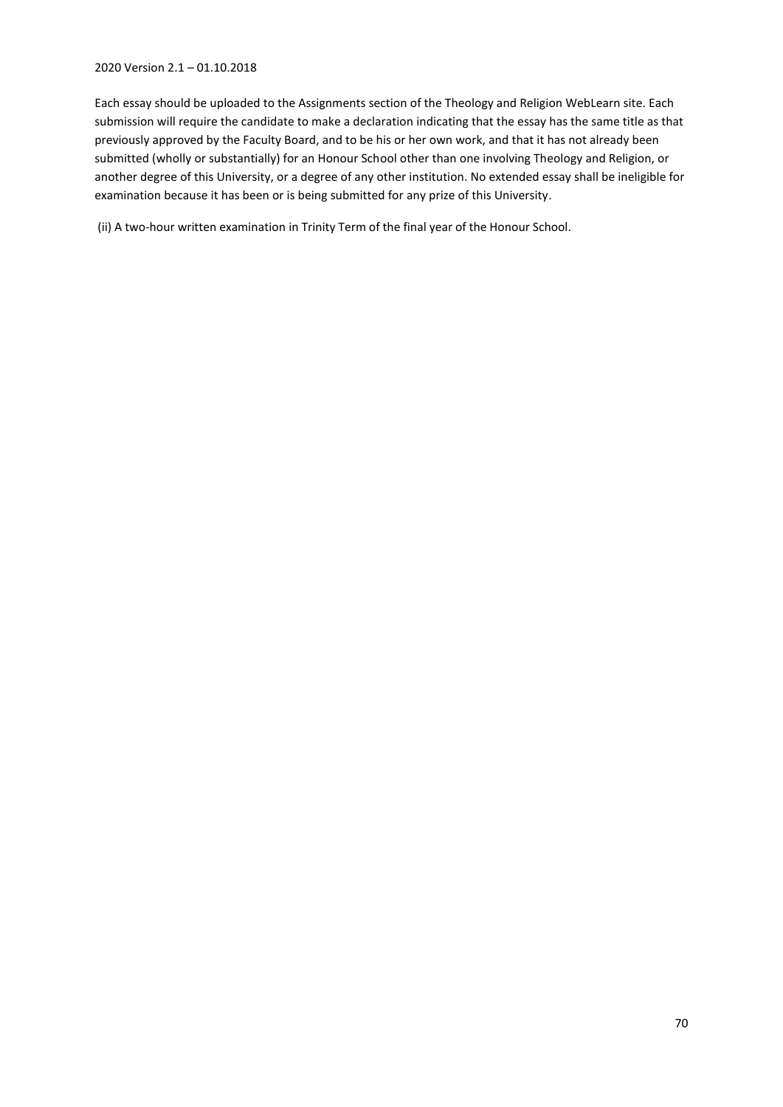# 2020 Version 2.1 – 01.10.2018

Each essay should be uploaded to the Assignments section of the Theology and Religion WebLearn site. Each submission will require the candidate to make a declaration indicating that the essay has the same title as that previously approved by the Faculty Board, and to be his or her own work, and that it has not already been submitted (wholly or substantially) for an Honour School other than one involving Theology and Religion, or another degree of this University, or a degree of any other institution. No extended essay shall be ineligible for examination because it has been or is being submitted for any prize of this University.

(ii) A two-hour written examination in Trinity Term of the final year of the Honour School.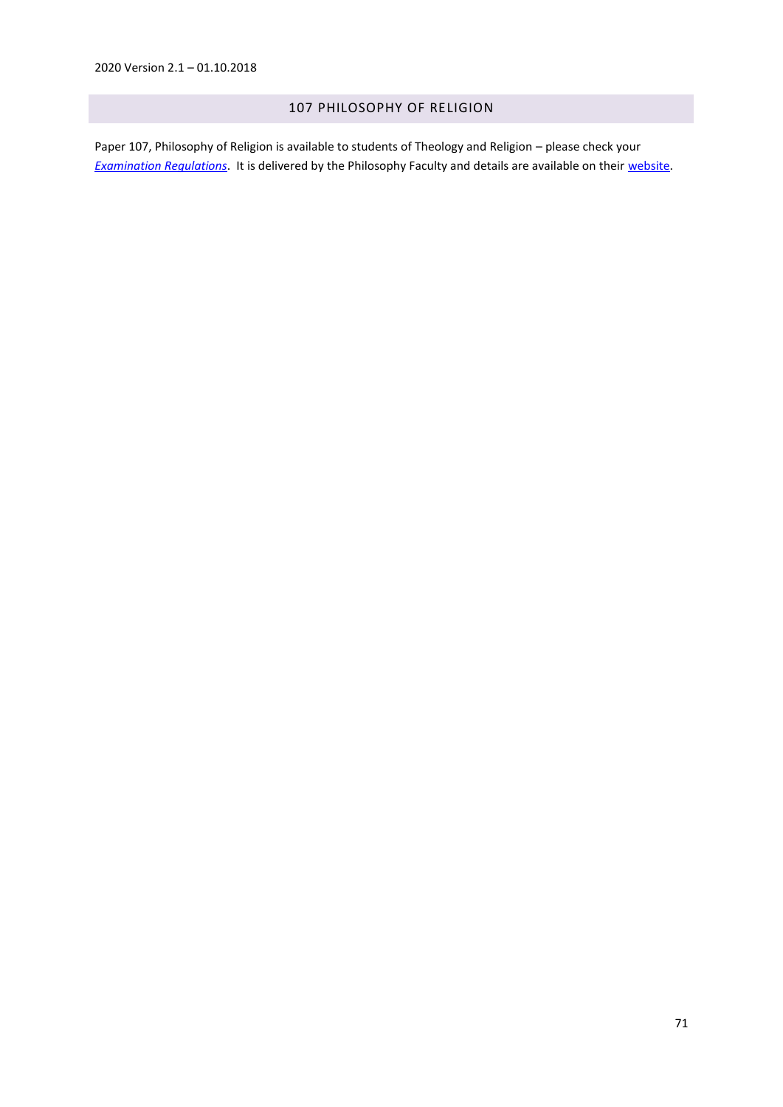# 107 PHILOSOPHY OF RELIGION

Paper 107, Philosophy of Religion is available to students of Theology and Religion – please check your *[Examination Regulations](https://www.admin.ox.ac.uk/examregs/2016-17/peitheoandreli/studentview/)*. It is delivered by the Philosophy Faculty and details are available on their [website.](https://www.philosophy.ox.ac.uk/course-descriptions-finals)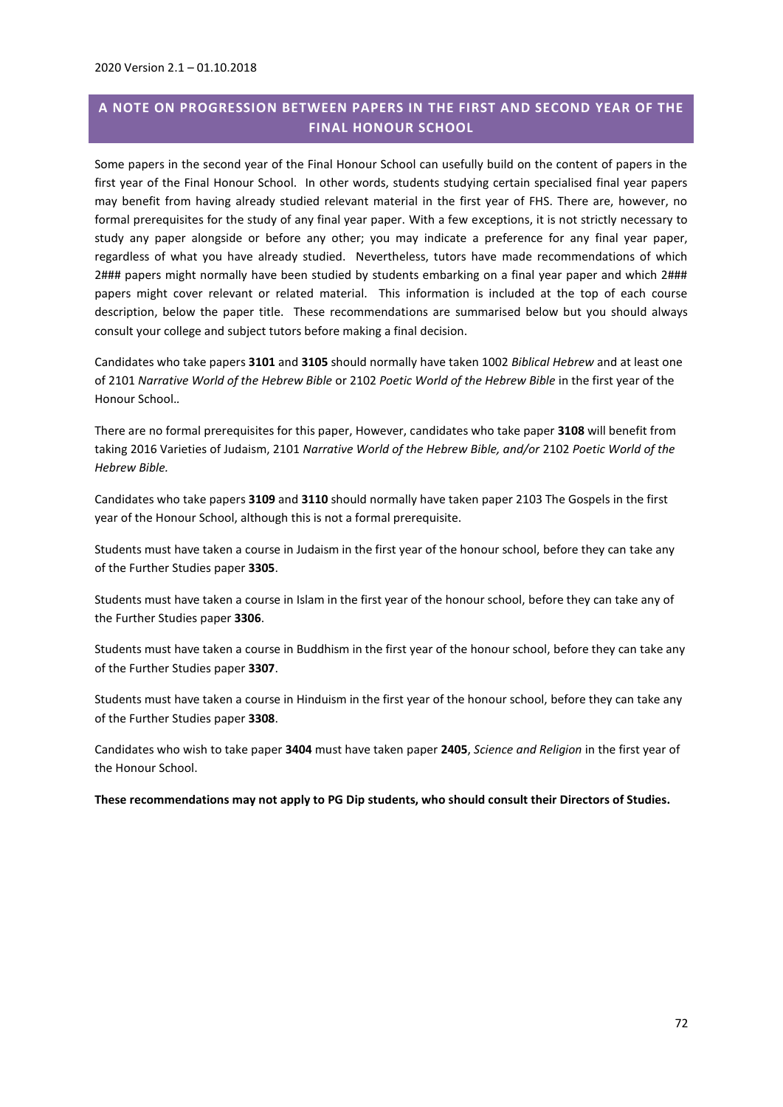# **A NOTE ON PROGRESSION BETWEEN PAPERS IN THE FIRST AND SECOND YEAR OF THE FINAL HONOUR SCHOOL**

Some papers in the second year of the Final Honour School can usefully build on the content of papers in the first year of the Final Honour School. In other words, students studying certain specialised final year papers may benefit from having already studied relevant material in the first year of FHS. There are, however, no formal prerequisites for the study of any final year paper. With a few exceptions, it is not strictly necessary to study any paper alongside or before any other; you may indicate a preference for any final year paper, regardless of what you have already studied. Nevertheless, tutors have made recommendations of which 2### papers might normally have been studied by students embarking on a final year paper and which 2### papers might cover relevant or related material. This information is included at the top of each course description, below the paper title. These recommendations are summarised below but you should always consult your college and subject tutors before making a final decision.

Candidates who take papers **3101** and **3105** should normally have taken 1002 *Biblical Hebrew* and at least one of 2101 *Narrative World of the Hebrew Bible* or 2102 *Poetic World of the Hebrew Bible* in the first year of the Honour School.*.*

There are no formal prerequisites for this paper, However, candidates who take paper **3108** will benefit from taking 2016 Varieties of Judaism, 2101 *Narrative World of the Hebrew Bible, and/or* 2102 *Poetic World of the Hebrew Bible.*

Candidates who take papers **3109** and **3110** should normally have taken paper 2103 The Gospels in the first year of the Honour School, although this is not a formal prerequisite.

Students must have taken a course in Judaism in the first year of the honour school, before they can take any of the Further Studies paper **3305**.

Students must have taken a course in Islam in the first year of the honour school, before they can take any of the Further Studies paper **3306**.

Students must have taken a course in Buddhism in the first year of the honour school, before they can take any of the Further Studies paper **3307**.

Students must have taken a course in Hinduism in the first year of the honour school, before they can take any of the Further Studies paper **3308**.

Candidates who wish to take paper **3404** must have taken paper **2405**, *Science and Religion* in the first year of the Honour School.

**These recommendations may not apply to PG Dip students, who should consult their Directors of Studies.**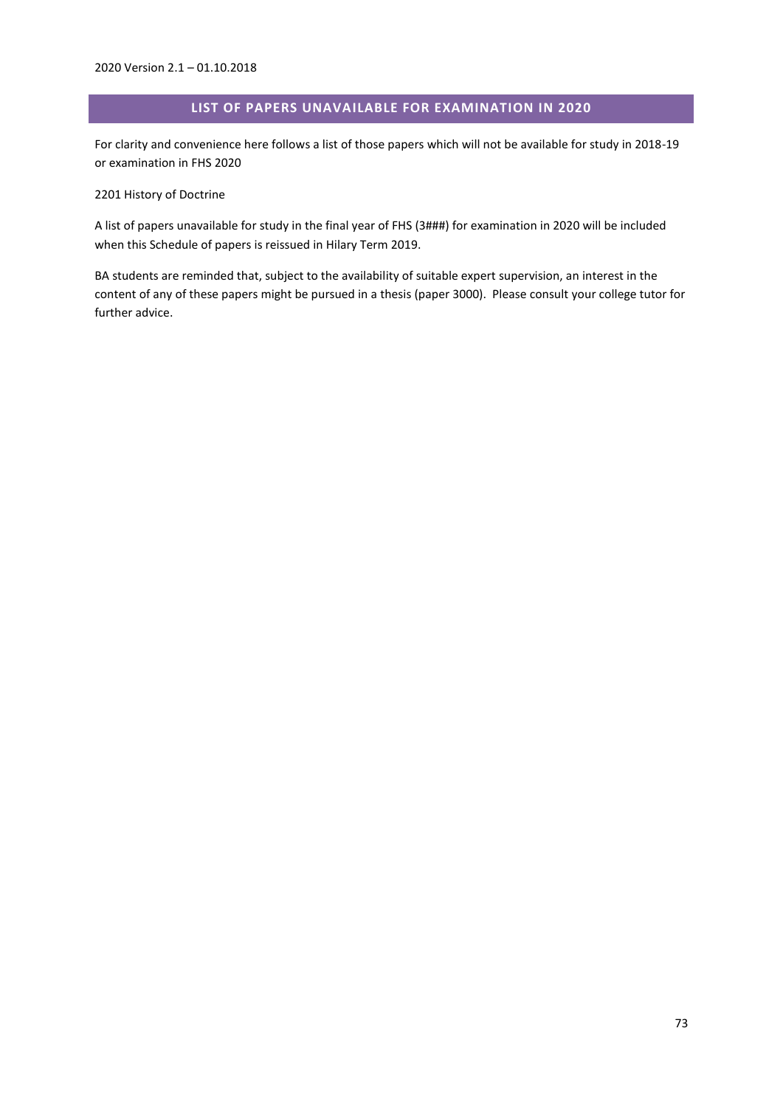## **LIST OF PAPERS UNAVAILABLE FOR EXAMINATION IN 2020**

For clarity and convenience here follows a list of those papers which will not be available for study in 2018-19 or examination in FHS 2020

2201 History of Doctrine

A list of papers unavailable for study in the final year of FHS (3###) for examination in 2020 will be included when this Schedule of papers is reissued in Hilary Term 2019.

BA students are reminded that, subject to the availability of suitable expert supervision, an interest in the content of any of these papers might be pursued in a thesis (paper 3000). Please consult your college tutor for further advice.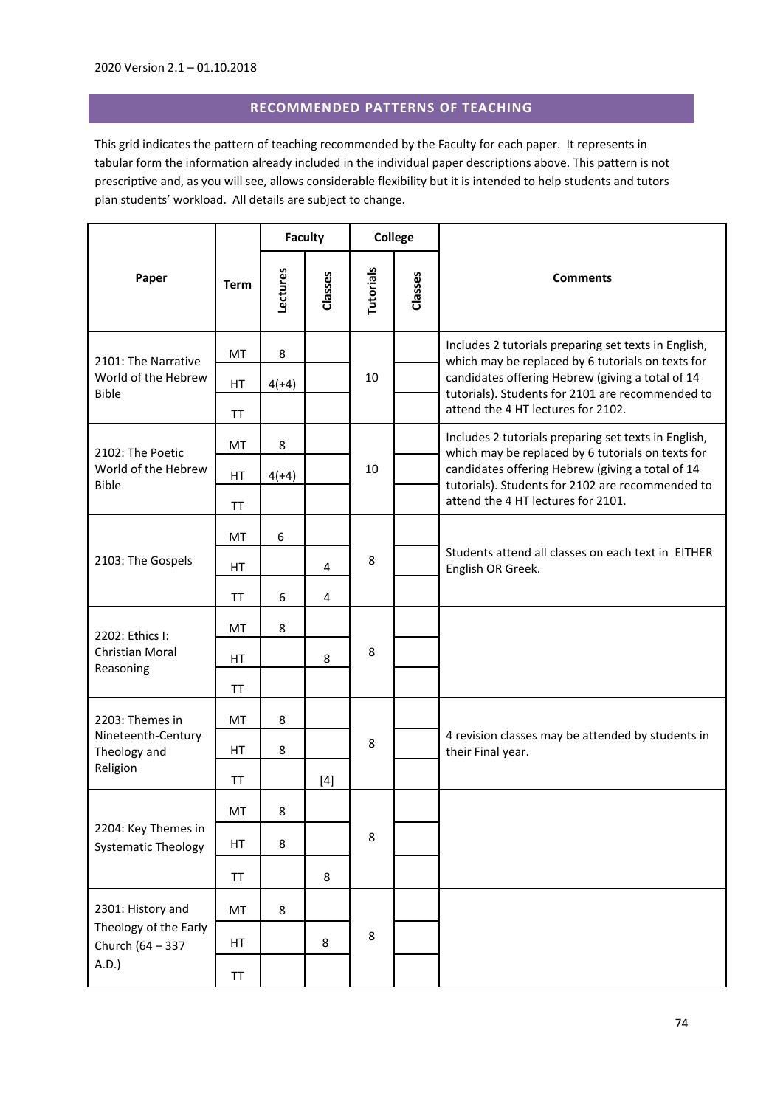## **RECOMMENDED PATTERNS OF TEACHING**

This grid indicates the pattern of teaching recommended by the Faculty for each paper. It represents in tabular form the information already included in the individual paper descriptions above. This pattern is not prescriptive and, as you will see, allows considerable flexibility but it is intended to help students and tutors plan students' workload. All details are subject to change.

|                                                                         |             | <b>Faculty</b> |         | <b>College</b>   |         |                                                                                                           |
|-------------------------------------------------------------------------|-------------|----------------|---------|------------------|---------|-----------------------------------------------------------------------------------------------------------|
| Paper                                                                   | <b>Term</b> | Lectures       | Classes | <b>Tutorials</b> | Classes | <b>Comments</b>                                                                                           |
| 2101: The Narrative                                                     | MT          | 8              |         | 10               |         | Includes 2 tutorials preparing set texts in English,<br>which may be replaced by 6 tutorials on texts for |
| World of the Hebrew<br><b>Bible</b>                                     | HT          | $4(+4)$        |         |                  |         | candidates offering Hebrew (giving a total of 14<br>tutorials). Students for 2101 are recommended to      |
|                                                                         | <b>TT</b>   |                |         |                  |         | attend the 4 HT lectures for 2102.                                                                        |
| 2102: The Poetic                                                        | MT          | 8              |         |                  |         | Includes 2 tutorials preparing set texts in English,<br>which may be replaced by 6 tutorials on texts for |
| World of the Hebrew<br><b>Bible</b>                                     | HT          | $4(+4)$        |         | 10               |         | candidates offering Hebrew (giving a total of 14<br>tutorials). Students for 2102 are recommended to      |
|                                                                         | TT          |                |         |                  |         | attend the 4 HT lectures for 2101.                                                                        |
| 2103: The Gospels                                                       | MT          | 6              |         |                  |         |                                                                                                           |
|                                                                         | <b>HT</b>   |                | 4       | 8                |         | Students attend all classes on each text in EITHER<br>English OR Greek.                                   |
|                                                                         | ΤT          | 6              | 4       |                  |         |                                                                                                           |
| 2202: Ethics I:                                                         | MT          | 8              |         | 8                |         |                                                                                                           |
| Christian Moral<br>Reasoning                                            | HT          |                | 8       |                  |         |                                                                                                           |
|                                                                         | <b>TT</b>   |                |         |                  |         |                                                                                                           |
| 2203: Themes in                                                         | MT          | 8              |         | 8                |         |                                                                                                           |
| Nineteenth-Century<br>Theology and                                      | <b>HT</b>   | 8              |         |                  |         | 4 revision classes may be attended by students in<br>their Final year.                                    |
| Religion                                                                | TT          |                | $[4]$   |                  |         |                                                                                                           |
|                                                                         | MT          | 8              |         |                  |         |                                                                                                           |
| 2204: Key Themes in<br><b>Systematic Theology</b>                       | HT          | 8              |         | 8                |         |                                                                                                           |
|                                                                         | TT          |                | 8       |                  |         |                                                                                                           |
| 2301: History and<br>Theology of the Early<br>Church (64 - 337<br>A.D.) | MT          | 8              |         |                  |         |                                                                                                           |
|                                                                         | HT          |                | 8       | 8                |         |                                                                                                           |
|                                                                         | TT          |                |         |                  |         |                                                                                                           |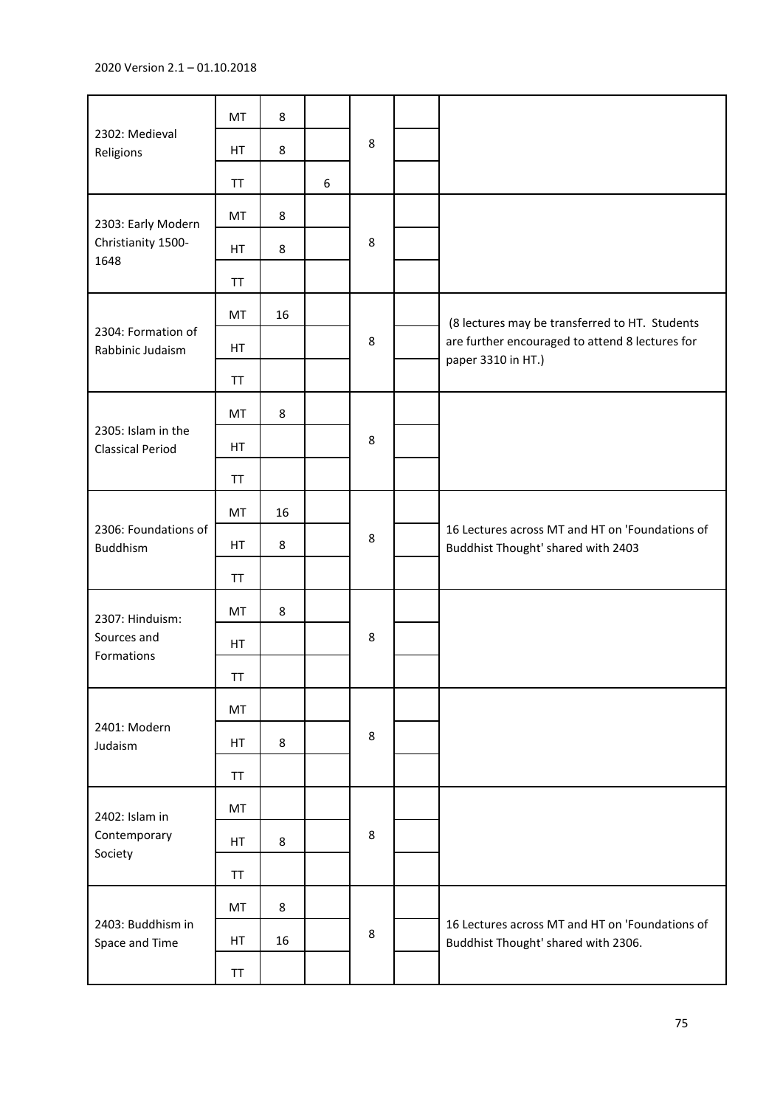| 2302: Medieval<br>Religions                   | MT  | 8       |   |         |  |                                                                                        |
|-----------------------------------------------|-----|---------|---|---------|--|----------------------------------------------------------------------------------------|
|                                               | HT  | 8       |   | 8       |  |                                                                                        |
|                                               | TT  |         | 6 |         |  |                                                                                        |
| 2303: Early Modern                            | MT  | 8       |   |         |  |                                                                                        |
| Christianity 1500-<br>1648                    | HT. | 8       |   | 8       |  |                                                                                        |
|                                               | TT  |         |   |         |  |                                                                                        |
|                                               | MT  | 16      |   |         |  | (8 lectures may be transferred to HT. Students                                         |
| 2304: Formation of<br>Rabbinic Judaism        | HT  |         |   | $\,8\,$ |  | are further encouraged to attend 8 lectures for<br>paper 3310 in HT.)                  |
|                                               | TT  |         |   |         |  |                                                                                        |
|                                               | MT  | 8       |   |         |  |                                                                                        |
| 2305: Islam in the<br><b>Classical Period</b> | HT  |         |   | 8       |  |                                                                                        |
|                                               | TT  |         |   |         |  |                                                                                        |
|                                               | MT  | 16      |   |         |  | 16 Lectures across MT and HT on 'Foundations of<br>Buddhist Thought' shared with 2403  |
| 2306: Foundations of<br>Buddhism              | HT  | 8       |   | 8       |  |                                                                                        |
|                                               | TT  |         |   |         |  |                                                                                        |
| 2307: Hinduism:                               | MT  | $\,8\,$ |   | 8       |  |                                                                                        |
| Sources and<br>Formations                     | HT  |         |   |         |  |                                                                                        |
|                                               | TT  |         |   |         |  |                                                                                        |
|                                               | MT  |         |   |         |  |                                                                                        |
| 2401: Modern<br>Judaism                       | HT  | 8       |   | 8       |  |                                                                                        |
|                                               | TT  |         |   |         |  |                                                                                        |
| 2402: Islam in<br>Contemporary<br>Society     | MT  |         |   |         |  |                                                                                        |
|                                               | HT. | $\,8\,$ |   | 8       |  |                                                                                        |
|                                               | TT  |         |   |         |  |                                                                                        |
| 2403: Buddhism in<br>Space and Time           | MT  | 8       |   |         |  |                                                                                        |
|                                               | HT  | 16      |   | 8       |  | 16 Lectures across MT and HT on 'Foundations of<br>Buddhist Thought' shared with 2306. |
|                                               | TT  |         |   |         |  |                                                                                        |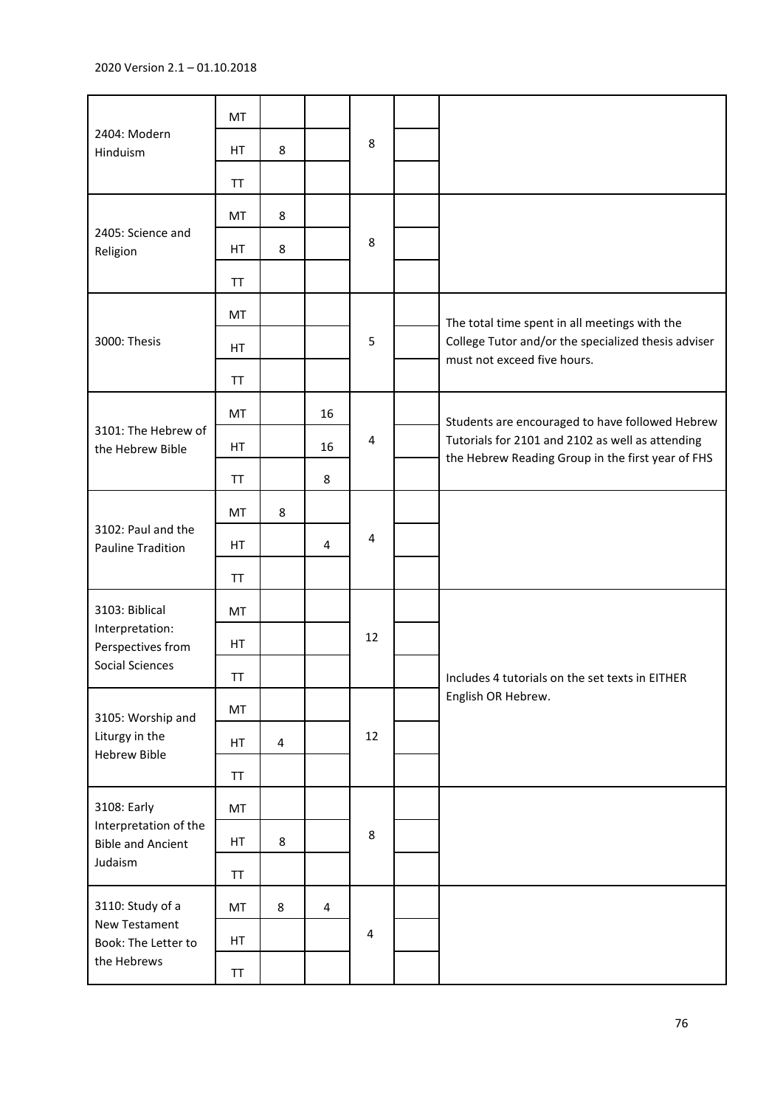|                                                                             | MT        |         |                |                |                                                                                                       |
|-----------------------------------------------------------------------------|-----------|---------|----------------|----------------|-------------------------------------------------------------------------------------------------------|
| 2404: Modern<br>Hinduism                                                    | HT        | 8       |                | 8              |                                                                                                       |
|                                                                             | <b>TT</b> |         |                |                |                                                                                                       |
|                                                                             | MT        | 8       |                |                |                                                                                                       |
| 2405: Science and<br>Religion                                               | HT        | 8       |                | 8              |                                                                                                       |
|                                                                             | <b>TT</b> |         |                |                |                                                                                                       |
|                                                                             | MT        |         |                |                | The total time spent in all meetings with the                                                         |
| 3000: Thesis                                                                | HT        |         |                | 5              | College Tutor and/or the specialized thesis adviser<br>must not exceed five hours.                    |
|                                                                             | <b>TT</b> |         |                |                |                                                                                                       |
|                                                                             | MT        |         | 16             |                | Students are encouraged to have followed Hebrew                                                       |
| 3101: The Hebrew of<br>the Hebrew Bible                                     | HT        |         | 16             | 4              | Tutorials for 2101 and 2102 as well as attending<br>the Hebrew Reading Group in the first year of FHS |
|                                                                             | <b>TT</b> |         | 8              |                |                                                                                                       |
|                                                                             | MT        | 8       |                | 4              |                                                                                                       |
| 3102: Paul and the<br><b>Pauline Tradition</b>                              | HT        |         | $\overline{4}$ |                |                                                                                                       |
|                                                                             | <b>TT</b> |         |                |                |                                                                                                       |
| 3103: Biblical                                                              | MT        |         |                | 12             |                                                                                                       |
| Interpretation:<br>Perspectives from                                        | HT        |         |                |                |                                                                                                       |
| <b>Social Sciences</b>                                                      | TT        |         |                |                | Includes 4 tutorials on the set texts in EITHER                                                       |
| 3105: Worship and                                                           | MT        |         |                |                | English OR Hebrew.                                                                                    |
| Liturgy in the<br><b>Hebrew Bible</b>                                       | HT        | 4       |                | 12             |                                                                                                       |
|                                                                             | <b>TT</b> |         |                |                |                                                                                                       |
| 3108: Early<br>Interpretation of the<br><b>Bible and Ancient</b><br>Judaism | MT        |         |                |                |                                                                                                       |
|                                                                             | HT        | $\,8\,$ |                | 8              |                                                                                                       |
|                                                                             | TT        |         |                |                |                                                                                                       |
| 3110: Study of a<br>New Testament<br>Book: The Letter to<br>the Hebrews     | MT        | 8       | 4              |                |                                                                                                       |
|                                                                             | HT        |         |                | $\overline{4}$ |                                                                                                       |
|                                                                             | TT        |         |                |                |                                                                                                       |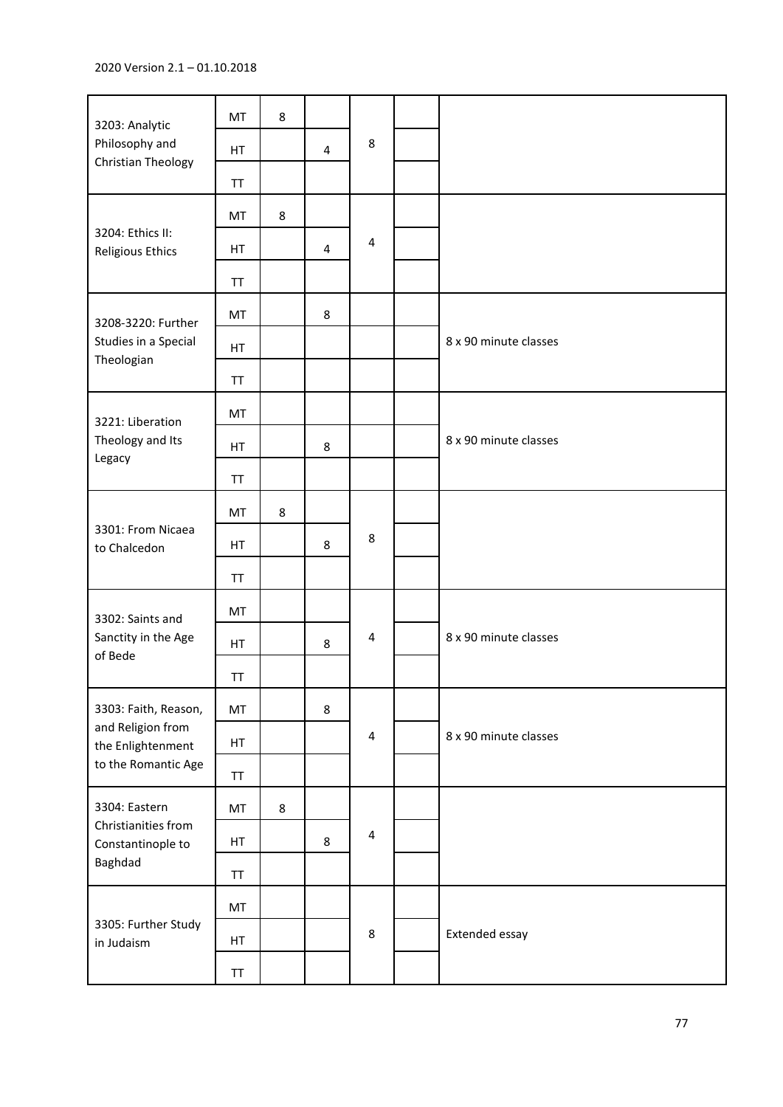| 3203: Analytic                                                       | MT        | 8 |   |                         |                       |
|----------------------------------------------------------------------|-----------|---|---|-------------------------|-----------------------|
| Philosophy and<br>Christian Theology                                 | HT        |   | 4 | $\,8\,$                 |                       |
|                                                                      | <b>TT</b> |   |   |                         |                       |
|                                                                      | MT        | 8 |   |                         |                       |
| 3204: Ethics II:<br>Religious Ethics                                 | HT        |   | 4 | $\overline{\mathbf{4}}$ |                       |
|                                                                      | <b>TT</b> |   |   |                         |                       |
| 3208-3220: Further                                                   | MT        |   | 8 |                         |                       |
| Studies in a Special<br>Theologian                                   | HT        |   |   |                         | 8 x 90 minute classes |
|                                                                      | <b>TT</b> |   |   |                         |                       |
| 3221: Liberation                                                     | MT        |   |   |                         |                       |
| Theology and Its<br>Legacy                                           | HT        |   | 8 |                         | 8 x 90 minute classes |
|                                                                      | <b>TT</b> |   |   |                         |                       |
|                                                                      | MT        | 8 |   | 8                       |                       |
| 3301: From Nicaea<br>to Chalcedon                                    | HT        |   | 8 |                         |                       |
|                                                                      | <b>TT</b> |   |   |                         |                       |
| 3302: Saints and                                                     | MT        |   |   |                         |                       |
| Sanctity in the Age                                                  | HT        |   | 8 | $\overline{\mathbf{4}}$ | 8 x 90 minute classes |
| of Bede                                                              | <b>TT</b> |   |   |                         |                       |
| 3303: Faith, Reason,                                                 | MT        |   | 8 |                         |                       |
| and Religion from<br>the Enlightenment                               | HT        |   |   | $\overline{\mathbf{4}}$ | 8 x 90 minute classes |
| to the Romantic Age                                                  | TT        |   |   |                         |                       |
| 3304: Eastern<br>Christianities from<br>Constantinople to<br>Baghdad | MT        | 8 |   |                         |                       |
|                                                                      | HT        |   | 8 | $\overline{\mathbf{4}}$ |                       |
|                                                                      | TT        |   |   |                         |                       |
|                                                                      | MT        |   |   |                         |                       |
| 3305: Further Study<br>in Judaism                                    | HT        |   |   | $\,8\,$                 | Extended essay        |
|                                                                      | <b>TT</b> |   |   |                         |                       |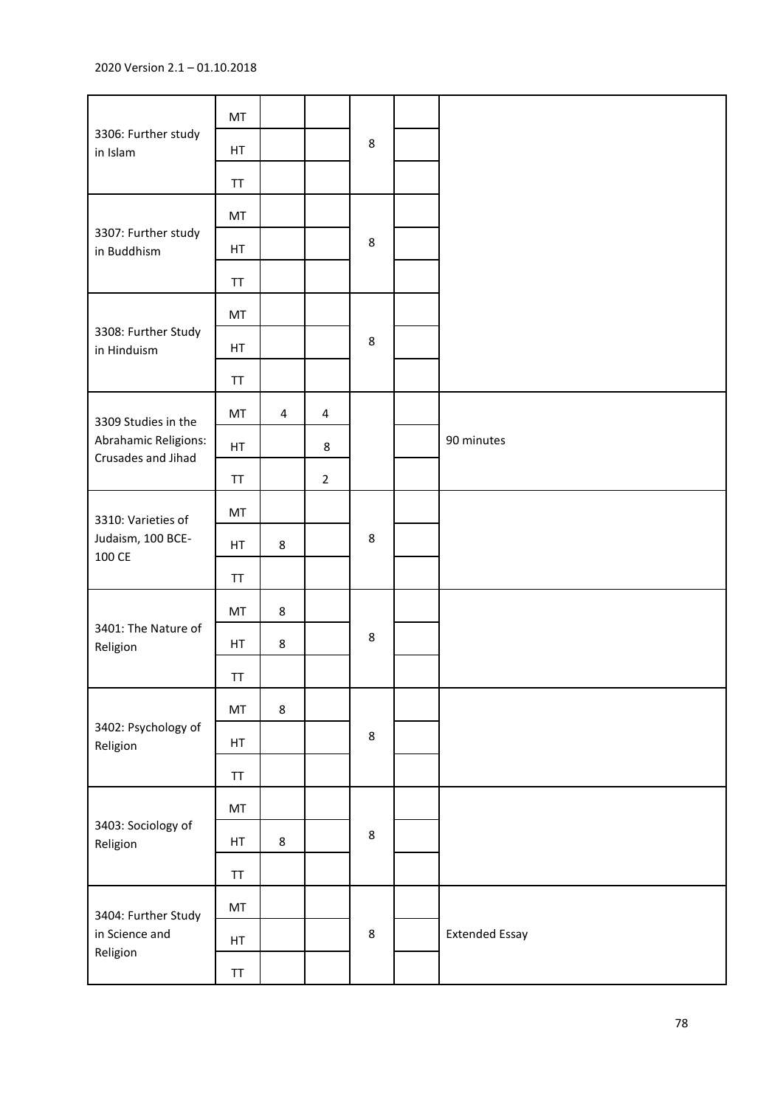## 2020 Version 2.1 – 01.10.2018

| 3306: Further study<br>in Islam                   | MT                                               |                |                         |         |                       |
|---------------------------------------------------|--------------------------------------------------|----------------|-------------------------|---------|-----------------------|
|                                                   | HT                                               |                |                         | $\,8\,$ |                       |
|                                                   | <b>TT</b>                                        |                |                         |         |                       |
|                                                   | MT                                               |                |                         |         |                       |
| 3307: Further study<br>in Buddhism                | HT                                               |                |                         | 8       |                       |
|                                                   | <b>TT</b>                                        |                |                         |         |                       |
|                                                   | MT                                               |                |                         |         |                       |
| 3308: Further Study<br>in Hinduism                | HT                                               |                |                         | $\,8\,$ |                       |
|                                                   | TT                                               |                |                         |         |                       |
| 3309 Studies in the                               | MT                                               | $\overline{4}$ | $\overline{\mathbf{4}}$ |         |                       |
| Abrahamic Religions:<br>Crusades and Jihad        | HT                                               |                | 8                       |         | 90 minutes            |
|                                                   | TT                                               |                | $\overline{2}$          |         |                       |
| 3310: Varieties of                                | MT                                               |                |                         |         |                       |
| Judaism, 100 BCE-<br>100 CE                       | HT                                               | $\bf 8$        |                         | $\,8\,$ |                       |
|                                                   | <b>TT</b>                                        |                |                         |         |                       |
|                                                   | MT                                               | 8              |                         | 8       |                       |
| 3401: The Nature of<br>Religion                   | HT                                               | 8              |                         |         |                       |
|                                                   | TT                                               |                |                         |         |                       |
|                                                   | MT                                               | 8              |                         |         |                       |
| 3402: Psychology of<br>Religion                   | HT                                               |                |                         | $\bf 8$ |                       |
|                                                   | $\ensuremath{\mathsf{T}}\ensuremath{\mathsf{T}}$ |                |                         |         |                       |
| 3403: Sociology of<br>Religion                    | MT                                               |                |                         |         |                       |
|                                                   | HT                                               | 8              |                         | 8       |                       |
|                                                   | TT                                               |                |                         |         |                       |
| 3404: Further Study<br>in Science and<br>Religion | MT                                               |                |                         |         |                       |
|                                                   | HT                                               |                |                         | $\bf 8$ | <b>Extended Essay</b> |
|                                                   | ${\sf TT}$                                       |                |                         |         |                       |